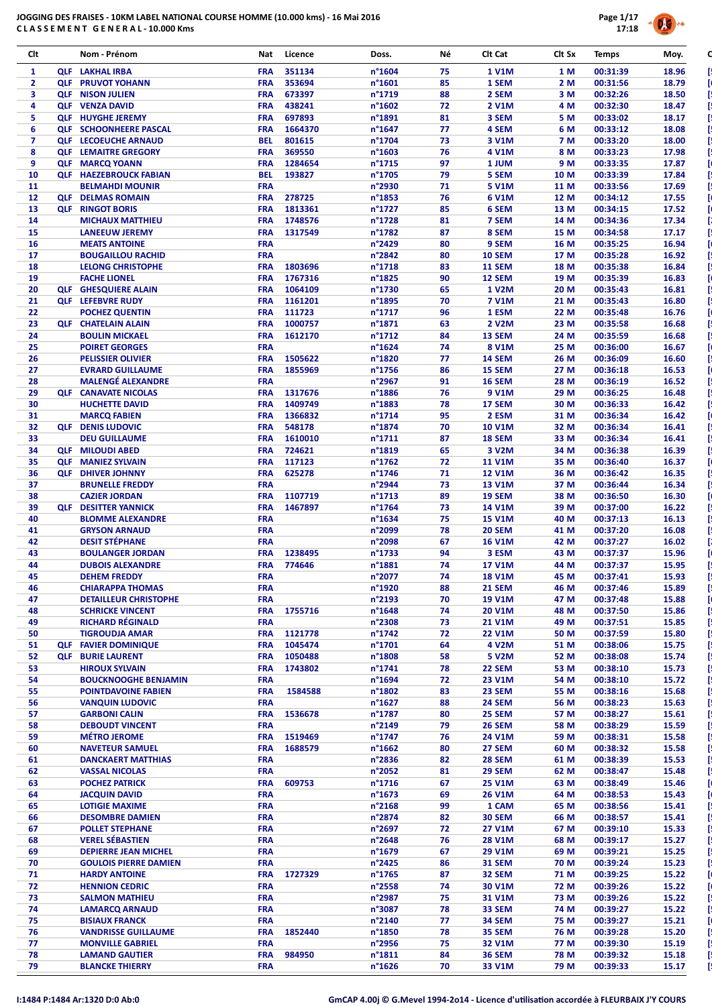

| Clt            | Nom - Prénom                                            | Nat                      | Licence            | Doss.                      | Νé       | Clt Cat                 | Clt Sx       | <b>Temps</b>         | Moy.           |
|----------------|---------------------------------------------------------|--------------------------|--------------------|----------------------------|----------|-------------------------|--------------|----------------------|----------------|
| $\mathbf{1}$   | <b>QLF LAKHAL IRBA</b>                                  | <b>FRA</b>               | 351134             | n°1604                     | 75       | <b>1 V1M</b>            | 1 M          | 00:31:39             | 18.96          |
| $\mathbf{2}$   | <b>QLF PRUVOT YOHANN</b>                                | <b>FRA</b>               | 353694             | $n^{\circ}$ 1601           | 85       | 1 SEM                   | 2 M          | 00:31:56             | 18.79          |
| 3              | <b>QLF NISON JULIEN</b>                                 | <b>FRA</b>               | 673397             | n°1719                     | 88       | 2 SEM                   | 3 M          | 00:32:26             | 18.50          |
| 4<br>5         | <b>QLF VENZA DAVID</b><br><b>OLF HUYGHE JEREMY</b>      | <b>FRA</b><br><b>FRA</b> | 438241<br>697893   | $n^{\circ}$ 1602<br>n°1891 | 72<br>81 | 2 V1M<br>3 SEM          | 4 M<br>5 M   | 00:32:30<br>00:33:02 | 18.47<br>18.17 |
| 6              | <b>OLF SCHOONHEERE PASCAL</b>                           | <b>FRA</b>               | 1664370            | n°1647                     | 77       | 4 SEM                   | 6 M          | 00:33:12             | 18.08          |
| $\overline{7}$ | <b>QLF LECOEUCHE ARNAUD</b>                             | <b>BEL</b>               | 801615             | n°1704                     | 73       | 3 V1M                   | 7 M          | 00:33:20             | 18.00          |
| 8              | <b>QLF LEMAITRE GREGORY</b>                             | <b>FRA</b>               | 369550             | n°1603                     | 76       | 4 V1M                   | 8 M          | 00:33:23             | 17.98          |
| 9              | <b>QLF MARCQ YOANN</b>                                  | <b>FRA</b>               | 1284654            | n°1715                     | 97       | 1 JUM                   | 9 M          | 00:33:35             | 17.87          |
| 10             | <b>QLF HAEZEBROUCK FABIAN</b>                           | <b>BEL</b>               | 193827             | n°1705                     | 79       | 5 SEM                   | 10 M         | 00:33:39             | 17.84          |
| 11<br>12       | <b>BELMAHDI MOUNIR</b>                                  | <b>FRA</b>               | 278725             | n°2930                     | 71<br>76 | 5 V1M                   | 11 M         | 00:33:56             | 17.69          |
| 13             | <b>QLF DELMAS ROMAIN</b><br><b>OLF RINGOT BORIS</b>     | <b>FRA</b><br><b>FRA</b> | 1813361            | $n^{\circ}$ 1853<br>n°1727 | 85       | 6 V1M<br>6 SEM          | 12 M<br>13 M | 00:34:12<br>00:34:15 | 17.55<br>17.52 |
| 14             | <b>MICHAUX MATTHIEU</b>                                 | <b>FRA</b>               | 1748576            | n°1728                     | 81       | 7 SEM                   | 14 M         | 00:34:36             | 17.34          |
| 15             | <b>LANEEUW JEREMY</b>                                   | <b>FRA</b>               | 1317549            | n°1782                     | 87       | 8 SEM                   | 15 M         | 00:34:58             | 17.17          |
| 16             | <b>MEATS ANTOINE</b>                                    | <b>FRA</b>               |                    | n°2429                     | 80       | 9 SEM                   | 16 M         | 00:35:25             | 16.94          |
| 17             | <b>BOUGAILLOU RACHID</b>                                | <b>FRA</b>               |                    | n°2842                     | 80       | <b>10 SEM</b>           | 17 M         | 00:35:28             | 16.92          |
| 18<br>19       | <b>LELONG CHRISTOPHE</b><br><b>FACHE LIONEL</b>         | <b>FRA</b><br><b>FRA</b> | 1803696<br>1767316 | n°1718<br>$n^{\circ}$ 1825 | 83<br>90 | 11 SEM<br>12 SEM        | 18 M<br>19 M | 00:35:38<br>00:35:39 | 16.84<br>16.83 |
| 20             | <b>QLF GHESQUIERE ALAIN</b>                             | <b>FRA</b>               | 1064109            | n°1730                     | 65       | 1 V2M                   | 20 M         | 00:35:43             | 16.81          |
| 21             | <b>QLF LEFEBVRE RUDY</b>                                | <b>FRA</b>               | 1161201            | n°1895                     | 70       | 7 V1M                   | 21 M         | 00:35:43             | 16.80          |
| 22             | <b>POCHEZ QUENTIN</b>                                   | <b>FRA</b>               | 111723             | n°1717                     | 96       | 1 ESM                   | 22 M         | 00:35:48             | 16.76          |
| 23             | <b>OLF CHATELAIN ALAIN</b>                              | <b>FRA</b>               | 1000757            | n°1871                     | 63       | 2 V2M                   | 23 M         | 00:35:58             | 16.68          |
| 24             | <b>BOULIN MICKAEL</b>                                   | <b>FRA</b>               | 1612170            | n°1712                     | 84       | 13 SEM                  | 24 M         | 00:35:59             | 16.68          |
| 25<br>26       | <b>POIRET GEORGES</b><br><b>PELISSIER OLIVIER</b>       | <b>FRA</b><br><b>FRA</b> | 1505622            | n°1624<br>n°1820           | 74<br>77 | 8 V1M<br>14 SEM         | 25 M<br>26 M | 00:36:00<br>00:36:09 | 16.67<br>16.60 |
| 27             | <b>EVRARD GUILLAUME</b>                                 | <b>FRA</b>               | 1855969            | $n^{\circ}$ 1756           | 86       | 15 SEM                  | 27 M         | 00:36:18             | 16.53          |
| 28             | <b>MALENGÉ ALEXANDRE</b>                                | <b>FRA</b>               |                    | n°2967                     | 91       | 16 SEM                  | 28 M         | 00:36:19             | 16.52          |
| 29             | <b>QLF CANAVATE NICOLAS</b>                             | <b>FRA</b>               | 1317676            | n°1886                     | 76       | 9 V1M                   | 29 M         | 00:36:25             | 16.48          |
| 30             | <b>HUCHETTE DAVID</b>                                   | <b>FRA</b>               | 1409749            | n°1883                     | 78       | 17 SEM                  | 30 M         | 00:36:33             | 16.42          |
| 31             | <b>MARCQ FABIEN</b>                                     | <b>FRA</b>               | 1366832            | n°1714                     | 95       | 2 ESM                   | 31 M         | 00:36:34             | 16.42          |
| 32<br>33       | <b>QLF DENIS LUDOVIC</b><br><b>DEU GUILLAUME</b>        | <b>FRA</b><br><b>FRA</b> | 548178<br>1610010  | n°1874<br>n°1711           | 70<br>87 | <b>10 V1M</b><br>18 SEM | 32 M<br>33 M | 00:36:34<br>00:36:34 | 16.41<br>16.41 |
| 34             | <b>QLF MILOUDI ABED</b>                                 | <b>FRA</b>               | 724621             | n°1819                     | 65       | 3 V <sub>2</sub> M      | 34 M         | 00:36:38             | 16.39          |
| 35             | <b>QLF MANIEZ SYLVAIN</b>                               | <b>FRA</b>               | 117123             | n°1762                     | 72       | <b>11 V1M</b>           | 35 M         | 00:36:40             | 16.37          |
| 36             | <b>QLF DHIVER JOHNNY</b>                                | <b>FRA</b>               | 625278             | n°1746                     | 71       | <b>12 V1M</b>           | 36 M         | 00:36:42             | 16.35          |
| 37             | <b>BRUNELLE FREDDY</b>                                  | <b>FRA</b>               |                    | n°2944                     | 73       | <b>13 V1M</b>           | 37 M         | 00:36:44             | 16.34          |
| 38<br>39       | <b>CAZIER JORDAN</b><br><b>QLF DESITTER YANNICK</b>     | <b>FRA</b><br><b>FRA</b> | 1107719<br>1467897 | n°1713<br>n°1764           | 89<br>73 | 19 SEM<br><b>14 V1M</b> | 38 M<br>39 M | 00:36:50<br>00:37:00 | 16.30<br>16.22 |
| 40             | <b>BLOMME ALEXANDRE</b>                                 | <b>FRA</b>               |                    | n°1634                     | 75       | <b>15 V1M</b>           | 40 M         | 00:37:13             | 16.13          |
| 41             | <b>GRYSON ARNAUD</b>                                    | <b>FRA</b>               |                    | n°2099                     | 78       | <b>20 SEM</b>           | 41 M         | 00:37:20             | 16.08          |
| 42             | <b>DESIT STÉPHANE</b>                                   | <b>FRA</b>               |                    | n°2098                     | 67       | <b>16 V1M</b>           | 42 M         | 00:37:27             | 16.02          |
| 43             | <b>BOULANGER JORDAN</b>                                 | <b>FRA</b>               | 1238495            | n°1733                     | 94       | 3 ESM                   | 43 M         | 00:37:37             | 15.96          |
| 44             | <b>DUBOIS ALEXANDRE</b>                                 | <b>FRA</b>               | 774646             | n°1881                     | 74       | <b>17 V1M</b>           | 44 M         | 00:37:37             | 15.95          |
| 45<br>46       | <b>DEHEM FREDDY</b><br><b>CHIARAPPA THOMAS</b>          | <b>FRA</b><br><b>FRA</b> |                    | n°2077<br>n°1920           | 74<br>88 | <b>18 V1M</b><br>21 SEM | 45 M<br>46 M | 00:37:41<br>00:37:46 | 15.93<br>15.89 |
| 47             | <b>DETAILLEUR CHRISTOPHE</b>                            | <b>FRA</b>               |                    | n°2193                     | 70       | <b>19 V1M</b>           | 47 M         | 00:37:48             | 15.88          |
| 48             | <b>SCHRICKE VINCENT</b>                                 | <b>FRA</b>               | 1755716            | n°1648                     | 74       | <b>20 V1M</b>           | 48 M         | 00:37:50             | 15.86          |
| 49             | <b>RICHARD RÉGINALD</b>                                 | <b>FRA</b>               |                    | n°2308                     | 73       | 21 V1M                  | 49 M         | 00:37:51             | 15.85          |
| 50             | <b>TIGROUDJA AMAR</b>                                   | <b>FRA</b>               | 1121778            | n°1742                     | 72       | <b>22 V1M</b>           | 50 M         | 00:37:59             | 15.80          |
| 51<br>52       | <b>QLF FAVIER DOMINIQUE</b><br><b>QLF BURIE LAURENT</b> | <b>FRA</b><br><b>FRA</b> | 1045474<br>1050488 | n°1701<br>n°1808           | 64<br>58 | 4 V2M<br>5 V2M          | 51 M<br>52 M | 00:38:06<br>00:38:08 | 15.75<br>15.74 |
| 53             | <b>HIROUX SYLVAIN</b>                                   | <b>FRA</b>               | 1743802            | n°1741                     | 78       | 22 SEM                  | 53 M         | 00:38:10             | 15.73          |
| 54             | <b>BOUCKNOOGHE BENJAMIN</b>                             | <b>FRA</b>               |                    | $n^{\circ}$ 1694           | 72       | 23 V1M                  | 54 M         | 00:38:10             | 15.72          |
| 55             | <b>POINTDAVOINE FABIEN</b>                              | <b>FRA</b>               | 1584588            | n°1802                     | 83       | 23 SEM                  | 55 M         | 00:38:16             | 15.68          |
| 56             | <b>VANQUIN LUDOVIC</b>                                  | <b>FRA</b>               |                    | n°1627                     | 88       | 24 SEM                  | 56 M         | 00:38:23             | 15.63          |
| 57             | <b>GARBONI CALIN</b>                                    | <b>FRA</b>               | 1536678            | n°1787                     | 80       | 25 SEM                  | 57 M         | 00:38:27             | 15.61          |
| 58<br>59       | <b>DEBOUDT VINCENT</b><br><b>MÉTRO JEROME</b>           | <b>FRA</b><br><b>FRA</b> | 1519469            | n°2149<br>n°1747           | 79<br>76 | <b>26 SEM</b><br>24 V1M | 58 M<br>59 M | 00:38:29<br>00:38:31 | 15.59<br>15.58 |
| 60             | <b>NAVETEUR SAMUEL</b>                                  | <b>FRA</b>               | 1688579            | $n^{\circ}$ 1662           | 80       | 27 SEM                  | 60 M         | 00:38:32             | 15.58          |
| 61             | <b>DANCKAERT MATTHIAS</b>                               | <b>FRA</b>               |                    | n°2836                     | 82       | 28 SEM                  | 61 M         | 00:38:39             | 15.53          |
| 62             | <b>VASSAL NICOLAS</b>                                   | <b>FRA</b>               |                    | n°2052                     | 81       | 29 SEM                  | 62 M         | 00:38:47             | 15.48          |
| 63             | <b>POCHEZ PATRICK</b>                                   | <b>FRA</b>               | 609753             | n°1716                     | 67       | <b>25 V1M</b>           | 63 M         | 00:38:49             | 15.46          |
| 64             | <b>JACQUIN DAVID</b>                                    | <b>FRA</b>               |                    | $n^{\circ}1673$<br>n°2168  | 69<br>99 | 26 V1M                  | 64 M         | 00:38:53<br>00:38:56 | 15.43          |
| 65<br>66       | <b>LOTIGIE MAXIME</b><br><b>DESOMBRE DAMIEN</b>         | <b>FRA</b><br><b>FRA</b> |                    | n°2874                     | 82       | 1 CAM<br><b>30 SEM</b>  | 65 M<br>66 M | 00:38:57             | 15.41<br>15.41 |
| 67             | <b>POLLET STEPHANE</b>                                  | <b>FRA</b>               |                    | n°2697                     | 72       | <b>27 V1M</b>           | 67 M         | 00:39:10             | 15.33          |
| 68             | <b>VEREL SÉBASTIEN</b>                                  | <b>FRA</b>               |                    | n°2648                     | 76       | <b>28 V1M</b>           | 68 M         | 00:39:17             | 15.27          |
| 69             | <b>DEPIERRE JEAN MICHEL</b>                             | <b>FRA</b>               |                    | n°1679                     | 67       | 29 V1M                  | 69 M         | 00:39:21             | 15.25          |
| 70             | <b>GOULOIS PIERRE DAMIEN</b>                            | <b>FRA</b>               |                    | n°2425                     | 86       | <b>31 SEM</b>           | 70 M         | 00:39:24             | 15.23          |
| 71<br>72       | <b>HARDY ANTOINE</b>                                    | <b>FRA</b>               | 1727329            | n°1765<br>n°2558           | 87       | 32 SEM                  | 71 M<br>72 M | 00:39:25             | 15.22<br>15.22 |
| 73             | <b>HENNION CEDRIC</b><br><b>SALMON MATHIEU</b>          | <b>FRA</b><br><b>FRA</b> |                    | n°2987                     | 74<br>75 | 30 V1M<br>31 V1M        | 73 M         | 00:39:26<br>00:39:26 | 15.22          |
| 74             | <b>LAMARCQ ARNAUD</b>                                   | <b>FRA</b>               |                    | n°3087                     | 78       | 33 SEM                  | 74 M         | 00:39:27             | 15.22          |
| 75             | <b>BISIAUX FRANCK</b>                                   | <b>FRA</b>               |                    | n°2140                     | 77       | <b>34 SEM</b>           | 75 M         | 00:39:27             | 15.21          |
| 76             | <b>VANDRISSE GUILLAUME</b>                              | <b>FRA</b>               | 1852440            | n°1850                     | 78       | 35 SEM                  | 76 M         | 00:39:28             | 15.20          |
| 77             | <b>MONVILLE GABRIEL</b>                                 | <b>FRA</b>               |                    | n°2956                     | 75       | 32 V1M                  | 77 M         | 00:39:30             | 15.19          |
| 78<br>79       | <b>LAMAND GAUTIER</b><br><b>BLANCKE THIERRY</b>         | <b>FRA</b><br><b>FRA</b> | 984950             | n°1811<br>$n^{\circ}$ 1626 | 84<br>70 | <b>36 SEM</b><br>33 V1M | 78 M<br>79 M | 00:39:32<br>00:39:33 | 15.18<br>15.17 |
|                |                                                         |                          |                    |                            |          |                         |              |                      |                |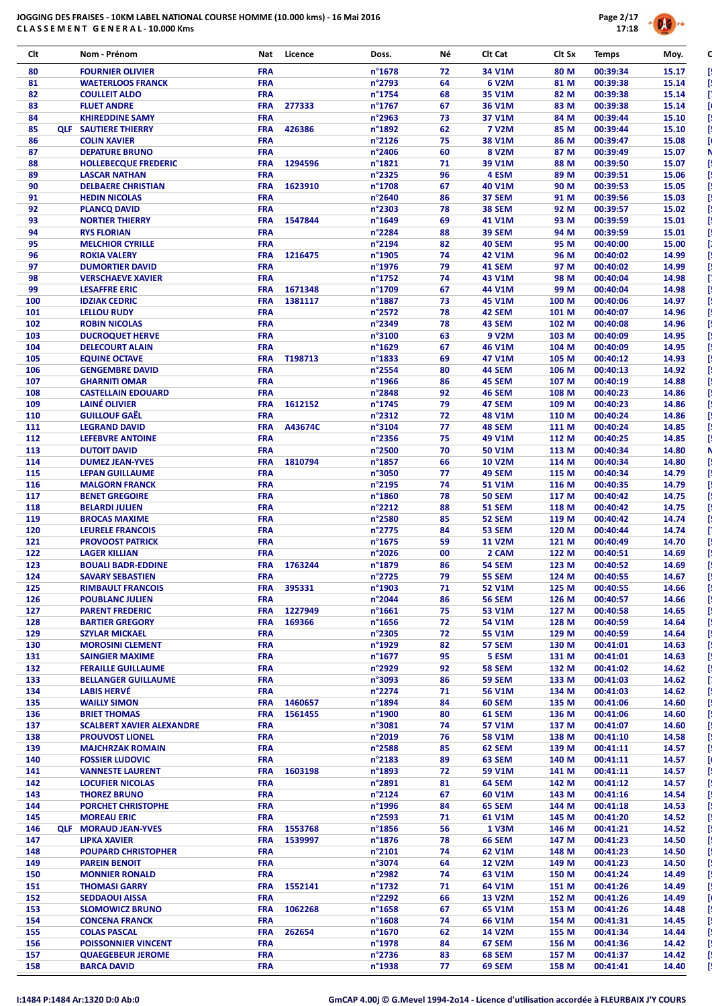

| Clt        | Nom - Prénom                                          | Nat                      | Licence           | Doss.                                | Νé       | Clt Cat                        | Clt Sx         | <b>Temps</b>         | Moy.           |
|------------|-------------------------------------------------------|--------------------------|-------------------|--------------------------------------|----------|--------------------------------|----------------|----------------------|----------------|
| 80         | <b>FOURNIER OLIVIER</b>                               | <b>FRA</b>               |                   | n°1678                               | 72       | 34 V1M                         | 80 M           | 00:39:34             | 15.17          |
| 81         | <b>WAETERLOOS FRANCK</b>                              | <b>FRA</b>               |                   | n°2793                               | 64       | 6 V2M                          | 81 M           | 00:39:38             | 15.14          |
| 82         | <b>COULLEIT ALDO</b>                                  | <b>FRA</b>               |                   | n°1754                               | 68       | 35 V1M                         | 82 M           | 00:39:38             | 15.14          |
| 83         | <b>FLUET ANDRE</b>                                    | <b>FRA</b>               | 277333            | n°1767                               | 67       | 36 V1M                         | 83 M           | 00:39:38             | 15.14          |
| 84<br>85   | <b>KHIREDDINE SAMY</b><br><b>OLF SAUTIERE THIERRY</b> | <b>FRA</b><br><b>FRA</b> | 426386            | n°2963<br>n°1892                     | 73<br>62 | 37 V1M<br><b>7 V2M</b>         | 84 M<br>85 M   | 00:39:44<br>00:39:44 | 15.10<br>15.10 |
| 86         | <b>COLIN XAVIER</b>                                   | <b>FRA</b>               |                   | $n^{\circ}$ 2126                     | 75       | 38 V1M                         | 86 M           | 00:39:47             | 15.08          |
| 87         | <b>DEPATURE BRUNO</b>                                 | <b>FRA</b>               |                   | n°2406                               | 60       | 8 V <sub>2</sub> M             | 87 M           | 00:39:49             | 15.07          |
| 88         | <b>HOLLEBECQUE FREDERIC</b>                           | <b>FRA</b>               | 1294596           | n°1821                               | 71       | 39 V1M                         | 88 M           | 00:39:50             | 15.07          |
| 89         | <b>LASCAR NATHAN</b>                                  | <b>FRA</b>               |                   | n°2325                               | 96       | 4 ESM                          | 89 M           | 00:39:51             | 15.06          |
| 90<br>91   | <b>DELBAERE CHRISTIAN</b><br><b>HEDIN NICOLAS</b>     | <b>FRA</b><br><b>FRA</b> | 1623910           | n°1708<br>n°2640                     | 67<br>86 | 40 V1M<br>37 SEM               | 90 M<br>91 M   | 00:39:53<br>00:39:56 | 15.05<br>15.03 |
| 92         | <b>PLANCQ DAVID</b>                                   | <b>FRA</b>               |                   | n°2303                               | 78       | <b>38 SEM</b>                  | 92 M           | 00:39:57             | 15.02          |
| 93         | <b>NORTIER THIERRY</b>                                | <b>FRA</b>               | 1547844           | n°1649                               | 69       | 41 V1M                         | 93 M           | 00:39:59             | 15.01          |
| 94         | <b>RYS FLORIAN</b>                                    | <b>FRA</b>               |                   | n°2284                               | 88       | <b>39 SEM</b>                  | 94 M           | 00:39:59             | 15.01          |
| 95         | <b>MELCHIOR CYRILLE</b>                               | <b>FRA</b>               |                   | n°2194                               | 82       | <b>40 SEM</b>                  | 95 M           | 00:40:00             | 15.00          |
| 96<br>97   | <b>ROKIA VALERY</b><br><b>DUMORTIER DAVID</b>         | <b>FRA</b><br><b>FRA</b> | 1216475           | n°1905<br>n°1976                     | 74<br>79 | 42 V1M<br><b>41 SEM</b>        | 96 M<br>97 M   | 00:40:02<br>00:40:02 | 14.99<br>14.99 |
| 98         | <b>VERSCHAEVE XAVIER</b>                              | <b>FRA</b>               |                   | n°1752                               | 74       | 43 V1M                         | 98 M           | 00:40:04             | 14.98          |
| 99         | <b>LESAFFRE ERIC</b>                                  | <b>FRA</b>               | 1671348           | n°1709                               | 67       | 44 V1M                         | 99 M           | 00:40:04             | 14.98          |
| 100        | <b>IDZIAK CEDRIC</b>                                  | <b>FRA</b>               | 1381117           | n°1887                               | 73       | 45 V1M                         | 100 M          | 00:40:06             | 14.97          |
| 101        | <b>LELLOU RUDY</b>                                    | <b>FRA</b>               |                   | n°2572                               | 78       | 42 SEM                         | 101 M          | 00:40:07             | 14.96          |
| 102<br>103 | <b>ROBIN NICOLAS</b><br><b>DUCROQUET HERVE</b>        | <b>FRA</b><br><b>FRA</b> |                   | n°2349<br>n°3100                     | 78<br>63 | 43 SEM<br>9 V <sub>2</sub> M   | 102 M<br>103 M | 00:40:08<br>00:40:09 | 14.96<br>14.95 |
| 104        | <b>DELECOURT ALAIN</b>                                | <b>FRA</b>               |                   | n°1629                               | 67       | 46 V1M                         | 104 M          | 00:40:09             | 14.95          |
| 105        | <b>EQUINE OCTAVE</b>                                  | <b>FRA</b>               | T198713           | n°1833                               | 69       | 47 V1M                         | 105 M          | 00:40:12             | 14.93          |
| 106        | <b>GENGEMBRE DAVID</b>                                | <b>FRA</b>               |                   | n°2554                               | 80       | 44 SEM                         | 106 M          | 00:40:13             | 14.92          |
| 107        | <b>GHARNITI OMAR</b>                                  | <b>FRA</b>               |                   | n°1966                               | 86       | 45 SEM                         | 107 M          | 00:40:19             | 14.88          |
| 108<br>109 | <b>CASTELLAIN EDOUARD</b><br><b>LAINÉ OLIVIER</b>     | <b>FRA</b><br><b>FRA</b> | 1612152           | n°2848<br>n°1745                     | 92<br>79 | 46 SEM<br>47 SEM               | 108 M<br>109 M | 00:40:23<br>00:40:23 | 14.86<br>14.86 |
| 110        | <b>GUILLOUF GAËL</b>                                  | <b>FRA</b>               |                   | n°2312                               | 72       | 48 V1M                         | 110 M          | 00:40:24             | 14.86          |
| 111        | <b>LEGRAND DAVID</b>                                  | <b>FRA</b>               | A43674C           | n°3104                               | 77       | 48 SEM                         | 111 M          | 00:40:24             | 14.85          |
| 112        | <b>LEFEBVRE ANTOINE</b>                               | <b>FRA</b>               |                   | n°2356                               | 75       | 49 V1M                         | 112 M          | 00:40:25             | 14.85          |
| 113        | <b>DUTOIT DAVID</b>                                   | <b>FRA</b>               |                   | n°2500                               | 70       | 50 V1M                         | 113 M          | 00:40:34             | 14.80          |
| 114<br>115 | <b>DUMEZ JEAN-YVES</b><br><b>LEPAN GUILLAUME</b>      | <b>FRA</b><br><b>FRA</b> | 1810794           | n°1857<br>n°3050                     | 66<br>77 | <b>10 V2M</b><br>49 SEM        | 114 M<br>115 M | 00:40:34<br>00:40:34 | 14.80<br>14.79 |
| 116        | <b>MALGORN FRANCK</b>                                 | <b>FRA</b>               |                   | n°2195                               | 74       | 51 V1M                         | 116 M          | 00:40:35             | 14.79          |
| 117        | <b>BENET GREGOIRE</b>                                 | <b>FRA</b>               |                   | n°1860                               | 78       | <b>50 SEM</b>                  | 117 M          | 00:40:42             | 14.75          |
| 118        | <b>BELARDI JULIEN</b>                                 | <b>FRA</b>               |                   | n°2212                               | 88       | <b>51 SEM</b>                  | 118 M          | 00:40:42             | 14.75          |
| 119        | <b>BROCAS MAXIME</b>                                  | <b>FRA</b>               |                   | n°2580                               | 85       | <b>52 SEM</b>                  | 119 M          | 00:40:42             | 14.74          |
| 120<br>121 | <b>LEURELE FRANCOIS</b><br><b>PROVOOST PATRICK</b>    | <b>FRA</b><br><b>FRA</b> |                   | n°2775<br>n°1675                     | 84<br>59 | <b>53 SEM</b><br><b>11 V2M</b> | 120 M<br>121 M | 00:40:44<br>00:40:49 | 14.74<br>14.70 |
| 122        | <b>LAGER KILLIAN</b>                                  | <b>FRA</b>               |                   | n°2026                               | 00       | 2 CAM                          | 122 M          | 00:40:51             | 14.69          |
| 123        | <b>BOUALI BADR-EDDINE</b>                             | <b>FRA</b>               | 1763244           | n°1879                               | 86       | <b>54 SEM</b>                  | 123 M          | 00:40:52             | 14.69          |
| 124        | <b>SAVARY SEBASTIEN</b>                               | <b>FRA</b>               |                   | n°2725                               | 79       | <b>55 SEM</b>                  | 124 M          | 00:40:55             | 14.67          |
| 125        | <b>RIMBAULT FRANCOIS</b>                              | <b>FRA</b>               | 395331            | n°1903                               | 71       | 52 V1M                         | 125 M          | 00:40:55             | 14.66          |
| 126        | <b>POUBLANC JULIEN</b>                                | <b>FRA</b>               |                   | n°2044                               | 86       | <b>56 SEM</b>                  | 126 M          | 00:40:57             | 14.66          |
| 127<br>128 | <b>PARENT FREDERIC</b><br><b>BARTIER GREGORY</b>      | <b>FRA</b><br><b>FRA</b> | 1227949<br>169366 | $n^{\circ}$ 1661<br>$n^{\circ}$ 1656 | 75<br>72 | 53 V1M<br>54 V1M               | 127 M<br>128 M | 00:40:58<br>00:40:59 | 14.65<br>14.64 |
| 129        | <b>SZYLAR MICKAEL</b>                                 | <b>FRA</b>               |                   | n°2305                               | 72       | 55 V1M                         | 129 M          | 00:40:59             | 14.64          |
| 130        | <b>MOROSINI CLEMENT</b>                               | <b>FRA</b>               |                   | n°1929                               | 82       | 57 SEM                         | 130 M          | 00:41:01             | 14.63          |
| 131        | <b>SAINGIER MAXIME</b>                                | <b>FRA</b>               |                   | n°1677                               | 95       | 5 ESM                          | 131 M          | 00:41:01             | 14.63          |
| 132        | <b>FERAILLE GUILLAUME</b>                             | <b>FRA</b>               |                   | n°2929                               | 92       | <b>58 SEM</b>                  | 132 M          | 00:41:02             | 14.62          |
| 133<br>134 | <b>BELLANGER GUILLAUME</b><br><b>LABIS HERVÉ</b>      | <b>FRA</b><br><b>FRA</b> |                   | n°3093<br>n°2274                     | 86<br>71 | <b>59 SEM</b><br>56 V1M        | 133 M<br>134 M | 00:41:03<br>00:41:03 | 14.62<br>14.62 |
| 135        | <b>WAILLY SIMON</b>                                   | <b>FRA</b>               | 1460657           | n°1894                               | 84       | 60 SEM                         | 135 M          | 00:41:06             | 14.60          |
| 136        | <b>BRIET THOMAS</b>                                   | <b>FRA</b>               | 1561455           | n°1900                               | 80       | 61 SEM                         | 136 M          | 00:41:06             | 14.60          |
| 137        | <b>SCALBERT XAVIER ALEXANDRE</b>                      | <b>FRA</b>               |                   | n°3081                               | 74       | 57 V1M                         | 137 M          | 00:41:07             | 14.60          |
| 138        | <b>PROUVOST LIONEL</b>                                | <b>FRA</b>               |                   | n°2019                               | 76       | 58 V1M                         | 138 M          | 00:41:10             | 14.58          |
| 139<br>140 | <b>MAJCHRZAK ROMAIN</b><br><b>FOSSIER LUDOVIC</b>     | <b>FRA</b><br><b>FRA</b> |                   | n°2588<br>n°2183                     | 85<br>89 | 62 SEM<br>63 SEM               | 139 M<br>140 M | 00:41:11<br>00:41:11 | 14.57<br>14.57 |
| 141        | <b>VANNESTE LAURENT</b>                               | <b>FRA</b>               | 1603198           | n°1893                               | 72       | 59 V1M                         | 141 M          | 00:41:11             | 14.57          |
| 142        | <b>LOCUFIER NICOLAS</b>                               | <b>FRA</b>               |                   | n°2891                               | 81       | 64 SEM                         | 142 M          | 00:41:12             | 14.57          |
| 143        | <b>THOREZ BRUNO</b>                                   | <b>FRA</b>               |                   | $n^{\circ}$ 2124                     | 67       | 60 V1M                         | 143 M          | 00:41:16             | 14.54          |
| 144        | PORCHET CHRISTOPHE                                    | <b>FRA</b>               |                   | n°1996                               | 84       | 65 SEM                         | 144 M          | 00:41:18             | 14.53          |
| 145<br>146 | <b>MOREAU ERIC</b><br><b>QLF MORAUD JEAN-YVES</b>     | <b>FRA</b><br><b>FRA</b> | 1553768           | n°2593<br>n°1856                     | 71<br>56 | 61 V1M<br>1 V3M                | 145 M<br>146 M | 00:41:20<br>00:41:21 | 14.52<br>14.52 |
| 147        | <b>LIPKA XAVIER</b>                                   | <b>FRA</b>               | 1539997           | n°1876                               | 78       | 66 SEM                         | 147 M          | 00:41:23             | 14.50          |
| 148        | <b>POUPARD CHRISTOPHER</b>                            | <b>FRA</b>               |                   | n°2101                               | 74       | 62 V1M                         | 148 M          | 00:41:23             | 14.50          |
| 149        | <b>PAREIN BENOIT</b>                                  | <b>FRA</b>               |                   | n°3074                               | 64       | <b>12 V2M</b>                  | 149 M          | 00:41:23             | 14.50          |
| 150        | <b>MONNIER RONALD</b>                                 | <b>FRA</b>               |                   | n°2982                               | 74       | 63 V1M                         | 150 M          | 00:41:24             | 14.49          |
| 151        | <b>THOMASI GARRY</b>                                  | <b>FRA</b>               | 1552141           | n°1732                               | 71       | 64 V1M                         | 151 M          | 00:41:26             | 14.49          |
| 152<br>153 | <b>SEDDAOUI AISSA</b><br><b>SLOMOWICZ BRUNO</b>       | <b>FRA</b><br><b>FRA</b> | 1062268           | n°2292<br>$n^{\circ}$ 1658           | 66<br>67 | <b>13 V2M</b><br>65 V1M        | 152 M<br>153 M | 00:41:26<br>00:41:26 | 14.49<br>14.48 |
| 154        | <b>CONCENA FRANCK</b>                                 | <b>FRA</b>               |                   | n°1608                               | 74       | 66 V1M                         | 154 M          | 00:41:31             | 14.45          |
| 155        | <b>COLAS PASCAL</b>                                   | <b>FRA</b>               | 262654            | n°1670                               | 62       | 14 V2M                         | 155 M          | 00:41:34             | 14.44          |
| 156        | <b>POISSONNIER VINCENT</b>                            | <b>FRA</b>               |                   | n°1978                               | 84       | 67 SEM                         | 156 M          | 00:41:36             | 14.42          |
| 157        | <b>QUAEGEBEUR JEROME</b>                              | <b>FRA</b>               |                   | $n^{\circ}$ 2736                     | 83       | 68 SEM                         | 157 M          | 00:41:37             | 14.42          |
| 158        | <b>BARCA DAVID</b>                                    | <b>FRA</b>               |                   | n°1938                               | 77       | 69 SEM                         | 158 M          | 00:41:41             | 14.40          |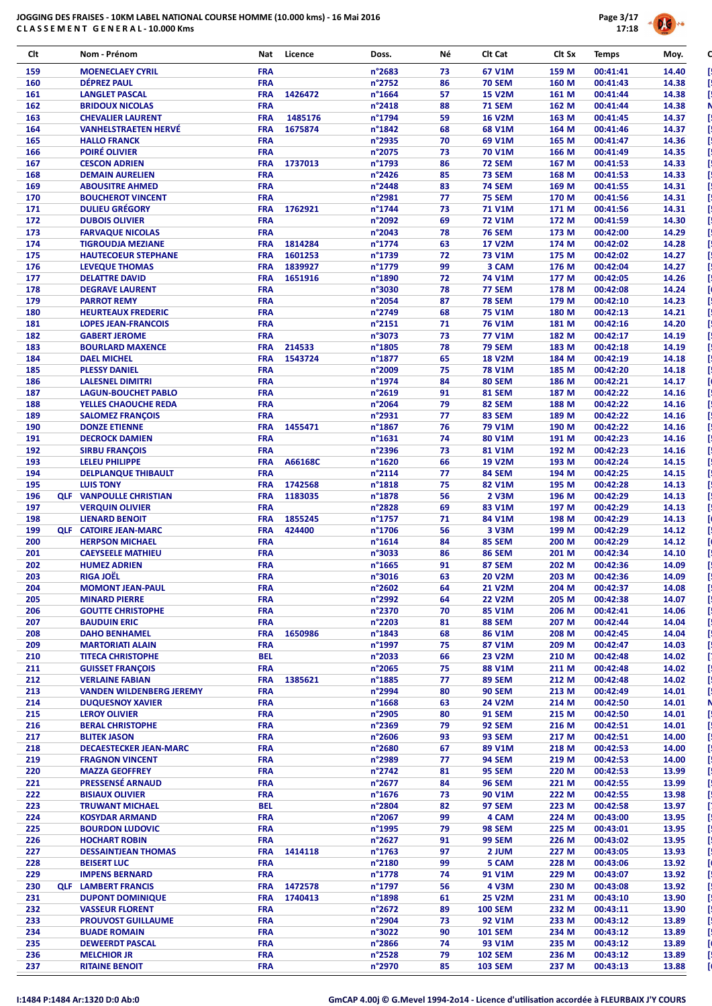

| Clt        |            | Nom - Prénom                                        | Nat                      | Licence | Doss.                      | Νé       | Clt Cat                        | Clt Sx         | <b>Temps</b>         | Moy.           |
|------------|------------|-----------------------------------------------------|--------------------------|---------|----------------------------|----------|--------------------------------|----------------|----------------------|----------------|
| 159        |            | <b>MOENECLAEY CYRIL</b>                             | <b>FRA</b>               |         | n°2683                     | 73       | 67 V1M                         | 159 M          | 00:41:41             | 14.40          |
| 160        |            | <b>DÉPREZ PAUL</b>                                  | <b>FRA</b>               |         | n°2752                     | 86       | <b>70 SEM</b>                  | 160 M          | 00:41:43             | 14.38          |
| 161        |            | <b>LANGLET PASCAL</b>                               | <b>FRA</b>               | 1426472 | n°1664                     | 57       | <b>15 V2M</b>                  | 161 M          | 00:41:44             | 14.38          |
| 162        |            | <b>BRIDOUX NICOLAS</b>                              | <b>FRA</b>               |         | $n^{\circ}$ 2418           | 88       | <b>71 SEM</b>                  | 162 M          | 00:41:44             | 14.38          |
| 163        |            | <b>CHEVALIER LAURENT</b>                            | <b>FRA</b>               | 1485176 | n°1794                     | 59       | <b>16 V2M</b>                  | 163 M          | 00:41:45             | 14.37          |
| 164        |            | <b>VANHELSTRAETEN HERVÉ</b>                         | <b>FRA</b>               | 1675874 | $n^{\circ}$ 1842           | 68       | 68 V1M                         | 164 M          | 00:41:46             | 14.37          |
| 165<br>166 |            | <b>HALLO FRANCK</b><br><b>POIRÉ OLIVIER</b>         | <b>FRA</b><br><b>FRA</b> |         | n°2935<br>n°2075           | 70<br>73 | 69 V1M<br>70 V1M               | 165 M<br>166 M | 00:41:47<br>00:41:49 | 14.36<br>14.35 |
| 167        |            | <b>CESCON ADRIEN</b>                                | <b>FRA</b>               | 1737013 | n°1793                     | 86       | <b>72 SEM</b>                  | 167 M          | 00:41:53             | 14.33          |
| 168        |            | <b>DEMAIN AURELIEN</b>                              | <b>FRA</b>               |         | n°2426                     | 85       | <b>73 SEM</b>                  | 168 M          | 00:41:53             | 14.33          |
| 169        |            | <b>ABOUSITRE AHMED</b>                              | <b>FRA</b>               |         | $n^{\circ}$ 2448           | 83       | <b>74 SEM</b>                  | 169 M          | 00:41:55             | 14.31          |
| 170        |            | <b>BOUCHEROT VINCENT</b>                            | <b>FRA</b>               |         | n°2981                     | 77       | <b>75 SEM</b>                  | 170 M          | 00:41:56             | 14.31          |
| 171        |            | <b>DULIEU GRÉGORY</b>                               | <b>FRA</b><br><b>FRA</b> | 1762921 | n°1744                     | 73<br>69 | <b>71 V1M</b>                  | 171 M          | 00:41:56             | 14.31          |
| 172<br>173 |            | <b>DUBOIS OLIVIER</b><br><b>FARVAQUE NICOLAS</b>    | <b>FRA</b>               |         | n°2092<br>n°2043           | 78       | <b>72 V1M</b><br><b>76 SEM</b> | 172 M<br>173 M | 00:41:59<br>00:42:00 | 14.30<br>14.29 |
| 174        |            | <b>TIGROUDJA MEZIANE</b>                            | <b>FRA</b>               | 1814284 | n°1774                     | 63       | <b>17 V2M</b>                  | 174 M          | 00:42:02             | 14.28          |
| 175        |            | <b>HAUTECOEUR STEPHANE</b>                          | <b>FRA</b>               | 1601253 | n°1739                     | 72       | <b>73 V1M</b>                  | 175 M          | 00:42:02             | 14.27          |
| 176        |            | <b>LEVEQUE THOMAS</b>                               | <b>FRA</b>               | 1839927 | n°1779                     | 99       | 3 CAM                          | 176 M          | 00:42:04             | 14.27          |
| 177        |            | <b>DELATTRE DAVID</b>                               | <b>FRA</b>               | 1651916 | n°1890                     | 72       | <b>74 V1M</b>                  | 177 M          | 00:42:05             | 14.26          |
| 178<br>179 |            | <b>DEGRAVE LAURENT</b><br><b>PARROT REMY</b>        | <b>FRA</b><br><b>FRA</b> |         | n°3030<br>n°2054           | 78<br>87 | <b>77 SEM</b><br><b>78 SEM</b> | 178 M<br>179 M | 00:42:08<br>00:42:10 | 14.24<br>14.23 |
| 180        |            | <b>HEURTEAUX FREDERIC</b>                           | <b>FRA</b>               |         | n°2749                     | 68       | <b>75 V1M</b>                  | 180 M          | 00:42:13             | 14.21          |
| 181        |            | <b>LOPES JEAN-FRANCOIS</b>                          | <b>FRA</b>               |         | n°2151                     | 71       | <b>76 V1M</b>                  | 181 M          | 00:42:16             | 14.20          |
| 182        |            | <b>GABERT JEROME</b>                                | <b>FRA</b>               |         | n°3073                     | 73       | <b>77 V1M</b>                  | 182 M          | 00:42:17             | 14.19          |
| 183        |            | <b>BOURLARD MAXENCE</b>                             | <b>FRA</b>               | 214533  | n°1805                     | 78       | <b>79 SEM</b>                  | 183 M          | 00:42:18             | 14.19          |
| 184<br>185 |            | <b>DAEL MICHEL</b><br><b>PLESSY DANIEL</b>          | <b>FRA</b><br><b>FRA</b> | 1543724 | n°1877<br>n°2009           | 65<br>75 | <b>18 V2M</b><br><b>78 V1M</b> | 184 M<br>185 M | 00:42:19<br>00:42:20 | 14.18<br>14.18 |
| 186        |            | <b>LALESNEL DIMITRI</b>                             | <b>FRA</b>               |         | n°1974                     | 84       | <b>80 SEM</b>                  | 186 M          | 00:42:21             | 14.17          |
| 187        |            | <b>LAGUN-BOUCHET PABLO</b>                          | <b>FRA</b>               |         | n°2619                     | 91       | <b>81 SEM</b>                  | 187 M          | 00:42:22             | 14.16          |
| 188        |            | YELLES CHAOUCHE REDA                                | <b>FRA</b>               |         | n°2064                     | 79       | 82 SEM                         | 188 M          | 00:42:22             | 14.16          |
| 189        |            | <b>SALOMEZ FRANÇOIS</b>                             | <b>FRA</b>               |         | n°2931                     | 77       | 83 SEM                         | 189 M          | 00:42:22             | 14.16          |
| 190        |            | <b>DONZE ETIENNE</b>                                | <b>FRA</b>               | 1455471 | n°1867                     | 76       | <b>79 V1M</b>                  | 190 M          | 00:42:22             | 14.16          |
| 191<br>192 |            | <b>DECROCK DAMIEN</b><br><b>SIRBU FRANÇOIS</b>      | <b>FRA</b><br><b>FRA</b> |         | n°1631<br>n°2396           | 74<br>73 | 80 V1M<br>81 V1M               | 191 M<br>192 M | 00:42:23<br>00:42:23 | 14.16<br>14.16 |
| 193        |            | <b>LELEU PHILIPPE</b>                               | <b>FRA</b>               | A66168C | n°1620                     | 66       | <b>19 V2M</b>                  | 193 M          | 00:42:24             | 14.15          |
| 194        |            | <b>DELPLANQUE THIBAULT</b>                          | <b>FRA</b>               |         | $n^{\circ}2114$            | 77       | 84 SEM                         | 194 M          | 00:42:25             | 14.15          |
| 195        |            | <b>LUIS TONY</b>                                    | <b>FRA</b>               | 1742568 | $n^{\circ}$ 1818           | 75       | 82 V1M                         | 195 M          | 00:42:28             | 14.13          |
| 196        |            | <b>QLF VANPOULLE CHRISTIAN</b>                      | <b>FRA</b>               | 1183035 | n°1878                     | 56       | 2 V3M                          | 196 M          | 00:42:29             | 14.13          |
| 197<br>198 |            | <b>VERQUIN OLIVIER</b><br><b>LIENARD BENOIT</b>     | <b>FRA</b><br><b>FRA</b> | 1855245 | n°2828<br>n°1757           | 69<br>71 | 83 V1M<br>84 V1M               | 197 M<br>198 M | 00:42:29<br>00:42:29 | 14.13<br>14.13 |
| 199        |            | <b>QLF CATOIRE JEAN-MARC</b>                        | <b>FRA</b>               | 424400  | n°1706                     | 56       | 3 V3M                          | 199 M          | 00:42:29             | 14.12          |
| 200        |            | <b>HERPSON MICHAEL</b>                              | <b>FRA</b>               |         | $n^{\circ}1614$            | 84       | 85 SEM                         | 200 M          | 00:42:29             | 14.12          |
| 201        |            | <b>CAEYSEELE MATHIEU</b>                            | <b>FRA</b>               |         | n°3033                     | 86       | <b>86 SEM</b>                  | 201 M          | 00:42:34             | 14.10          |
| 202<br>203 |            | <b>HUMEZ ADRIEN</b><br><b>RIGA JOËL</b>             | <b>FRA</b><br><b>FRA</b> |         | $n^{\circ}$ 1665<br>n°3016 | 91<br>63 | 87 SEM<br><b>20 V2M</b>        | 202 M<br>203 M | 00:42:36<br>00:42:36 | 14.09<br>14.09 |
| 204        |            | <b>MOMONT JEAN-PAUL</b>                             | <b>FRA</b>               |         | n°2602                     | 64       | 21 V2M                         | 204 M          | 00:42:37             | 14.08          |
| 205        |            | <b>MINARD PIERRE</b>                                | <b>FRA</b>               |         | n°2992                     | 64       | <b>22 V2M</b>                  | 205 M          | 00:42:38             | 14.07          |
| 206        |            | <b>GOUTTE CHRISTOPHE</b>                            | <b>FRA</b>               |         | n°2370                     | 70       | 85 V1M                         | 206 M          | 00:42:41             | 14.06          |
| 207        |            | <b>BAUDUIN ERIC</b>                                 | <b>FRA</b>               |         | $n^{\circ}$ 2203           | 81       | <b>88 SEM</b>                  | 207 M          | 00:42:44             | 14.04          |
| 208        |            | <b>DAHO BENHAMEL</b>                                | <b>FRA</b>               | 1650986 | $n^{\circ}$ 1843           | 68       | 86 V1M                         | 208 M          | 00:42:45             | 14.04          |
| 209<br>210 |            | <b>MARTORIATI ALAIN</b><br><b>TITECA CHRISTOPHE</b> | <b>FRA</b><br><b>BEL</b> |         | n°1997<br>n°2033           | 75<br>66 | 87 V1M<br>23 V2M               | 209 M<br>210 M | 00:42:47<br>00:42:48 | 14.03<br>14.02 |
| 211        |            | <b>GUISSET FRANCOIS</b>                             | <b>FRA</b>               |         | n°2065                     | 75       | 88 V1M                         | 211 M          | 00:42:48             | 14.02          |
| 212        |            | <b>VERLAINE FABIAN</b>                              | <b>FRA</b>               | 1385621 | $n^{\circ}$ 1885           | 77       | <b>89 SEM</b>                  | 212 M          | 00:42:48             | 14.02          |
| 213        |            | <b>VANDEN WILDENBERG JEREMY</b>                     | <b>FRA</b>               |         | n°2994                     | 80       | <b>90 SEM</b>                  | 213 M          | 00:42:49             | 14.01          |
| 214        |            | <b>DUQUESNOY XAVIER</b>                             | <b>FRA</b>               |         | $n^{\circ}$ 1668           | 63       | 24 V2M                         | 214 M          | 00:42:50             | 14.01          |
| 215<br>216 |            | <b>LEROY OLIVIER</b><br><b>BERAL CHRISTOPHE</b>     | <b>FRA</b><br><b>FRA</b> |         | n°2905<br>n°2369           | 80<br>79 | <b>91 SEM</b><br><b>92 SEM</b> | 215 M<br>216 M | 00:42:50<br>00:42:51 | 14.01<br>14.01 |
| 217        |            | <b>BLITEK JASON</b>                                 | <b>FRA</b>               |         | n°2606                     | 93       | <b>93 SEM</b>                  | 217 M          | 00:42:51             | 14.00          |
| 218        |            | <b>DECAESTECKER JEAN-MARC</b>                       | <b>FRA</b>               |         | n°2680                     | 67       | 89 V1M                         | 218 M          | 00:42:53             | 14.00          |
| 219        |            | <b>FRAGNON VINCENT</b>                              | <b>FRA</b>               |         | n°2989                     | 77       | <b>94 SEM</b>                  | 219 M          | 00:42:53             | 14.00          |
| 220        |            | <b>MAZZA GEOFFREY</b>                               | <b>FRA</b>               |         | $n^{\circ}$ 2742           | 81       | <b>95 SEM</b>                  | 220 M          | 00:42:53             | 13.99          |
| 221        |            | <b>PRESSENSÉ ARNAUD</b><br><b>BISIAUX OLIVIER</b>   | <b>FRA</b>               |         | n°2677<br>$n^{\circ}$ 1676 | 84       | <b>96 SEM</b>                  | 221 M          | 00:42:55             | 13.99          |
| 222<br>223 |            | <b>TRUWANT MICHAEL</b>                              | <b>FRA</b><br><b>BEL</b> |         | n°2804                     | 73<br>82 | 90 V1M<br><b>97 SEM</b>        | 222 M<br>223 M | 00:42:55<br>00:42:58 | 13.98<br>13.97 |
| 224        |            | <b>KOSYDAR ARMAND</b>                               | <b>FRA</b>               |         | n°2067                     | 99       | 4 CAM                          | 224 M          | 00:43:00             | 13.95          |
| 225        |            | <b>BOURDON LUDOVIC</b>                              | <b>FRA</b>               |         | n°1995                     | 79       | <b>98 SEM</b>                  | 225 M          | 00:43:01             | 13.95          |
| 226        |            | <b>HOCHART ROBIN</b>                                | <b>FRA</b>               |         | n°2627                     | 91       | <b>99 SEM</b>                  | 226 M          | 00:43:02             | 13.95          |
| 227        |            | <b>DESSAINTJEAN THOMAS</b>                          | <b>FRA</b>               | 1414118 | n°1763                     | 97       | 2 JUM                          | 227 M          | 00:43:05             | 13.93          |
| 228<br>229 |            | <b>BEISERT LUC</b><br><b>IMPENS BERNARD</b>         | <b>FRA</b><br><b>FRA</b> |         | n°2180<br>$n^{\circ}$ 1778 | 99<br>74 | 5 CAM<br>91 V1M                | 228 M<br>229 M | 00:43:06<br>00:43:07 | 13.92<br>13.92 |
| 230        | <b>QLF</b> | <b>LAMBERT FRANCIS</b>                              | <b>FRA</b>               | 1472578 | $n^{\circ}$ 1797           | 56       | 4 V3M                          | 230 M          | 00:43:08             | 13.92          |
| 231        |            | <b>DUPONT DOMINIQUE</b>                             | <b>FRA</b>               | 1740413 | n°1898                     | 61       | <b>25 V2M</b>                  | 231 M          | 00:43:10             | 13.90          |
| 232        |            | <b>VASSEUR FLORENT</b>                              | <b>FRA</b>               |         | $n^{\circ}2672$            | 89       | <b>100 SEM</b>                 | 232 M          | 00:43:11             | 13.90          |
| 233        |            | <b>PROUVOST GUILLAUME</b>                           | <b>FRA</b>               |         | n°2904                     | 73       | 92 V1M                         | 233 M          | 00:43:12             | 13.89          |
| 234<br>235 |            | <b>BUADE ROMAIN</b><br><b>DEWEERDT PASCAL</b>       | <b>FRA</b><br><b>FRA</b> |         | n°3022<br>n°2866           | 90<br>74 | <b>101 SEM</b><br>93 V1M       | 234 M<br>235 M | 00:43:12<br>00:43:12 | 13.89<br>13.89 |
| 236        |            | <b>MELCHIOR JR</b>                                  | <b>FRA</b>               |         | $n^{\circ}$ 2528           | 79       | <b>102 SEM</b>                 | 236 M          | 00:43:12             | 13.89          |
| 237        |            | <b>RITAINE BENOIT</b>                               | <b>FRA</b>               |         | n°2970                     | 85       | <b>103 SEM</b>                 | 237 M          | 00:43:13             | 13.88          |
|            |            |                                                     |                          |         |                            |          |                                |                |                      |                |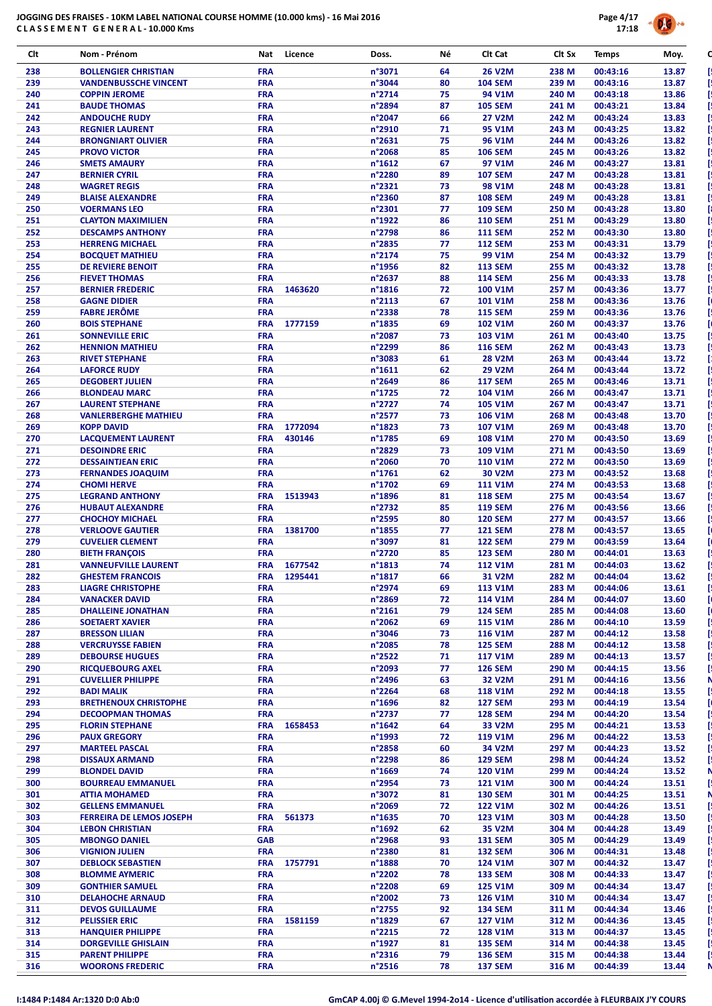

| Clt        | Nom - Prénom                                       | Nat                      | Licence     | Doss.                      | Νé       | Clt Cat                          | Clt Sx         | <b>Temps</b>         | Moy.           |
|------------|----------------------------------------------------|--------------------------|-------------|----------------------------|----------|----------------------------------|----------------|----------------------|----------------|
| 238        | <b>BOLLENGIER CHRISTIAN</b>                        | <b>FRA</b>               |             | n°3071                     | 64       | <b>26 V2M</b>                    | 238 M          | 00:43:16             | 13.87          |
| 239        | <b>VANDENBUSSCHE VINCENT</b>                       | <b>FRA</b>               |             | n°3044                     | 80       | <b>104 SEM</b>                   | 239 M          | 00:43:16             | 13.87          |
| 240        | <b>COPPIN JEROME</b>                               | <b>FRA</b>               |             | n°2714                     | 75       | 94 V1M                           | 240 M          | 00:43:18             | 13.86          |
| 241        | <b>BAUDE THOMAS</b>                                | <b>FRA</b>               |             | n°2894                     | 87       | <b>105 SEM</b>                   | 241 M          | 00:43:21             | 13.84          |
| 242        | <b>ANDOUCHE RUDY</b>                               | <b>FRA</b>               |             | n°2047                     | 66       | <b>27 V2M</b>                    | 242 M          | 00:43:24             | 13.83          |
| 243<br>244 | <b>REGNIER LAURENT</b>                             | <b>FRA</b><br><b>FRA</b> |             | n°2910                     | 71       | 95 V1M<br>96 V1M                 | 243 M          | 00:43:25             | 13.82          |
| 245        | <b>BRONGNIART OLIVIER</b><br><b>PROVO VICTOR</b>   | <b>FRA</b>               |             | n°2631<br>n°2068           | 75<br>85 | <b>106 SEM</b>                   | 244 M<br>245 M | 00:43:26<br>00:43:26 | 13.82<br>13.82 |
| 246        | <b>SMETS AMAURY</b>                                | <b>FRA</b>               |             | n°1612                     | 67       | 97 V1M                           | 246 M          | 00:43:27             | 13.81          |
| 247        | <b>BERNIER CYRIL</b>                               | <b>FRA</b>               |             | n°2280                     | 89       | <b>107 SEM</b>                   | 247 M          | 00:43:28             | 13.81          |
| 248        | <b>WAGRET REGIS</b>                                | <b>FRA</b>               |             | n°2321                     | 73       | 98 V1M                           | 248 M          | 00:43:28             | 13.81          |
| 249        | <b>BLAISE ALEXANDRE</b>                            | <b>FRA</b>               |             | n°2360                     | 87       | <b>108 SEM</b>                   | 249 M          | 00:43:28             | 13.81          |
| 250        | <b>VOERMANS LEO</b>                                | <b>FRA</b>               |             | n°2301                     | 77       | <b>109 SEM</b>                   | 250 M          | 00:43:28             | 13.80          |
| 251        | <b>CLAYTON MAXIMILIEN</b>                          | <b>FRA</b>               |             | n°1922                     | 86       | <b>110 SEM</b>                   | 251 M          | 00:43:29             | 13.80          |
| 252        | <b>DESCAMPS ANTHONY</b>                            | <b>FRA</b>               |             | n°2798                     | 86       | <b>111 SEM</b>                   | 252 M          | 00:43:30             | 13.80          |
| 253<br>254 | <b>HERRENG MICHAEL</b><br><b>BOCQUET MATHIEU</b>   | <b>FRA</b><br><b>FRA</b> |             | n°2835<br>n°2174           | 77<br>75 | <b>112 SEM</b><br>99 V1M         | 253 M<br>254 M | 00:43:31<br>00:43:32 | 13.79<br>13.79 |
| 255        | DE REVIERE BENOIT                                  | <b>FRA</b>               |             | n°1956                     | 82       | <b>113 SEM</b>                   | 255 M          | 00:43:32             | 13.78          |
| 256        | <b>FIEVET THOMAS</b>                               | <b>FRA</b>               |             | n°2637                     | 88       | <b>114 SEM</b>                   | 256 M          | 00:43:33             | 13.78          |
| 257        | <b>BERNIER FREDERIC</b>                            | <b>FRA</b>               | 1463620     | $n^{\circ}$ 1816           | 72       | 100 V1M                          | 257 M          | 00:43:36             | 13.77          |
| 258        | <b>GAGNE DIDIER</b>                                | <b>FRA</b>               |             | n°2113                     | 67       | 101 V1M                          | 258 M          | 00:43:36             | 13.76          |
| 259        | <b>FABRE JERÔME</b>                                | <b>FRA</b>               |             | n°2338                     | 78       | <b>115 SEM</b>                   | 259 M          | 00:43:36             | 13.76          |
| 260        | <b>BOIS STEPHANE</b>                               | <b>FRA</b>               | 1777159     | n°1835                     | 69       | 102 V1M                          | 260 M          | 00:43:37             | 13.76          |
| 261        | <b>SONNEVILLE ERIC</b>                             | <b>FRA</b>               |             | n°2087                     | 73       | 103 V1M                          | 261 M          | 00:43:40             | 13.75          |
| 262        | <b>HENNION MATHIEU</b>                             | <b>FRA</b>               |             | n°2299                     | 86       | <b>116 SEM</b>                   | 262 M          | 00:43:43             | 13.73          |
| 263        | <b>RIVET STEPHANE</b>                              | <b>FRA</b>               |             | n°3083                     | 61       | <b>28 V2M</b>                    | 263 M          | 00:43:44             | 13.72          |
| 264<br>265 | <b>LAFORCE RUDY</b><br><b>DEGOBERT JULIEN</b>      | <b>FRA</b><br><b>FRA</b> |             | n°1611<br>n°2649           | 62<br>86 | <b>29 V2M</b><br><b>117 SEM</b>  | 264 M<br>265 M | 00:43:44<br>00:43:46 | 13.72<br>13.71 |
| 266        | <b>BLONDEAU MARC</b>                               | <b>FRA</b>               |             | n°1725                     | 72       | 104 V1M                          | 266 M          | 00:43:47             | 13.71          |
| 267        | <b>LAURENT STEPHANE</b>                            | <b>FRA</b>               |             | n°2727                     | 74       | <b>105 V1M</b>                   | 267 M          | 00:43:47             | 13.71          |
| 268        | <b>VANLERBERGHE MATHIEU</b>                        | <b>FRA</b>               |             | n°2577                     | 73       | 106 V1M                          | 268 M          | 00:43:48             | 13.70          |
| 269        | <b>KOPP DAVID</b>                                  | <b>FRA</b>               | 1772094     | n°1823                     | 73       | 107 V1M                          | 269 M          | 00:43:48             | 13.70          |
| 270        | <b>LACQUEMENT LAURENT</b>                          | <b>FRA</b>               | 430146      | n°1785                     | 69       | <b>108 V1M</b>                   | 270 M          | 00:43:50             | 13.69          |
| 271        | <b>DESOINDRE ERIC</b>                              | <b>FRA</b>               |             | n°2829                     | 73       | 109 V1M                          | 271 M          | 00:43:50             | 13.69          |
| 272        | <b>DESSAINTJEAN ERIC</b>                           | <b>FRA</b>               |             | n°2060                     | 70       | <b>110 V1M</b>                   | 272 M          | 00:43:50             | 13.69          |
| 273        | <b>FERNANDES JOAQUIM</b>                           | <b>FRA</b>               |             | n°1761                     | 62       | 30 V2M                           | 273 M          | 00:43:52             | 13.68          |
| 274<br>275 | <b>CHOMI HERVE</b><br><b>LEGRAND ANTHONY</b>       | <b>FRA</b><br><b>FRA</b> | 1513943     | n°1702<br>n°1896           | 69<br>81 | <b>111 V1M</b><br><b>118 SEM</b> | 274 M<br>275 M | 00:43:53<br>00:43:54 | 13.68<br>13.67 |
| 276        | <b>HUBAUT ALEXANDRE</b>                            | <b>FRA</b>               |             | n°2732                     | 85       | <b>119 SEM</b>                   | 276 M          | 00:43:56             | 13.66          |
| 277        | <b>CHOCHOY MICHAEL</b>                             | <b>FRA</b>               |             | n°2595                     | 80       | <b>120 SEM</b>                   | 277 M          | 00:43:57             | 13.66          |
| 278        | <b>VERLOOVE GAUTIER</b>                            | <b>FRA</b>               | 1381700     | n°1855                     | 77       | <b>121 SEM</b>                   | 278 M          | 00:43:57             | 13.65          |
| 279        | <b>CUVELIER CLEMENT</b>                            | <b>FRA</b>               |             | n°3097                     | 81       | <b>122 SEM</b>                   | 279 M          | 00:43:59             | 13.64          |
| 280        | <b>BIETH FRANÇOIS</b>                              | <b>FRA</b>               |             | n°2720                     | 85       | <b>123 SEM</b>                   | 280 M          | 00:44:01             | 13.63          |
| 281        | <b>VANNEUFVILLE LAURENT</b>                        | <b>FRA</b>               | 1677542     | n°1813                     | 74       | <b>112 V1M</b>                   | 281 M          | 00:44:03             | 13.62          |
| 282        | <b>GHESTEM FRANCOIS</b>                            |                          | FRA 1295441 | n°1817                     | 66       | 31 V2M                           | 282 M          | 00:44:04             | 13.62          |
| 283        | <b>LIAGRE CHRISTOPHE</b>                           | <b>FRA</b>               |             | n°2974                     | 69       | <b>113 V1M</b>                   | 283 M          | 00:44:06             | 13.61          |
| 284<br>285 | <b>VANACKER DAVID</b><br><b>DHALLEINE JONATHAN</b> | <b>FRA</b><br><b>FRA</b> |             | n°2869<br>n°2161           | 72<br>79 | <b>114 V1M</b><br><b>124 SEM</b> | 284 M<br>285 M | 00:44:07<br>00:44:08 | 13.60<br>13.60 |
| 286        | <b>SOETAERT XAVIER</b>                             | <b>FRA</b>               |             | n°2062                     | 69       | <b>115 V1M</b>                   | 286 M          | 00:44:10             | 13.59          |
| 287        | <b>BRESSON LILIAN</b>                              | <b>FRA</b>               |             | n°3046                     | 73       | <b>116 V1M</b>                   | 287 M          | 00:44:12             | 13.58          |
| 288        | <b>VERCRUYSSE FABIEN</b>                           | <b>FRA</b>               |             | n°2085                     | 78       | <b>125 SEM</b>                   | 288 M          | 00:44:12             | 13.58          |
| 289        | <b>DEBOURSE HUGUES</b>                             | <b>FRA</b>               |             | $n^{\circ}$ 2522           | 71       | <b>117 V1M</b>                   | 289 M          | 00:44:13             | 13.57          |
| 290        | <b>RICQUEBOURG AXEL</b>                            | <b>FRA</b>               |             | n°2093                     | 77       | <b>126 SEM</b>                   | 290 M          | 00:44:15             | 13.56          |
| 291        | <b>CUVELLIER PHILIPPE</b>                          | <b>FRA</b>               |             | n°2496                     | 63       | 32 V2M                           | 291 M          | 00:44:16             | 13.56          |
| 292        | <b>BADI MALIK</b>                                  | <b>FRA</b>               |             | n°2264                     | 68       | <b>118 V1M</b>                   | 292 M          | 00:44:18             | 13.55          |
| 293        | <b>BRETHENOUX CHRISTOPHE</b>                       | <b>FRA</b>               |             | n°1696<br>n°2737           | 82       | <b>127 SEM</b>                   | 293 M          | 00:44:19             | 13.54          |
| 294<br>295 | <b>DECOOPMAN THOMAS</b><br><b>FLORIN STEPHANE</b>  | <b>FRA</b><br><b>FRA</b> | 1658453     | $n^{\circ}$ 1642           | 77<br>64 | <b>128 SEM</b><br>33 V2M         | 294 M<br>295 M | 00:44:20<br>00:44:21 | 13.54<br>13.53 |
| 296        | <b>PAUX GREGORY</b>                                | <b>FRA</b>               |             | n°1993                     | 72       | 119 V1M                          | 296 M          | 00:44:22             | 13.53          |
| 297        | <b>MARTEEL PASCAL</b>                              | <b>FRA</b>               |             | n°2858                     | 60       | 34 V2M                           | 297 M          | 00:44:23             | 13.52          |
| 298        | <b>DISSAUX ARMAND</b>                              | <b>FRA</b>               |             | n°2298                     | 86       | <b>129 SEM</b>                   | 298 M          | 00:44:24             | 13.52          |
| 299        | <b>BLONDEL DAVID</b>                               | <b>FRA</b>               |             | n°1669                     | 74       | <b>120 V1M</b>                   | 299 M          | 00:44:24             | 13.52          |
| 300        | <b>BOURREAU EMMANUEL</b>                           | <b>FRA</b>               |             | n°2954                     | 73       | <b>121 V1M</b>                   | 300 M          | 00:44:24             | 13.51          |
| 301        | <b>ATTIA MOHAMED</b>                               | <b>FRA</b>               |             | n°3072                     | 81       | <b>130 SEM</b>                   | 301 M          | 00:44:25             | 13.51          |
| 302        | <b>GELLENS EMMANUEL</b>                            | <b>FRA</b>               |             | n°2069                     | 72       | <b>122 V1M</b>                   | 302 M          | 00:44:26             | 13.51          |
| 303        | <b>FERREIRA DE LEMOS JOSEPH</b>                    | <b>FRA</b>               | 561373      | $n^{\circ}$ 1635           | 70       | 123 V1M                          | 303 M          | 00:44:28             | 13.50          |
| 304<br>305 | <b>LEBON CHRISTIAN</b><br><b>MBONGO DANIEL</b>     | <b>FRA</b><br><b>GAB</b> |             | $n^{\circ}$ 1692<br>n°2968 | 62<br>93 | 35 V2M<br><b>131 SEM</b>         | 304 M<br>305 M | 00:44:28<br>00:44:29 | 13.49<br>13.49 |
| 306        | <b>VIGNION JULIEN</b>                              | <b>FRA</b>               |             | n°2380                     | 81       | <b>132 SEM</b>                   | 306 M          | 00:44:31             | 13.48          |
| 307        | <b>DEBLOCK SEBASTIEN</b>                           | <b>FRA</b>               | 1757791     | n°1888                     | 70       | 124 V1M                          | 307 M          | 00:44:32             | 13.47          |
| 308        | <b>BLOMME AYMERIC</b>                              | <b>FRA</b>               |             | n°2202                     | 78       | <b>133 SEM</b>                   | 308 M          | 00:44:33             | 13.47          |
| 309        | <b>GONTHIER SAMUEL</b>                             | <b>FRA</b>               |             | n°2208                     | 69       | <b>125 V1M</b>                   | 309 M          | 00:44:34             | 13.47          |
| 310        | <b>DELAHOCHE ARNAUD</b>                            | <b>FRA</b>               |             | n°2002                     | 73       | 126 V1M                          | 310 M          | 00:44:34             | 13.47          |
| 311        | <b>DEVOS GUILLAUME</b>                             | <b>FRA</b>               |             | n°2755                     | 92       | <b>134 SEM</b>                   | 311 M          | 00:44:34             | 13.46          |
| 312        | <b>PELISSIER ERIC</b>                              | <b>FRA</b>               | 1581159     | n°1829                     | 67       | <b>127 V1M</b>                   | 312 M          | 00:44:36             | 13.45          |
| 313        | <b>HANQUIER PHILIPPE</b>                           | <b>FRA</b>               |             | $n^{\circ}$ 2215           | 72       | <b>128 V1M</b>                   | 313 M          | 00:44:37             | 13.45          |
| 314        | <b>DORGEVILLE GHISLAIN</b>                         | <b>FRA</b>               |             | n°1927                     | 81       | <b>135 SEM</b>                   | 314 M          | 00:44:38             | 13.45          |
| 315        | <b>PARENT PHILIPPE</b>                             | <b>FRA</b>               |             | $n^{\circ}$ 2316           | 79       | <b>136 SEM</b>                   | 315 M          | 00:44:38             | 13.44          |
| 316        | <b>WOORONS FREDERIC</b>                            | <b>FRA</b>               |             | $n^{\circ}2516$            | 78       | <b>137 SEM</b>                   | 316 M          | 00:44:39             | 13.44          |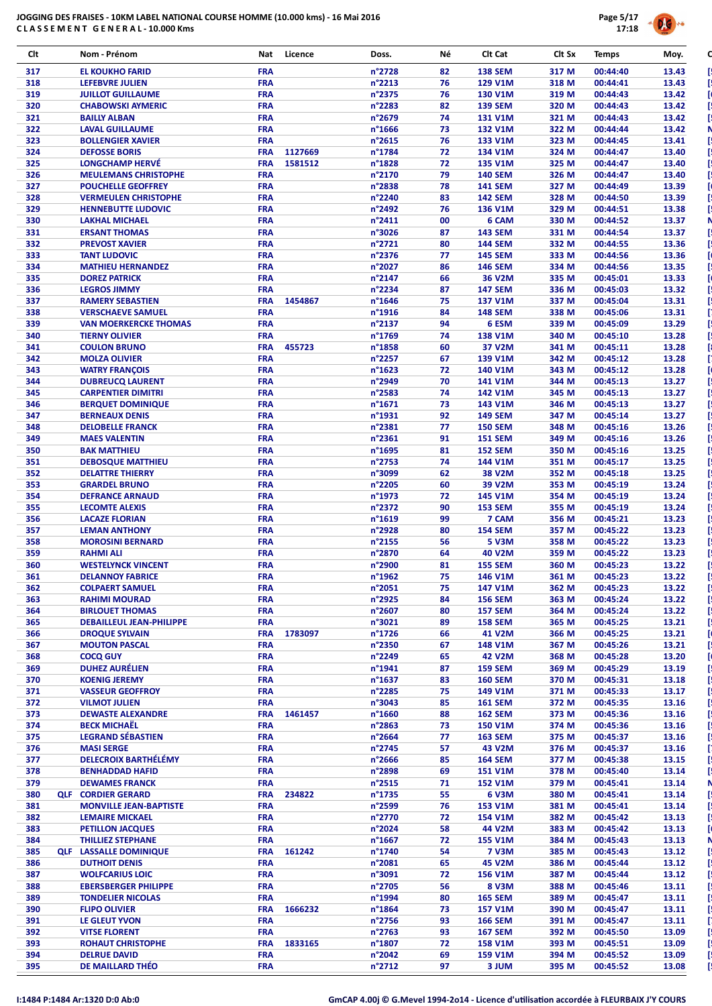

| Clt        | Nom - Prénom                                             | Nat                      | Licence | Doss.                     | Νé       | Clt Cat                          | Clt Sx         | <b>Temps</b>         | Moy.           |
|------------|----------------------------------------------------------|--------------------------|---------|---------------------------|----------|----------------------------------|----------------|----------------------|----------------|
| 317        | <b>EL KOUKHO FARID</b>                                   | <b>FRA</b>               |         | n°2728                    | 82       | <b>138 SEM</b>                   | 317 M          | 00:44:40             | 13.43          |
| 318        | <b>LEFEBVRE JULIEN</b>                                   | <b>FRA</b>               |         | n°2213                    | 76       | 129 V1M                          | 318 M          | 00:44:41             | 13.43          |
| 319        | <b>JUILLOT GUILLAUME</b>                                 | <b>FRA</b>               |         | n°2375                    | 76       | <b>130 V1M</b>                   | 319 M          | 00:44:43             | 13.42          |
| 320        | <b>CHABOWSKI AYMERIC</b>                                 | <b>FRA</b>               |         | n°2283                    | 82       | <b>139 SEM</b>                   | 320 M          | 00:44:43             | 13.42          |
| 321<br>322 | <b>BAILLY ALBAN</b><br><b>LAVAL GUILLAUME</b>            | <b>FRA</b><br><b>FRA</b> |         | n°2679<br>n°1666          | 74<br>73 | <b>131 V1M</b><br>132 V1M        | 321 M<br>322 M | 00:44:43<br>00:44:44 | 13.42<br>13.42 |
| 323        | <b>BOLLENGIER XAVIER</b>                                 | <b>FRA</b>               |         | n°2615                    | 76       | 133 V1M                          | 323 M          | 00:44:45             | 13.41          |
| 324        | <b>DEFOSSE BORIS</b>                                     | <b>FRA</b>               | 1127669 | n°1784                    | 72       | 134 V1M                          | 324 M          | 00:44:47             | 13.40          |
| 325        | LONGCHAMP HERVE                                          | <b>FRA</b>               | 1581512 | n°1828                    | 72       | 135 V1M                          | 325 M          | 00:44:47             | 13.40          |
| 326<br>327 | <b>MEULEMANS CHRISTOPHE</b>                              | <b>FRA</b><br><b>FRA</b> |         | n°2170<br>n°2838          | 79       | <b>140 SEM</b>                   | 326 M          | 00:44:47             | 13.40          |
| 328        | <b>POUCHELLE GEOFFREY</b><br><b>VERMEULEN CHRISTOPHE</b> | <b>FRA</b>               |         | n°2240                    | 78<br>83 | <b>141 SEM</b><br><b>142 SEM</b> | 327 M<br>328 M | 00:44:49<br>00:44:50 | 13.39<br>13.39 |
| 329        | <b>HENNEBUTTE LUDOVIC</b>                                | <b>FRA</b>               |         | n°2492                    | 76       | <b>136 V1M</b>                   | 329 M          | 00:44:51             | 13.38          |
| 330        | <b>LAKHAL MICHAEL</b>                                    | <b>FRA</b>               |         | n°2411                    | 00       | 6 CAM                            | 330 M          | 00:44:52             | 13.37          |
| 331        | <b>ERSANT THOMAS</b>                                     | <b>FRA</b>               |         | n°3026                    | 87       | <b>143 SEM</b>                   | 331 M          | 00:44:54             | 13.37          |
| 332<br>333 | <b>PREVOST XAVIER</b><br><b>TANT LUDOVIC</b>             | <b>FRA</b><br><b>FRA</b> |         | n°2721<br>n°2376          | 80<br>77 | <b>144 SEM</b><br><b>145 SEM</b> | 332 M<br>333 M | 00:44:55<br>00:44:56 | 13.36<br>13.36 |
| 334        | <b>MATHIEU HERNANDEZ</b>                                 | <b>FRA</b>               |         | n°2027                    | 86       | <b>146 SEM</b>                   | 334 M          | 00:44:56             | 13.35          |
| 335        | <b>DOREZ PATRICK</b>                                     | <b>FRA</b>               |         | n°2147                    | 66       | 36 V2M                           | 335 M          | 00:45:01             | 13.33          |
| 336        | <b>LEGROS JIMMY</b>                                      | <b>FRA</b>               |         | n°2234                    | 87       | <b>147 SEM</b>                   | 336 M          | 00:45:03             | 13.32          |
| 337        | <b>RAMERY SEBASTIEN</b>                                  | <b>FRA</b>               | 1454867 | n°1646                    | 75       | <b>137 V1M</b>                   | 337 M          | 00:45:04             | 13.31          |
| 338<br>339 | <b>VERSCHAEVE SAMUEL</b><br><b>VAN MOERKERCKE THOMAS</b> | <b>FRA</b><br><b>FRA</b> |         | n°1916<br>n°2137          | 84<br>94 | <b>148 SEM</b><br>6 ESM          | 338 M<br>339 M | 00:45:06<br>00:45:09 | 13.31<br>13.29 |
| 340        | <b>TIERNY OLIVIER</b>                                    | <b>FRA</b>               |         | n°1769                    | 74       | 138 V1M                          | 340 M          | 00:45:10             | 13.28          |
| 341        | <b>COULON BRUNO</b>                                      | <b>FRA</b>               | 455723  | n°1858                    | 60       | 37 V2M                           | 341 M          | 00:45:11             | 13.28          |
| 342        | <b>MOLZA OLIVIER</b>                                     | <b>FRA</b>               |         | n°2257                    | 67       | 139 V1M                          | 342 M          | 00:45:12             | 13.28          |
| 343        | <b>WATRY FRANCOIS</b>                                    | <b>FRA</b>               |         | n°1623                    | 72       | 140 V1M                          | 343 M          | 00:45:12             | 13.28          |
| 344<br>345 | <b>DUBREUCQ LAURENT</b><br><b>CARPENTIER DIMITRI</b>     | <b>FRA</b><br><b>FRA</b> |         | n°2949<br>n°2583          | 70<br>74 | 141 V1M<br>142 V1M               | 344 M<br>345 M | 00:45:13<br>00:45:13 | 13.27<br>13.27 |
| 346        | <b>BERQUET DOMINIQUE</b>                                 | <b>FRA</b>               |         | n°1671                    | 73       | 143 V1M                          | 346 M          | 00:45:13             | 13.27          |
| 347        | <b>BERNEAUX DENIS</b>                                    | <b>FRA</b>               |         | n°1931                    | 92       | <b>149 SEM</b>                   | 347 M          | 00:45:14             | 13.27          |
| 348        | <b>DELOBELLE FRANCK</b>                                  | <b>FRA</b>               |         | n°2381                    | 77       | <b>150 SEM</b>                   | 348 M          | 00:45:16             | 13.26          |
| 349<br>350 | <b>MAES VALENTIN</b><br><b>BAK MATTHIEU</b>              | <b>FRA</b><br><b>FRA</b> |         | n°2361<br>n°1695          | 91<br>81 | <b>151 SEM</b><br><b>152 SEM</b> | 349 M<br>350 M | 00:45:16<br>00:45:16 | 13.26<br>13.25 |
| 351        | <b>DEBOSQUE MATTHIEU</b>                                 | <b>FRA</b>               |         | n°2753                    | 74       | 144 V1M                          | 351 M          | 00:45:17             | 13.25          |
| 352        | <b>DELATTRE THIERRY</b>                                  | <b>FRA</b>               |         | n°3099                    | 62       | 38 V <sub>2</sub> M              | 352 M          | 00:45:18             | 13.25          |
| 353        | <b>GRARDEL BRUNO</b>                                     | <b>FRA</b>               |         | n°2205                    | 60       | 39 V2M                           | 353 M          | 00:45:19             | 13.24          |
| 354        | <b>DEFRANCE ARNAUD</b>                                   | <b>FRA</b>               |         | n°1973                    | 72       | 145 V1M                          | 354 M          | 00:45:19             | 13.24          |
| 355<br>356 | <b>LECOMTE ALEXIS</b><br><b>LACAZE FLORIAN</b>           | <b>FRA</b><br><b>FRA</b> |         | n°2372<br>n°1619          | 90<br>99 | <b>153 SEM</b><br>7 CAM          | 355 M<br>356 M | 00:45:19<br>00:45:21 | 13.24<br>13.23 |
| 357        | <b>LEMAN ANTHONY</b>                                     | <b>FRA</b>               |         | n°2928                    | 80       | <b>154 SEM</b>                   | 357 M          | 00:45:22             | 13.23          |
| 358        | <b>MOROSINI BERNARD</b>                                  | <b>FRA</b>               |         | n°2155                    | 56       | 5 V3M                            | 358 M          | 00:45:22             | 13.23          |
| 359        | <b>RAHMI ALI</b>                                         | <b>FRA</b>               |         | n°2870                    | 64       | 40 V2M                           | 359 M          | 00:45:22             | 13.23          |
| 360        | <b>WESTELYNCK VINCENT</b>                                | <b>FRA</b>               |         | n°2900                    | 81       | <b>155 SEM</b>                   | 360 M          | 00:45:23             | 13.22          |
| 361<br>362 | <b>DELANNOY FABRICE</b><br><b>COLPAERT SAMUEL</b>        | <b>FRA</b><br><b>FRA</b> |         | n°1962<br>n°2051          | 75<br>75 | 146 V1M<br>147 V1M               | 361 M<br>362 M | 00:45:23<br>00:45:23 | 13.22<br>13.22 |
| 363        | <b>RAHIMI MOURAD</b>                                     | <b>FRA</b>               |         | n°2925                    | 84       | <b>156 SEM</b>                   | 363 M          | 00:45:24             | 13.22          |
| 364        | <b>BIRLOUET THOMAS</b>                                   | <b>FRA</b>               |         | n°2607                    | 80       | <b>157 SEM</b>                   | 364 M          | 00:45:24             | 13.22          |
| 365        | <b>DEBAILLEUL JEAN-PHILIPPE</b>                          | <b>FRA</b>               |         | n°3021                    | 89       | <b>158 SEM</b>                   | 365 M          | 00:45:25             | 13.21          |
| 366        | <b>DROQUE SYLVAIN</b>                                    | <b>FRA</b>               | 1783097 | $n^{\circ}$ 1726          | 66       | 41 V2M                           | 366 M          | 00:45:25             | 13.21          |
| 367<br>368 | <b>MOUTON PASCAL</b><br><b>COCQ GUY</b>                  | <b>FRA</b><br><b>FRA</b> |         | n°2350<br>n°2249          | 67<br>65 | 148 V1M<br>42 V2M                | 367 M<br>368 M | 00:45:26<br>00:45:28 | 13.21<br>13.20 |
| 369        | <b>DUHEZ AURÉLIEN</b>                                    | <b>FRA</b>               |         | n°1941                    | 87       | <b>159 SEM</b>                   | 369 M          | 00:45:29             | 13.19          |
| 370        | <b>KOENIG JEREMY</b>                                     | <b>FRA</b>               |         | n°1637                    | 83       | <b>160 SEM</b>                   | 370 M          | 00:45:31             | 13.18          |
| 371        | <b>VASSEUR GEOFFROY</b>                                  | <b>FRA</b>               |         | n°2285                    | 75       | 149 V1M                          | 371 M          | 00:45:33             | 13.17          |
| 372        | <b>VILMOT JULIEN</b>                                     | <b>FRA</b>               |         | n°3043                    | 85       | <b>161 SEM</b>                   | 372 M          | 00:45:35             | 13.16          |
| 373<br>374 | <b>DEWASTE ALEXANDRE</b><br><b>BECK MICHAËL</b>          | <b>FRA</b><br><b>FRA</b> | 1461457 | n°1660<br>n°2863          | 88<br>73 | <b>162 SEM</b><br><b>150 V1M</b> | 373 M<br>374 M | 00:45:36<br>00:45:36 | 13.16<br>13.16 |
| 375        | <b>LEGRAND SÉBASTIEN</b>                                 | <b>FRA</b>               |         | n°2664                    | 77       | <b>163 SEM</b>                   | 375 M          | 00:45:37             | 13.16          |
| 376        | <b>MASI SERGE</b>                                        | <b>FRA</b>               |         | $n^{\circ}$ 2745          | 57       | 43 V2M                           | 376 M          | 00:45:37             | 13.16          |
| 377        | <b>DELECROIX BARTHÉLÉMY</b>                              | <b>FRA</b>               |         | $n^{\circ}$ 2666          | 85       | <b>164 SEM</b>                   | 377 M          | 00:45:38             | 13.15          |
| 378<br>379 | <b>BENHADDAD HAFID</b>                                   | <b>FRA</b>               |         | n°2898                    | 69       | <b>151 V1M</b>                   | 378 M          | 00:45:40             | 13.14          |
| 380        | <b>DEWAMES FRANCK</b><br><b>QLF CORDIER GERARD</b>       | <b>FRA</b><br><b>FRA</b> | 234822  | $n^{\circ}2515$<br>n°1735 | 71<br>55 | <b>152 V1M</b><br>6 V3M          | 379 M<br>380 M | 00:45:41<br>00:45:41 | 13.14<br>13.14 |
| 381        | <b>MONVILLE JEAN-BAPTISTE</b>                            | <b>FRA</b>               |         | n°2599                    | 76       | 153 V1M                          | 381 M          | 00:45:41             | 13.14          |
| 382        | <b>LEMAIRE MICKAEL</b>                                   | <b>FRA</b>               |         | n°2770                    | 72       | 154 V1M                          | 382 M          | 00:45:42             | 13.13          |
| 383        | <b>PETILLON JACQUES</b>                                  | <b>FRA</b>               |         | n°2024                    | 58       | 44 V2M                           | 383 M          | 00:45:42             | 13.13          |
| 384        | <b>THILLIEZ STEPHANE</b>                                 | <b>FRA</b>               |         | n°1667                    | 72       | <b>155 V1M</b>                   | 384 M          | 00:45:43             | 13.13          |
| 385<br>386 | <b>QLF LASSALLE DOMINIQUE</b><br><b>DUTHOIT DENIS</b>    | <b>FRA</b><br><b>FRA</b> | 161242  | n°1740<br>n°2081          | 54<br>65 | <b>7 V3M</b><br>45 V2M           | 385 M<br>386 M | 00:45:43<br>00:45:44 | 13.12<br>13.12 |
| 387        | <b>WOLFCARIUS LOIC</b>                                   | <b>FRA</b>               |         | n°3091                    | 72       | <b>156 V1M</b>                   | 387 M          | 00:45:44             | 13.12          |
| 388        | <b>EBERSBERGER PHILIPPE</b>                              | <b>FRA</b>               |         | n°2705                    | 56       | 8 V3M                            | 388 M          | 00:45:46             | 13.11          |
| 389        | <b>TONDELIER NICOLAS</b>                                 | <b>FRA</b>               |         | n°1994                    | 80       | <b>165 SEM</b>                   | 389 M          | 00:45:47             | 13.11          |
| 390<br>391 | <b>FLIPO OLIVIER</b><br>LE GLEUT YVON                    | <b>FRA</b><br><b>FRA</b> | 1666232 | n°1864<br>n°2756          | 73<br>93 | <b>157 V1M</b><br><b>166 SEM</b> | 390 M<br>391 M | 00:45:47<br>00:45:47 | 13.11<br>13.11 |
| 392        | <b>VITSE FLORENT</b>                                     | <b>FRA</b>               |         | n°2763                    | 93       | <b>167 SEM</b>                   | 392 M          | 00:45:50             | 13.09          |
| 393        | <b>ROHAUT CHRISTOPHE</b>                                 | <b>FRA</b>               | 1833165 | n°1807                    | 72       | <b>158 V1M</b>                   | 393 M          | 00:45:51             | 13.09          |
| 394        | <b>DELRUE DAVID</b>                                      | <b>FRA</b>               |         | n°2042                    | 69       | 159 V1M                          | 394 M          | 00:45:52             | 13.09          |
| 395        | DE MAILLARD THÉO                                         | <b>FRA</b>               |         | $n^{\circ}2712$           | 97       | 3 JUM                            | 395 M          | 00:45:52             | 13.08          |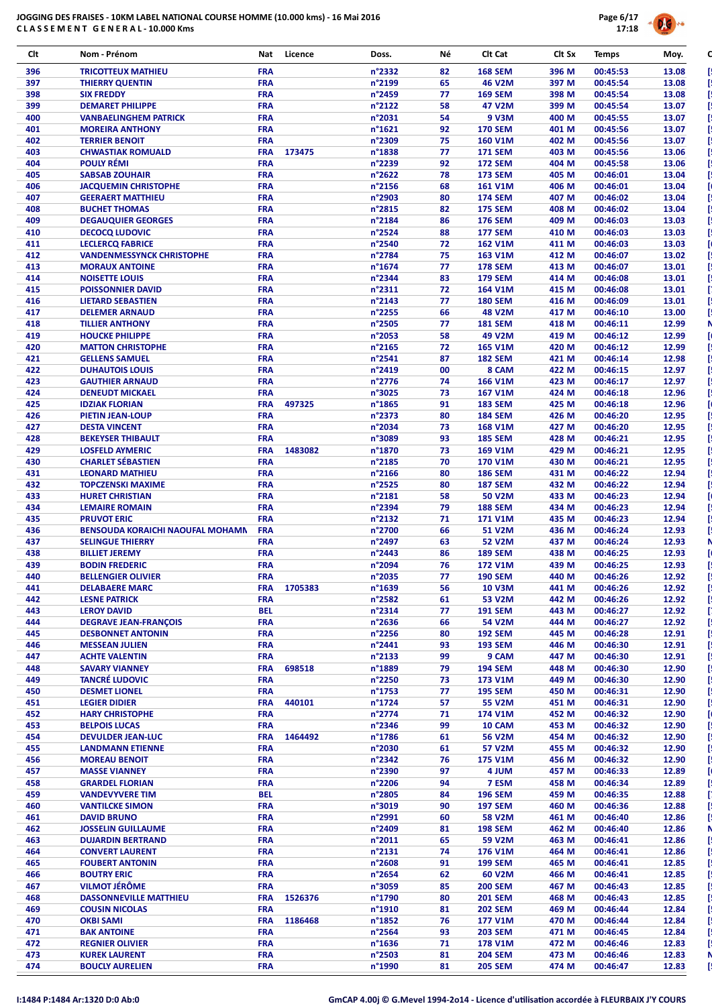

| Clt        | Nom - Prénom                                                | Nat                      | Licence | Doss.            | Νé       | Clt Cat                          | Clt Sx         | <b>Temps</b>         | Moy.           |
|------------|-------------------------------------------------------------|--------------------------|---------|------------------|----------|----------------------------------|----------------|----------------------|----------------|
| 396        | <b>TRICOTTEUX MATHIEU</b>                                   | <b>FRA</b>               |         | n°2332           | 82       | <b>168 SEM</b>                   | 396 M          | 00:45:53             | 13.08          |
| 397        | <b>THIERRY QUENTIN</b>                                      | <b>FRA</b>               |         | n°2199           | 65       | 46 V2M                           | 397 M          | 00:45:54             | 13.08          |
| 398        | <b>SIX FREDDY</b>                                           | <b>FRA</b>               |         | n°2459           | 77       | <b>169 SEM</b>                   | 398 M          | 00:45:54             | 13.08          |
| 399        | <b>DEMARET PHILIPPE</b>                                     | <b>FRA</b>               |         | n°2122           | 58       | 47 V2M                           | 399 M          | 00:45:54             | 13.07          |
| 400        | <b>VANBAELINGHEM PATRICK</b>                                | <b>FRA</b>               |         | n°2031           | 54       | 9 V3M                            | 400 M          | 00:45:55             | 13.07          |
| 401<br>402 | <b>MOREIRA ANTHONY</b><br><b>TERRIER BENOIT</b>             | <b>FRA</b><br><b>FRA</b> |         | n°1621<br>n°2309 | 92<br>75 | <b>170 SEM</b><br><b>160 V1M</b> | 401 M<br>402 M | 00:45:56             | 13.07          |
| 403        | <b>CHWASTIAK ROMUALD</b>                                    | <b>FRA</b>               | 173475  | n°1838           | 77       | <b>171 SEM</b>                   | 403 M          | 00:45:56<br>00:45:56 | 13.07<br>13.06 |
| 404        | <b>POULY RÉMI</b>                                           | <b>FRA</b>               |         | n°2239           | 92       | <b>172 SEM</b>                   | 404 M          | 00:45:58             | 13.06          |
| 405        | <b>SABSAB ZOUHAIR</b>                                       | <b>FRA</b>               |         | n°2622           | 78       | <b>173 SEM</b>                   | 405 M          | 00:46:01             | 13.04          |
| 406        | <b>JACQUEMIN CHRISTOPHE</b>                                 | <b>FRA</b>               |         | n°2156           | 68       | <b>161 V1M</b>                   | 406 M          | 00:46:01             | 13.04          |
| 407        | <b>GEERAERT MATTHIEU</b>                                    | <b>FRA</b>               |         | n°2903           | 80       | <b>174 SEM</b>                   | 407 M          | 00:46:02             | 13.04          |
| 408        | <b>BUCHET THOMAS</b>                                        | <b>FRA</b>               |         | n°2815           | 82       | <b>175 SEM</b>                   | 408 M          | 00:46:02             | 13.04          |
| 409        | <b>DEGAUQUIER GEORGES</b>                                   | <b>FRA</b>               |         | n°2184           | 86       | <b>176 SEM</b>                   | 409 M          | 00:46:03             | 13.03          |
| 410        | <b>DECOCQ LUDOVIC</b>                                       | <b>FRA</b>               |         | n°2524           | 88       | <b>177 SEM</b>                   | 410 M          | 00:46:03             | 13.03          |
| 411<br>412 | <b>LECLERCQ FABRICE</b><br><b>VANDENMESSYNCK CHRISTOPHE</b> | <b>FRA</b><br><b>FRA</b> |         | n°2540<br>n°2784 | 72<br>75 | <b>162 V1M</b><br>163 V1M        | 411 M          | 00:46:03             | 13.03          |
| 413        | <b>MORAUX ANTOINE</b>                                       | <b>FRA</b>               |         | n°1674           | 77       | <b>178 SEM</b>                   | 412 M<br>413 M | 00:46:07<br>00:46:07 | 13.02<br>13.01 |
| 414        | <b>NOISETTE LOUIS</b>                                       | <b>FRA</b>               |         | n°2344           | 83       | <b>179 SEM</b>                   | 414 M          | 00:46:08             | 13.01          |
| 415        | <b>POISSONNIER DAVID</b>                                    | <b>FRA</b>               |         | n°2311           | 72       | 164 V1M                          | 415 M          | 00:46:08             | 13.01          |
| 416        | <b>LIETARD SEBASTIEN</b>                                    | <b>FRA</b>               |         | n°2143           | 77       | <b>180 SEM</b>                   | 416 M          | 00:46:09             | 13.01          |
| 417        | <b>DELEMER ARNAUD</b>                                       | <b>FRA</b>               |         | n°2255           | 66       | 48 V2M                           | 417 M          | 00:46:10             | 13.00          |
| 418        | <b>TILLIER ANTHONY</b>                                      | <b>FRA</b>               |         | n°2505           | 77       | <b>181 SEM</b>                   | 418 M          | 00:46:11             | 12.99          |
| 419        | <b>HOUCKE PHILIPPE</b>                                      | <b>FRA</b>               |         | n°2053           | 58       | 49 V2M                           | 419 M          | 00:46:12             | 12.99          |
| 420        | <b>MATTON CHRISTOPHE</b>                                    | <b>FRA</b>               |         | n°2165           | 72       | 165 V1M                          | 420 M          | 00:46:12             | 12.99          |
| 421        | <b>GELLENS SAMUEL</b>                                       | <b>FRA</b>               |         | n°2541           | 87       | <b>182 SEM</b>                   | 421 M          | 00:46:14             | 12.98          |
| 422<br>423 | <b>DUHAUTOIS LOUIS</b><br><b>GAUTHIER ARNAUD</b>            | <b>FRA</b><br><b>FRA</b> |         | n°2419<br>n°2776 | 00<br>74 | 8 CAM<br>166 V1M                 | 422 M<br>423 M | 00:46:15<br>00:46:17 | 12.97<br>12.97 |
| 424        | <b>DENEUDT MICKAEL</b>                                      | <b>FRA</b>               |         | n°3025           | 73       | 167 V1M                          | 424 M          | 00:46:18             | 12.96          |
| 425        | <b>IDZIAK FLORIAN</b>                                       | <b>FRA</b>               | 497325  | n°1865           | 91       | <b>183 SEM</b>                   | 425 M          | 00:46:18             | 12.96          |
| 426        | <b>PIETIN JEAN-LOUP</b>                                     | <b>FRA</b>               |         | n°2373           | 80       | <b>184 SEM</b>                   | 426 M          | 00:46:20             | 12.95          |
| 427        | <b>DESTA VINCENT</b>                                        | <b>FRA</b>               |         | n°2034           | 73       | <b>168 V1M</b>                   | 427 M          | 00:46:20             | 12.95          |
| 428        | <b>BEKEYSER THIBAULT</b>                                    | <b>FRA</b>               |         | n°3089           | 93       | <b>185 SEM</b>                   | 428 M          | 00:46:21             | 12.95          |
| 429        | <b>LOSFELD AYMERIC</b>                                      | <b>FRA</b>               | 1483082 | n°1870           | 73       | 169 V1M                          | 429 M          | 00:46:21             | 12.95          |
| 430        | <b>CHARLET SÉBASTIEN</b>                                    | <b>FRA</b>               |         | n°2185           | 70       | <b>170 V1M</b>                   | 430 M          | 00:46:21             | 12.95          |
| 431<br>432 | <b>LEONARD MATHIEU</b>                                      | <b>FRA</b><br><b>FRA</b> |         | n°2166<br>n°2525 | 80<br>80 | <b>186 SEM</b>                   | 431 M          | 00:46:22             | 12.94          |
| 433        | <b>TOPCZENSKI MAXIME</b><br><b>HURET CHRISTIAN</b>          | <b>FRA</b>               |         | n°2181           | 58       | <b>187 SEM</b><br>50 V2M         | 432 M<br>433 M | 00:46:22<br>00:46:23 | 12.94<br>12.94 |
| 434        | <b>LEMAIRE ROMAIN</b>                                       | <b>FRA</b>               |         | n°2394           | 79       | <b>188 SEM</b>                   | 434 M          | 00:46:23             | 12.94          |
| 435        | <b>PRUVOT ERIC</b>                                          | <b>FRA</b>               |         | n°2132           | 71       | 171 V1M                          | 435 M          | 00:46:23             | 12.94          |
| 436        | BENSOUDA KORAICHI NAOUFAL MOHAMN                            | <b>FRA</b>               |         | n°2700           | 66       | 51 V2M                           | 436 M          | 00:46:24             | 12.93          |
| 437        | <b>SELINGUE THIERRY</b>                                     | <b>FRA</b>               |         | n°2497           | 63       | 52 V2M                           | 437 M          | 00:46:24             | 12.93          |
| 438        | <b>BILLIET JEREMY</b>                                       | <b>FRA</b>               |         | n°2443           | 86       | <b>189 SEM</b>                   | 438 M          | 00:46:25             | 12.93          |
| 439        | <b>BODIN FREDERIC</b>                                       | <b>FRA</b>               |         | n°2094           | 76       | 172 V1M                          | 439 M          | 00:46:25             | 12.93          |
| 440        | <b>BELLENGIER OLIVIER</b>                                   | <b>FRA</b>               |         | n°2035           | 77       | <b>190 SEM</b>                   | 440 M          | 00:46:26             | 12.92          |
| 441        | <b>DELABAERE MARC</b>                                       | <b>FRA</b>               | 1705383 | n°1639           | 56       | <b>10 V3M</b>                    | 441 M          | 00:46:26             | 12.92          |
| 442<br>443 | <b>LESNE PATRICK</b><br><b>LEROY DAVID</b>                  | <b>FRA</b><br><b>BEL</b> |         | n°2582<br>n°2314 | 61<br>77 | 53 V2M<br><b>191 SEM</b>         | 442 M<br>443 M | 00:46:26<br>00:46:27 | 12.92<br>12.92 |
| 444        | <b>DEGRAVE JEAN-FRANÇOIS</b>                                | <b>FRA</b>               |         | $n^{\circ}$ 2636 | 66       | 54 V2M                           | 444 M          | 00:46:27             | 12.92          |
| 445        | <b>DESBONNET ANTONIN</b>                                    | <b>FRA</b>               |         | $n^{\circ}$ 2256 | 80       | <b>192 SEM</b>                   | 445 M          | 00:46:28             | 12.91          |
| 446        | <b>MESSEAN JULIEN</b>                                       | <b>FRA</b>               |         | n°2441           | 93       | <b>193 SEM</b>                   | 446 M          | 00:46:30             | 12.91          |
| 447        | <b>ACHTE VALENTIN</b>                                       | <b>FRA</b>               |         | n°2133           | 99       | 9 CAM                            | 447 M          | 00:46:30             | 12.91          |
| 448        | <b>SAVARY VIANNEY</b>                                       | <b>FRA</b>               | 698518  | n°1889           | 79       | <b>194 SEM</b>                   | 448 M          | 00:46:30             | 12.90          |
| 449        | <b>TANCRÉ LUDOVIC</b>                                       | <b>FRA</b>               |         | n°2250           | 73       | 173 V1M                          | 449 M          | 00:46:30             | 12.90          |
| 450        | <b>DESMET LIONEL</b>                                        | <b>FRA</b>               |         | n°1753           | 77       | <b>195 SEM</b>                   | 450 M          | 00:46:31             | 12.90          |
| 451<br>452 | <b>LEGIER DIDIER</b><br><b>HARY CHRISTOPHE</b>              | <b>FRA</b><br><b>FRA</b> | 440101  | n°1724<br>n°2774 | 57<br>71 | 55 V2M<br>174 V1M                | 451 M<br>452 M | 00:46:31<br>00:46:32 | 12.90<br>12.90 |
| 453        | <b>BELPOIS LUCAS</b>                                        | <b>FRA</b>               |         | n°2346           | 99       | 10 CAM                           | 453 M          | 00:46:32             | 12.90          |
| 454        | <b>DEVULDER JEAN-LUC</b>                                    | <b>FRA</b>               | 1464492 | n°1786           | 61       | 56 V2M                           | 454 M          | 00:46:32             | 12.90          |
| 455        | <b>LANDMANN ETIENNE</b>                                     | <b>FRA</b>               |         | n°2030           | 61       | 57 V2M                           | 455 M          | 00:46:32             | 12.90          |
| 456        | <b>MOREAU BENOIT</b>                                        | <b>FRA</b>               |         | $n^{\circ}$ 2342 | 76       | 175 V1M                          | 456 M          | 00:46:32             | 12.90          |
| 457        | <b>MASSE VIANNEY</b>                                        | <b>FRA</b>               |         | n°2390           | 97       | 4 JUM                            | 457 M          | 00:46:33             | 12.89          |
| 458        | <b>GRARDEL FLORIAN</b>                                      | <b>FRA</b>               |         | n°2206           | 94       | 7 ESM                            | 458 M          | 00:46:34             | 12.89          |
| 459        | <b>VANDEVYVERE TIM</b>                                      | BEL                      |         | n°2805           | 84       | <b>196 SEM</b>                   | 459 M          | 00:46:35             | 12.88          |
| 460        | <b>VANTILCKE SIMON</b>                                      | <b>FRA</b>               |         | n°3019           | 90       | <b>197 SEM</b>                   | 460 M          | 00:46:36             | 12.88          |
| 461        | <b>DAVID BRUNO</b>                                          | <b>FRA</b>               |         | n°2991           | 60       | <b>58 V2M</b>                    | 461 M          | 00:46:40             | 12.86          |
| 462<br>463 | <b>JOSSELIN GUILLAUME</b><br><b>DUJARDIN BERTRAND</b>       | <b>FRA</b><br><b>FRA</b> |         | n°2409<br>n°2011 | 81<br>65 | <b>198 SEM</b><br>59 V2M         | 462 M<br>463 M | 00:46:40<br>00:46:41 | 12.86<br>12.86 |
| 464        | <b>CONVERT LAURENT</b>                                      | <b>FRA</b>               |         | n°2131           | 74       | 176 V1M                          | 464 M          | 00:46:41             | 12.86          |
| 465        | <b>FOUBERT ANTONIN</b>                                      | <b>FRA</b>               |         | n°2608           | 91       | <b>199 SEM</b>                   | 465 M          | 00:46:41             | 12.85          |
| 466        | <b>BOUTRY ERIC</b>                                          | <b>FRA</b>               |         | n°2654           | 62       | 60 V2M                           | 466 M          | 00:46:41             | 12.85          |
| 467        | <b>VILMOT JÉRÔME</b>                                        | <b>FRA</b>               |         | n°3059           | 85       | <b>200 SEM</b>                   | 467 M          | 00:46:43             | 12.85          |
| 468        | <b>DASSONNEVILLE MATTHIEU</b>                               | <b>FRA</b>               | 1526376 | n°1790           | 80       | <b>201 SEM</b>                   | 468 M          | 00:46:43             | 12.85          |
| 469        | <b>COUSIN NICOLAS</b>                                       | <b>FRA</b>               |         | n°1910           | 81       | <b>202 SEM</b>                   | 469 M          | 00:46:44             | 12.84          |
| 470        | <b>OKBI SAMI</b>                                            | <b>FRA</b>               | 1186468 | n°1852           | 76       | 177 V1M                          | 470 M          | 00:46:44             | 12.84          |
| 471        | <b>BAK ANTOINE</b>                                          | <b>FRA</b>               |         | n°2564           | 93       | <b>203 SEM</b>                   | 471 M          | 00:46:45             | 12.84          |
| 472        | <b>REGNIER OLIVIER</b>                                      | <b>FRA</b>               |         | $n^{\circ}$ 1636 | 71       | 178 V1M                          | 472 M          | 00:46:46             | 12.83          |
| 473        | <b>KUREK LAURENT</b>                                        | <b>FRA</b>               |         | n°2503           | 81       | <b>204 SEM</b>                   | 473 M          | 00:46:46             | 12.83          |
| 474        | <b>BOUCLY AURELIEN</b>                                      | <b>FRA</b>               |         | n°1990           | 81       | <b>205 SEM</b>                   | 474 M          | 00:46:47             | 12.83          |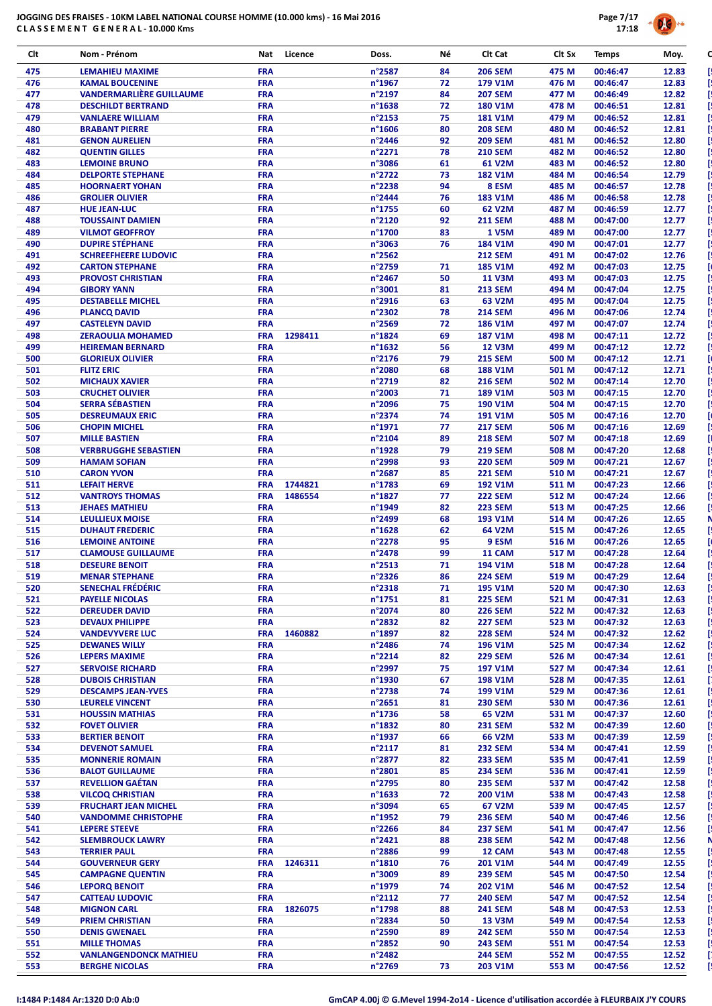

| Clt        | Nom - Prénom                                          | Nat                      | Licence | Doss.                                | Νé       | Clt Cat                          | Clt Sx         | <b>Temps</b>         | Moy.           |
|------------|-------------------------------------------------------|--------------------------|---------|--------------------------------------|----------|----------------------------------|----------------|----------------------|----------------|
| 475        | <b>LEMAHIEU MAXIME</b>                                | <b>FRA</b>               |         | n°2587                               | 84       | <b>206 SEM</b>                   | 475 M          | 00:46:47             | 12.83          |
| 476        | <b>KAMAL BOUCENINE</b>                                | <b>FRA</b>               |         | n°1967                               | 72       | 179 V1M                          | 476 M          | 00:46:47             | 12.83          |
| 477        | <b>VANDERMARLIÈRE GUILLAUME</b>                       | <b>FRA</b>               |         | n°2197                               | 84       | <b>207 SEM</b>                   | 477 M          | 00:46:49             | 12.82          |
| 478<br>479 | <b>DESCHILDT BERTRAND</b><br><b>VANLAERE WILLIAM</b>  | <b>FRA</b><br><b>FRA</b> |         | n°1638<br>n°2153                     | 72<br>75 | <b>180 V1M</b><br><b>181 V1M</b> | 478 M<br>479 M | 00:46:51<br>00:46:52 | 12.81<br>12.81 |
| 480        | <b>BRABANT PIERRE</b>                                 | <b>FRA</b>               |         | $n^{\circ}$ 1606                     | 80       | <b>208 SEM</b>                   | 480 M          | 00:46:52             | 12.81          |
| 481        | <b>GENON AURELIEN</b>                                 | <b>FRA</b>               |         | n°2446                               | 92       | <b>209 SEM</b>                   | 481 M          | 00:46:52             | 12.80          |
| 482        | <b>QUENTIN GILLES</b>                                 | <b>FRA</b>               |         | n°2271                               | 78       | <b>210 SEM</b>                   | 482 M          | 00:46:52             | 12.80          |
| 483        | <b>LEMOINE BRUNO</b>                                  | <b>FRA</b>               |         | n°3086                               | 61       | 61 V2M                           | 483 M          | 00:46:52             | 12.80          |
| 484<br>485 | <b>DELPORTE STEPHANE</b><br><b>HOORNAERT YOHAN</b>    | <b>FRA</b><br><b>FRA</b> |         | n°2722<br>n°2238                     | 73<br>94 | <b>182 V1M</b><br>8 ESM          | 484 M<br>485 M | 00:46:54<br>00:46:57 | 12.79<br>12.78 |
| 486        | <b>GROLIER OLIVIER</b>                                | <b>FRA</b>               |         | n°2444                               | 76       | 183 V1M                          | 486 M          | 00:46:58             | 12.78          |
| 487        | <b>HUE JEAN-LUC</b>                                   | <b>FRA</b>               |         | n°1755                               | 60       | 62 V2M                           | 487 M          | 00:46:59             | 12.77          |
| 488        | <b>TOUSSAINT DAMIEN</b>                               | <b>FRA</b>               |         | n°2120                               | 92       | <b>211 SEM</b>                   | 488 M          | 00:47:00             | 12.77          |
| 489        | <b>VILMOT GEOFFROY</b>                                | <b>FRA</b>               |         | n°1700                               | 83       | 1 V5M                            | 489 M          | 00:47:00             | 12.77          |
| 490<br>491 | <b>DUPIRE STÉPHANE</b><br><b>SCHREEFHEERE LUDOVIC</b> | <b>FRA</b><br><b>FRA</b> |         | n°3063<br>$n^{\circ}$ 2562           | 76       | 184 V1M<br><b>212 SEM</b>        | 490 M<br>491 M | 00:47:01<br>00:47:02 | 12.77<br>12.76 |
| 492        | <b>CARTON STEPHANE</b>                                | <b>FRA</b>               |         | n°2759                               | 71       | <b>185 V1M</b>                   | 492 M          | 00:47:03             | 12.75          |
| 493        | <b>PROVOST CHRISTIAN</b>                              | <b>FRA</b>               |         | n°2467                               | 50       | <b>11 V3M</b>                    | 493 M          | 00:47:03             | 12.75          |
| 494        | <b>GIBORY YANN</b>                                    | <b>FRA</b>               |         | n°3001                               | 81       | <b>213 SEM</b>                   | 494 M          | 00:47:04             | 12.75          |
| 495        | <b>DESTABELLE MICHEL</b>                              | <b>FRA</b>               |         | n°2916                               | 63       | 63 V2M                           | 495 M          | 00:47:04             | 12.75          |
| 496<br>497 | <b>PLANCQ DAVID</b><br><b>CASTELEYN DAVID</b>         | <b>FRA</b><br><b>FRA</b> |         | n°2302<br>n°2569                     | 78<br>72 | <b>214 SEM</b><br>186 V1M        | 496 M<br>497 M | 00:47:06<br>00:47:07 | 12.74<br>12.74 |
| 498        | <b>ZERAOULIA MOHAMED</b>                              | <b>FRA</b>               | 1298411 | n°1824                               | 69       | <b>187 V1M</b>                   | 498 M          | 00:47:11             | 12.72          |
| 499        | <b>HEIREMAN BERNARD</b>                               | <b>FRA</b>               |         | $n^{\circ}$ 1632                     | 56       | <b>12 V3M</b>                    | 499 M          | 00:47:12             | 12.72          |
| 500        | <b>GLORIEUX OLIVIER</b>                               | <b>FRA</b>               |         | n°2176                               | 79       | <b>215 SEM</b>                   | 500 M          | 00:47:12             | 12.71          |
| 501        | <b>FLITZ ERIC</b>                                     | <b>FRA</b>               |         | n°2080                               | 68       | <b>188 V1M</b>                   | 501 M          | 00:47:12             | 12.71          |
| 502        | <b>MICHAUX XAVIER</b>                                 | <b>FRA</b>               |         | n°2719                               | 82       | <b>216 SEM</b>                   | 502 M          | 00:47:14             | 12.70          |
| 503<br>504 | <b>CRUCHET OLIVIER</b><br><b>SERRA SÉBASTIEN</b>      | <b>FRA</b><br><b>FRA</b> |         | n°2003<br>n°2096                     | 71<br>75 | 189 V1M<br>190 V1M               | 503 M<br>504 M | 00:47:15<br>00:47:15 | 12.70<br>12.70 |
| 505        | <b>DESREUMAUX ERIC</b>                                | <b>FRA</b>               |         | n°2374                               | 74       | 191 V1M                          | 505 M          | 00:47:16             | 12.70          |
| 506        | <b>CHOPIN MICHEL</b>                                  | <b>FRA</b>               |         | n°1971                               | 77       | <b>217 SEM</b>                   | 506 M          | 00:47:16             | 12.69          |
| 507        | <b>MILLE BASTIEN</b>                                  | <b>FRA</b>               |         | n°2104                               | 89       | <b>218 SEM</b>                   | 507 M          | 00:47:18             | 12.69          |
| 508        | <b>VERBRUGGHE SEBASTIEN</b>                           | <b>FRA</b>               |         | n°1928                               | 79       | <b>219 SEM</b>                   | 508 M          | 00:47:20             | 12.68          |
| 509<br>510 | <b>HAMAM SOFIAN</b><br><b>CARON YVON</b>              | <b>FRA</b><br><b>FRA</b> |         | n°2998<br>n°2687                     | 93<br>85 | <b>220 SEM</b><br><b>221 SEM</b> | 509 M<br>510 M | 00:47:21<br>00:47:21 | 12.67<br>12.67 |
| 511        | <b>LEFAIT HERVE</b>                                   | <b>FRA</b>               | 1744821 | $n^{\circ}$ 1783                     | 69       | 192 V1M                          | 511 M          | 00:47:23             | 12.66          |
| 512        | <b>VANTROYS THOMAS</b>                                | <b>FRA</b>               | 1486554 | n°1827                               | 77       | <b>222 SEM</b>                   | 512 M          | 00:47:24             | 12.66          |
| 513        | <b>JEHAES MATHIEU</b>                                 | <b>FRA</b>               |         | n°1949                               | 82       | <b>223 SEM</b>                   | 513 M          | 00:47:25             | 12.66          |
| 514        | <b>LEULLIEUX MOISE</b>                                | <b>FRA</b>               |         | n°2499                               | 68       | 193 V1M                          | 514 M          | 00:47:26             | 12.65          |
| 515<br>516 | <b>DUHAUT FREDERIC</b><br><b>LEMOINE ANTOINE</b>      | <b>FRA</b><br><b>FRA</b> |         | $n^{\circ}$ 1628<br>n°2278           | 62<br>95 | 64 V2M<br>9 ESM                  | 515 M<br>516 M | 00:47:26<br>00:47:26 | 12.65<br>12.65 |
| 517        | <b>CLAMOUSE GUILLAUME</b>                             | <b>FRA</b>               |         | n°2478                               | 99       | 11 CAM                           | 517 M          | 00:47:28             | 12.64          |
| 518        | <b>DESEURE BENOIT</b>                                 | <b>FRA</b>               |         | $n^{\circ}2513$                      | 71       | 194 V1M                          | 518 M          | 00:47:28             | 12.64          |
| 519        | <b>MENAR STEPHANE</b>                                 | <b>FRA</b>               |         | n°2326                               | 86       | <b>224 SEM</b>                   | 519 M          | 00:47:29             | 12.64          |
| 520        | <b>SENECHAL FRÉDÉRIC</b>                              | <b>FRA</b>               |         | $n^{\circ}$ 2318                     | 71       | 195 V1M                          | 520 M          | 00:47:30             | 12.63          |
| 521<br>522 | <b>PAYELLE NICOLAS</b><br><b>DEREUDER DAVID</b>       | <b>FRA</b><br><b>FRA</b> |         | $n^{\circ}$ 1751<br>n°2074           | 81<br>80 | <b>225 SEM</b><br><b>226 SEM</b> | 521 M<br>522 M | 00:47:31<br>00:47:32 | 12.63<br>12.63 |
| 523        | <b>DEVAUX PHILIPPE</b>                                | <b>FRA</b>               |         | n°2832                               | 82       | <b>227 SEM</b>                   | 523 M          | 00:47:32             | 12.63          |
| 524        | <b>VANDEVYVERE LUC</b>                                | <b>FRA</b>               | 1460882 | $n^{\circ}$ 1897                     | 82       | <b>228 SEM</b>                   | 524 M          | 00:47:32             | 12.62          |
| 525        | <b>DEWANES WILLY</b>                                  | <b>FRA</b>               |         | n°2486                               | 74       | 196 V1M                          | 525 M          | 00:47:34             | 12.62          |
| 526        | <b>LEPERS MAXIME</b>                                  | <b>FRA</b>               |         | $n^{\circ}$ 2214                     | 82       | <b>229 SEM</b>                   | 526 M          | 00:47:34             | 12.61          |
| 527        | <b>SERVOISE RICHARD</b>                               | <b>FRA</b>               |         | n°2997                               | 75       | 197 V1M                          | 527 M          | 00:47:34             | 12.61          |
| 528<br>529 | <b>DUBOIS CHRISTIAN</b><br><b>DESCAMPS JEAN-YVES</b>  | <b>FRA</b><br><b>FRA</b> |         | n°1930<br>$n^{\circ}$ 2738           | 67<br>74 | 198 V1M<br>199 V1M               | 528 M<br>529 M | 00:47:35<br>00:47:36 | 12.61<br>12.61 |
| 530        | <b>LEURELE VINCENT</b>                                | <b>FRA</b>               |         | $n^{\circ}2651$                      | 81       | <b>230 SEM</b>                   | 530 M          | 00:47:36             | 12.61          |
| 531        | <b>HOUSSIN MATHIAS</b>                                | <b>FRA</b>               |         | $n^{\circ}$ 1736                     | 58       | 65 V2M                           | 531 M          | 00:47:37             | 12.60          |
| 532        | <b>FOVET OLIVIER</b>                                  | <b>FRA</b>               |         | n°1832                               | 80       | <b>231 SEM</b>                   | 532 M          | 00:47:39             | 12.60          |
| 533        | <b>BERTIER BENOIT</b>                                 | <b>FRA</b>               |         | $n^{\circ}$ 1937                     | 66       | 66 V2M                           | 533 M          | 00:47:39             | 12.59          |
| 534<br>535 | <b>DEVENOT SAMUEL</b>                                 | <b>FRA</b>               |         | $n^{\circ}2117$<br>n°2877            | 81       | <b>232 SEM</b><br><b>233 SEM</b> | 534 M          | 00:47:41<br>00:47:41 | 12.59<br>12.59 |
| 536        | <b>MONNERIE ROMAIN</b><br><b>BALOT GUILLAUME</b>      | <b>FRA</b><br><b>FRA</b> |         | n°2801                               | 82<br>85 | <b>234 SEM</b>                   | 535 M<br>536 M | 00:47:41             | 12.59          |
| 537        | <b>REVELLION GAÉTAN</b>                               | <b>FRA</b>               |         | n°2795                               | 80       | <b>235 SEM</b>                   | 537 M          | 00:47:42             | 12.58          |
| 538        | <b>VILCOQ CHRISTIAN</b>                               | <b>FRA</b>               |         | $n^{\circ}$ 1633                     | 72       | 200 V1M                          | 538 M          | 00:47:43             | 12.58          |
| 539        | <b>FRUCHART JEAN MICHEL</b>                           | <b>FRA</b>               |         | n°3094                               | 65       | 67 V2M                           | 539 M          | 00:47:45             | 12.57          |
| 540        | <b>VANDOMME CHRISTOPHE</b>                            | <b>FRA</b>               |         | $n^{\circ}$ 1952                     | 79       | <b>236 SEM</b>                   | 540 M          | 00:47:46             | 12.56          |
| 541<br>542 | <b>LEPERE STEEVE</b><br><b>SLEMBROUCK LAWRY</b>       | <b>FRA</b><br><b>FRA</b> |         | $n^{\circ}$ 2266<br>$n^{\circ}$ 2421 | 84<br>88 | <b>237 SEM</b><br><b>238 SEM</b> | 541 M<br>542 M | 00:47:47<br>00:47:48 | 12.56<br>12.56 |
| 543        | <b>TERRIER PAUL</b>                                   | <b>FRA</b>               |         | n°2886                               | 99       | 12 CAM                           | 543 M          | 00:47:48             | 12.55          |
| 544        | <b>GOUVERNEUR GERY</b>                                | <b>FRA</b>               | 1246311 | n°1810                               | 76       | 201 V1M                          | 544 M          | 00:47:49             | 12.55          |
| 545        | <b>CAMPAGNE QUENTIN</b>                               | <b>FRA</b>               |         | n°3009                               | 89       | <b>239 SEM</b>                   | 545 M          | 00:47:50             | 12.54          |
| 546        | <b>LEPORQ BENOIT</b>                                  | <b>FRA</b>               |         | n°1979                               | 74       | 202 V1M                          | 546 M          | 00:47:52             | 12.54          |
| 547<br>548 | <b>CATTEAU LUDOVIC</b><br><b>MIGNON CARL</b>          | <b>FRA</b><br><b>FRA</b> | 1826075 | $n^{\circ}2112$<br>$n^{\circ}$ 1798  | 77<br>88 | <b>240 SEM</b><br><b>241 SEM</b> | 547 M<br>548 M | 00:47:52<br>00:47:53 | 12.54<br>12.53 |
| 549        | <b>PRIEM CHRISTIAN</b>                                | <b>FRA</b>               |         | n°2834                               | 50       | <b>13 V3M</b>                    | 549 M          | 00:47:54             | 12.53          |
| 550        | <b>DENIS GWENAEL</b>                                  | <b>FRA</b>               |         | n°2590                               | 89       | <b>242 SEM</b>                   | 550 M          | 00:47:54             | 12.53          |
| 551        | <b>MILLE THOMAS</b>                                   | <b>FRA</b>               |         | $n^{\circ}$ 2852                     | 90       | <b>243 SEM</b>                   | 551 M          | 00:47:54             | 12.53          |
| 552        | <b>VANLANGENDONCK MATHIEU</b>                         | <b>FRA</b>               |         | n°2482                               |          | <b>244 SEM</b>                   | 552 M          | 00:47:55             | 12.52          |
| 553        | <b>BERGHE NICOLAS</b>                                 | <b>FRA</b>               |         | n°2769                               | 73       | 203 V1M                          | 553 M          | 00:47:56             | 12.52          |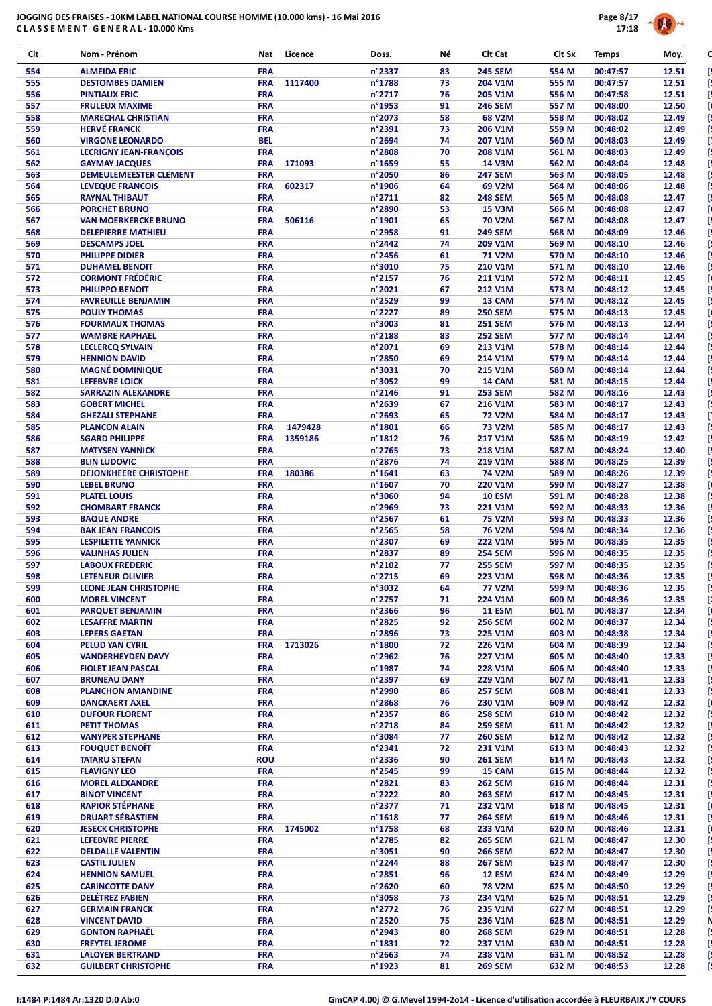

| Clt        | Nom - Prénom                                          | Nat                      | Licence            | Doss.                      | Νé       | Clt Cat                          | Clt Sx         | <b>Temps</b>         | Moy.           |
|------------|-------------------------------------------------------|--------------------------|--------------------|----------------------------|----------|----------------------------------|----------------|----------------------|----------------|
| 554        | <b>ALMEIDA ERIC</b>                                   | <b>FRA</b>               |                    | n°2337                     | 83       | <b>245 SEM</b>                   | 554 M          | 00:47:57             | 12.51          |
| 555        | <b>DESTOMBES DAMIEN</b>                               | <b>FRA</b>               | 1117400            | n°1788                     | 73       | 204 V1M                          | 555 M          | 00:47:57             | 12.51          |
| 556        | <b>PINTIAUX ERIC</b>                                  | <b>FRA</b>               |                    | n°2717                     | 76       | 205 V1M                          | 556 M          | 00:47:58             | 12.51          |
| 557        | <b>FRULEUX MAXIME</b>                                 | <b>FRA</b>               |                    | n°1953                     | 91       | <b>246 SEM</b>                   | 557 M          | 00:48:00             | 12.50          |
| 558        | <b>MARECHAL CHRISTIAN</b>                             | <b>FRA</b>               |                    | n°2073                     | 58       | 68 V2M                           | 558 M          | 00:48:02             | 12.49          |
| 559<br>560 | <b>HERVÉ FRANCK</b><br><b>VIRGONE LEONARDO</b>        | <b>FRA</b><br><b>BEL</b> |                    | n°2391<br>n°2694           | 73<br>74 | 206 V1M<br>207 V1M               | 559 M<br>560 M | 00:48:02<br>00:48:03 | 12.49<br>12.49 |
| 561        | <b>LECRIGNY JEAN-FRANÇOIS</b>                         | <b>FRA</b>               |                    | n°2808                     | 70       | 208 V1M                          | 561 M          | 00:48:03             | 12.49          |
| 562        | <b>GAYMAY JACQUES</b>                                 | <b>FRA</b>               | 171093             | n°1659                     | 55       | <b>14 V3M</b>                    | 562 M          | 00:48:04             | 12.48          |
| 563        | <b>DEMEULEMEESTER CLEMENT</b>                         | <b>FRA</b>               |                    | n°2050                     | 86       | <b>247 SEM</b>                   | 563 M          | 00:48:05             | 12.48          |
| 564        | <b>LEVEQUE FRANCOIS</b>                               | <b>FRA</b>               | 602317             | n°1906                     | 64       | 69 V2M                           | 564 M          | 00:48:06             | 12.48          |
| 565        | <b>RAYNAL THIBAUT</b>                                 | <b>FRA</b>               |                    | n°2711                     | 82       | <b>248 SEM</b>                   | 565 M          | 00:48:08             | 12.47          |
| 566        | <b>PORCHET BRUNO</b>                                  | <b>FRA</b>               |                    | n°2890                     | 53       | <b>15 V3M</b>                    | 566 M          | 00:48:08             | 12.47          |
| 567        | <b>VAN MOERKERCKE BRUNO</b>                           | <b>FRA</b>               | 506116             | n°1901                     | 65       | <b>70 V2M</b>                    | 567 M          | 00:48:08             | 12.47          |
| 568<br>569 | <b>DELEPIERRE MATHIEU</b><br><b>DESCAMPS JOEL</b>     | <b>FRA</b><br><b>FRA</b> |                    | n°2958<br>n°2442           | 91<br>74 | <b>249 SEM</b><br>209 V1M        | 568 M<br>569 M | 00:48:09<br>00:48:10 | 12.46<br>12.46 |
| 570        | <b>PHILIPPE DIDIER</b>                                | <b>FRA</b>               |                    | n°2456                     | 61       | <b>71 V2M</b>                    | 570 M          | 00:48:10             | 12.46          |
| 571        | <b>DUHAMEL BENOIT</b>                                 | <b>FRA</b>               |                    | n°3010                     | 75       | <b>210 V1M</b>                   | 571 M          | 00:48:10             | 12.46          |
| 572        | <b>CORMONT FRÉDÉRIC</b>                               | <b>FRA</b>               |                    | n°2157                     | 76       | <b>211 V1M</b>                   | 572 M          | 00:48:11             | 12.45          |
| 573        | <b>PHILIPPO BENOIT</b>                                | <b>FRA</b>               |                    | n°2021                     | 67       | 212 V1M                          | 573 M          | 00:48:12             | 12.45          |
| 574        | <b>FAVREUILLE BENJAMIN</b>                            | <b>FRA</b>               |                    | n°2529                     | 99       | 13 CAM                           | 574 M          | 00:48:12             | 12.45          |
| 575        | <b>POULY THOMAS</b>                                   | <b>FRA</b>               |                    | n°2227                     | 89       | <b>250 SEM</b>                   | 575 M          | 00:48:13             | 12.45          |
| 576<br>577 | <b>FOURMAUX THOMAS</b><br><b>WAMBRE RAPHAEL</b>       | <b>FRA</b><br><b>FRA</b> |                    | n°3003<br>n°2188           | 81<br>83 | <b>251 SEM</b><br><b>252 SEM</b> | 576 M<br>577 M | 00:48:13<br>00:48:14 | 12.44<br>12.44 |
| 578        | <b>LECLERCQ SYLVAIN</b>                               | <b>FRA</b>               |                    | n°2071                     | 69       | 213 V1M                          | 578 M          | 00:48:14             | 12.44          |
| 579        | <b>HENNION DAVID</b>                                  | <b>FRA</b>               |                    | n°2850                     | 69       | 214 V1M                          | 579 M          | 00:48:14             | 12.44          |
| 580        | <b>MAGNÉ DOMINIQUE</b>                                | <b>FRA</b>               |                    | n°3031                     | 70       | 215 V1M                          | 580 M          | 00:48:14             | 12.44          |
| 581        | <b>LEFEBVRE LOICK</b>                                 | <b>FRA</b>               |                    | n°3052                     | 99       | 14 CAM                           | 581 M          | 00:48:15             | 12.44          |
| 582        | <b>SARRAZIN ALEXANDRE</b>                             | <b>FRA</b>               |                    | n°2146                     | 91       | <b>253 SEM</b>                   | 582 M          | 00:48:16             | 12.43          |
| 583        | <b>GOBERT MICHEL</b>                                  | <b>FRA</b>               |                    | n°2639                     | 67       | 216 V1M                          | 583 M          | 00:48:17             | 12.43          |
| 584        | <b>GHEZALI STEPHANE</b>                               | <b>FRA</b>               |                    | n°2693                     | 65       | <b>72 V2M</b>                    | 584 M          | 00:48:17             | 12.43          |
| 585<br>586 | <b>PLANCON ALAIN</b><br><b>SGARD PHILIPPE</b>         | <b>FRA</b><br><b>FRA</b> | 1479428<br>1359186 | n°1801<br>n°1812           | 66<br>76 | <b>73 V2M</b><br>217 V1M         | 585 M          | 00:48:17<br>00:48:19 | 12.43          |
| 587        | <b>MATYSEN YANNICK</b>                                | <b>FRA</b>               |                    | n°2765                     | 73       | 218 V1M                          | 586 M<br>587 M | 00:48:24             | 12.42<br>12.40 |
| 588        | <b>BLIN LUDOVIC</b>                                   | <b>FRA</b>               |                    | n°2876                     | 74       | 219 V1M                          | 588 M          | 00:48:25             | 12.39          |
| 589        | <b>DEJONKHEERE CHRISTOPHE</b>                         | <b>FRA</b>               | 180386             | n°1641                     | 63       | <b>74 V2M</b>                    | 589 M          | 00:48:26             | 12.39          |
| 590        | <b>LEBEL BRUNO</b>                                    | <b>FRA</b>               |                    | n°1607                     | 70       | 220 V1M                          | 590 M          | 00:48:27             | 12.38          |
| 591        | <b>PLATEL LOUIS</b>                                   | <b>FRA</b>               |                    | n°3060                     | 94       | <b>10 ESM</b>                    | 591 M          | 00:48:28             | 12.38          |
| 592        | <b>CHOMBART FRANCK</b>                                | <b>FRA</b>               |                    | n°2969                     | 73       | 221 V1M                          | 592 M          | 00:48:33             | 12.36          |
| 593        | <b>BAQUE ANDRE</b>                                    | <b>FRA</b>               |                    | n°2567                     | 61       | <b>75 V2M</b>                    | 593 M          | 00:48:33             | 12.36          |
| 594<br>595 | <b>BAK JEAN FRANCOIS</b><br><b>LESPILETTE YANNICK</b> | <b>FRA</b><br><b>FRA</b> |                    | n°2565<br>n°2307           | 58<br>69 | <b>76 V2M</b><br>222 V1M         | 594 M<br>595 M | 00:48:34<br>00:48:35 | 12.36<br>12.35 |
| 596        | <b>VALINHAS JULIEN</b>                                | <b>FRA</b>               |                    | n°2837                     | 89       | <b>254 SEM</b>                   | 596 M          | 00:48:35             | 12.35          |
| 597        | <b>LABOUX FREDERIC</b>                                | <b>FRA</b>               |                    | n°2102                     | 77       | <b>255 SEM</b>                   | 597 M          | 00:48:35             | 12.35          |
| 598        | <b>LETENEUR OLIVIER</b>                               | <b>FRA</b>               |                    | n°2715                     | 69       | 223 V1M                          | 598 M          | 00:48:36             | 12.35          |
| 599        | <b>LEONE JEAN CHRISTOPHE</b>                          | <b>FRA</b>               |                    | n°3032                     | 64       | <b>77 V2M</b>                    | 599 M          | 00:48:36             | 12.35          |
| 600        | <b>MOREL VINCENT</b>                                  | <b>FRA</b>               |                    | $n^{\circ}$ 2757           | 71       | 224 V1M                          | 600 M          | 00:48:36             | 12.35          |
| 601        | <b>PARQUET BENJAMIN</b>                               | <b>FRA</b>               |                    | $n^{\circ}$ 2366           | 96       | <b>11 ESM</b>                    | 601 M          | 00:48:37             | 12.34          |
| 602        | <b>LESAFFRE MARTIN</b>                                | <b>FRA</b>               |                    | n°2825                     | 92       | <b>256 SEM</b>                   | 602 M          | 00:48:37             | 12.34          |
| 603<br>604 | <b>LEPERS GAETAN</b><br><b>PELUD YAN CYRIL</b>        | <b>FRA</b><br><b>FRA</b> | 1713026            | n°2896<br>n°1800           | 73<br>72 | 225 V1M<br>226 V1M               | 603 M<br>604 M | 00:48:38<br>00:48:39 | 12.34<br>12.34 |
| 605        | <b>VANDERHEYDEN DAVY</b>                              | <b>FRA</b>               |                    | n°2962                     | 76       | 227 V1M                          | 605 M          | 00:48:40             | 12.33          |
| 606        | <b>FIOLET JEAN PASCAL</b>                             | <b>FRA</b>               |                    | n°1987                     | 74       | 228 V1M                          | 606 M          | 00:48:40             | 12.33          |
| 607        | <b>BRUNEAU DANY</b>                                   | <b>FRA</b>               |                    | n°2397                     | 69       | 229 V1M                          | 607 M          | 00:48:41             | 12.33          |
| 608        | <b>PLANCHON AMANDINE</b>                              | <b>FRA</b>               |                    | n°2990                     | 86       | <b>257 SEM</b>                   | 608 M          | 00:48:41             | 12.33          |
| 609        | <b>DANCKAERT AXEL</b>                                 | <b>FRA</b>               |                    | n°2868                     | 76       | 230 V1M                          | 609 M          | 00:48:42             | 12.32          |
| 610        | <b>DUFOUR FLORENT</b>                                 | <b>FRA</b>               |                    | n°2357                     | 86       | <b>258 SEM</b>                   | 610 M          | 00:48:42             | 12.32          |
| 611        | <b>PETIT THOMAS</b>                                   | <b>FRA</b>               |                    | $n^{\circ}$ 2718           | 84       | <b>259 SEM</b>                   | 611 M          | 00:48:42             | 12.32          |
| 612<br>613 | <b>VANYPER STEPHANE</b><br><b>FOUQUET BENOIT</b>      | <b>FRA</b><br><b>FRA</b> |                    | n°3084<br>n°2341           | 77<br>72 | <b>260 SEM</b><br>231 V1M        | 612 M<br>613 M | 00:48:42<br>00:48:43 | 12.32<br>12.32 |
| 614        | <b>TATARU STEFAN</b>                                  | <b>ROU</b>               |                    | $n^{\circ}$ 2336           | 90       | <b>261 SEM</b>                   | 614 M          | 00:48:43             | 12.32          |
| 615        | <b>FLAVIGNY LEO</b>                                   | <b>FRA</b>               |                    | $n^{\circ}$ 2545           | 99       | 15 CAM                           | 615 M          | 00:48:44             | 12.32          |
| 616        | <b>MOREL ALEXANDRE</b>                                | <b>FRA</b>               |                    | n°2821                     | 83       | <b>262 SEM</b>                   | 616 M          | 00:48:44             | 12.31          |
| 617        | <b>BINOT VINCENT</b>                                  | <b>FRA</b>               |                    | $n^{\circ}$ 2222           | 80       | <b>263 SEM</b>                   | 617 M          | 00:48:45             | 12.31          |
| 618        | <b>RAPIOR STÉPHANE</b>                                | <b>FRA</b>               |                    | $n^{\circ}$ 2377           | 71       | 232 V1M                          | 618 M          | 00:48:45             | 12.31          |
| 619        | <b>DRUART SÉBASTIEN</b>                               | <b>FRA</b>               |                    | $n^{\circ}1618$            | 77       | <b>264 SEM</b>                   | 619 M          | 00:48:46             | 12.31          |
| 620        | <b>JESECK CHRISTOPHE</b>                              | <b>FRA</b>               | 1745002            | $n^{\circ}$ 1758           | 68       | 233 V1M                          | 620 M          | 00:48:46             | 12.31          |
| 621<br>622 | <b>LEFEBVRE PIERRE</b><br><b>DELDALLE VALENTIN</b>    | <b>FRA</b><br><b>FRA</b> |                    | n°2785<br>n°3051           | 82<br>90 | <b>265 SEM</b><br><b>266 SEM</b> | 621 M<br>622 M | 00:48:47<br>00:48:47 | 12.30<br>12.30 |
| 623        | <b>CASTIL JULIEN</b>                                  | <b>FRA</b>               |                    | n°2244                     | 88       | <b>267 SEM</b>                   | 623 M          | 00:48:47             | 12.30          |
| 624        | <b>HENNION SAMUEL</b>                                 | <b>FRA</b>               |                    | n°2851                     | 96       | 12 ESM                           | 624 M          | 00:48:49             | 12.29          |
| 625        | <b>CARINCOTTE DANY</b>                                | <b>FRA</b>               |                    | n°2620                     | 60       | <b>78 V2M</b>                    | 625 M          | 00:48:50             | 12.29          |
| 626        | <b>DELÉTREZ FABIEN</b>                                | <b>FRA</b>               |                    | n°3058                     | 73       | 234 V1M                          | 626 M          | 00:48:51             | 12.29          |
| 627        | <b>GERMAIN FRANCK</b>                                 | <b>FRA</b>               |                    | $n^{\circ}$ 2772           | 76       | 235 V1M                          | 627 M          | 00:48:51             | 12.29          |
| 628        | <b>VINCENT DAVID</b>                                  | <b>FRA</b>               |                    | n°2520                     | 75       | 236 V1M                          | 628 M          | 00:48:51             | 12.29          |
| 629        | <b>GONTON RAPHAËL</b>                                 | <b>FRA</b>               |                    | $n^{\circ}$ 2943           | 80       | <b>268 SEM</b>                   | 629 M          | 00:48:51             | 12.28          |
| 630<br>631 | <b>FREYTEL JEROME</b><br><b>LALOYER BERTRAND</b>      | <b>FRA</b><br><b>FRA</b> |                    | n°1831<br>$n^{\circ}$ 2663 | 72<br>74 | 237 V1M<br>238 V1M               | 630 M<br>631 M | 00:48:51<br>00:48:52 | 12.28<br>12.28 |
| 632        | <b>GUILBERT CHRISTOPHE</b>                            | <b>FRA</b>               |                    | $n^{\circ}$ 1923           | 81       | <b>269 SEM</b>                   | 632 M          | 00:48:53             | 12.28          |
|            |                                                       |                          |                    |                            |          |                                  |                |                      |                |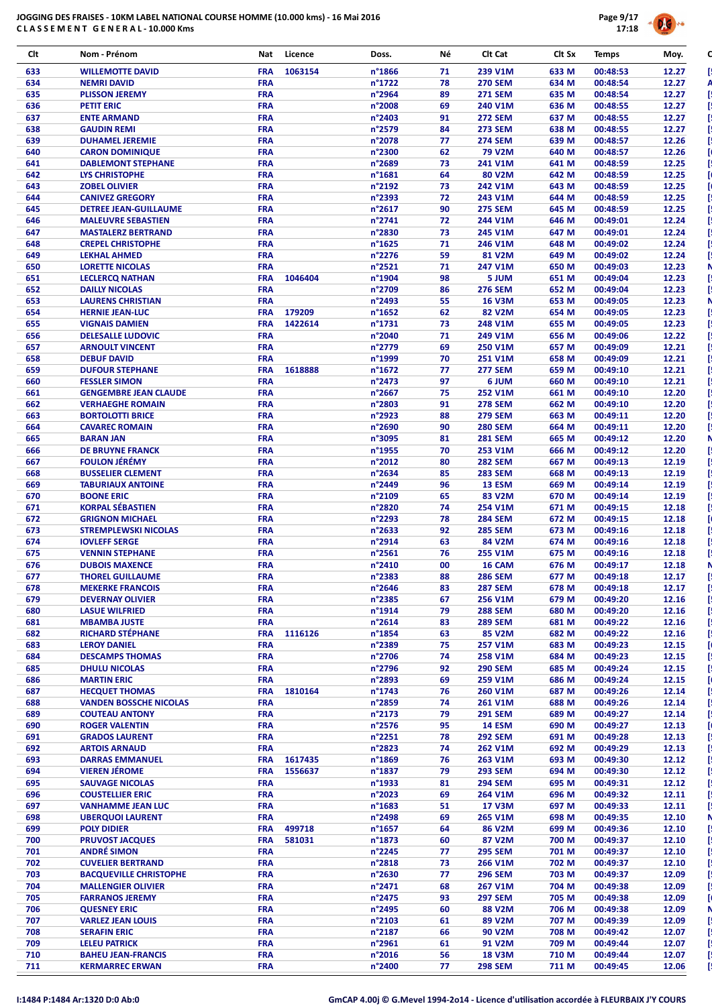

| Clt        | Nom - Prénom                                           | Nat                      | Licence | Doss.                      | Né.      | Clt Cat                          | Clt Sx         | <b>Temps</b>         | Moy.           |
|------------|--------------------------------------------------------|--------------------------|---------|----------------------------|----------|----------------------------------|----------------|----------------------|----------------|
| 633        | <b>WILLEMOTTE DAVID</b>                                | <b>FRA</b>               | 1063154 | n°1866                     | 71       | 239 V1M                          | 633 M          | 00:48:53             | 12.27          |
| 634        | <b>NEMRI DAVID</b>                                     | <b>FRA</b>               |         | n°1722                     | 78       | <b>270 SEM</b>                   | 634 M          | 00:48:54             | 12.27          |
| 635        | <b>PLISSON JEREMY</b>                                  | <b>FRA</b>               |         | n°2964                     | 89       | <b>271 SEM</b>                   | 635 M          | 00:48:54             | 12.27          |
| 636        | <b>PETIT ERIC</b>                                      | <b>FRA</b>               |         | n°2008                     | 69       | 240 V1M                          | 636 M          | 00:48:55             | 12.27          |
| 637        | <b>ENTE ARMAND</b>                                     | <b>FRA</b>               |         | n°2403                     | 91       | <b>272 SEM</b>                   | 637 M          | 00:48:55             | 12.27          |
| 638<br>639 | <b>GAUDIN REMI</b>                                     | <b>FRA</b><br><b>FRA</b> |         | n°2579<br>n°2078           | 84<br>77 | <b>273 SEM</b><br><b>274 SEM</b> | 638 M<br>639 M | 00:48:55<br>00:48:57 | 12.27<br>12.26 |
| 640        | <b>DUHAMEL JEREMIE</b><br><b>CARON DOMINIQUE</b>       | <b>FRA</b>               |         | n°2300                     | 62       | 79 V <sub>2</sub> M              | 640 M          | 00:48:57             | 12.26          |
| 641        | <b>DABLEMONT STEPHANE</b>                              | <b>FRA</b>               |         | n°2689                     | 73       | 241 V1M                          | 641 M          | 00:48:59             | 12.25          |
| 642        | LYS CHRISTOPHE                                         | <b>FRA</b>               |         | $n^{\circ}1681$            | 64       | 80 V2M                           | 642 M          | 00:48:59             | 12.25          |
| 643        | <b>ZOBEL OLIVIER</b>                                   | <b>FRA</b>               |         | n°2192                     | 73       | 242 V1M                          | 643 M          | 00:48:59             | 12.25          |
| 644        | <b>CANIVEZ GREGORY</b>                                 | <b>FRA</b>               |         | n°2393                     | 72       | 243 V1M                          | 644 M          | 00:48:59             | 12.25          |
| 645        | <b>DETREE JEAN-GUILLAUME</b>                           | <b>FRA</b>               |         | n°2617                     | 90       | <b>275 SEM</b>                   | 645 M          | 00:48:59             | 12.25          |
| 646<br>647 | <b>MALEUVRE SEBASTIEN</b><br><b>MASTALERZ BERTRAND</b> | <b>FRA</b><br><b>FRA</b> |         | n°2741<br>n°2830           | 72<br>73 | 244 V1M<br>245 V1M               | 646 M<br>647 M | 00:49:01<br>00:49:01 | 12.24<br>12.24 |
| 648        | <b>CREPEL CHRISTOPHE</b>                               | <b>FRA</b>               |         | n°1625                     | 71       | 246 V1M                          | 648 M          | 00:49:02             | 12.24          |
| 649        | <b>LEKHAL AHMED</b>                                    | <b>FRA</b>               |         | n°2276                     | 59       | 81 V2M                           | 649 M          | 00:49:02             | 12.24          |
| 650        | <b>LORETTE NICOLAS</b>                                 | <b>FRA</b>               |         | $n^{\circ}2521$            | 71       | 247 V1M                          | 650 M          | 00:49:03             | 12.23          |
| 651        | <b>LECLERCQ NATHAN</b>                                 | <b>FRA</b>               | 1046404 | n°1904                     | 98       | 5 JUM                            | 651 M          | 00:49:04             | 12.23          |
| 652        | <b>DAILLY NICOLAS</b>                                  | <b>FRA</b>               |         | n°2709                     | 86       | <b>276 SEM</b>                   | 652 M          | 00:49:04             | 12.23          |
| 653<br>654 | <b>LAURENS CHRISTIAN</b><br><b>HERNIE JEAN-LUC</b>     | <b>FRA</b><br><b>FRA</b> | 179209  | n°2493<br>n°1652           | 55<br>62 | <b>16 V3M</b><br>82 V2M          | 653 M<br>654 M | 00:49:05<br>00:49:05 | 12.23<br>12.23 |
| 655        | <b>VIGNAIS DAMIEN</b>                                  | <b>FRA</b>               | 1422614 | n°1731                     | 73       | 248 V1M                          | 655 M          | 00:49:05             | 12.23          |
| 656        | <b>DELESALLE LUDOVIC</b>                               | <b>FRA</b>               |         | n°2040                     | 71       | 249 V1M                          | 656 M          | 00:49:06             | 12.22          |
| 657        | <b>ARNOULT VINCENT</b>                                 | <b>FRA</b>               |         | n°2779                     | 69       | 250 V1M                          | 657 M          | 00:49:09             | 12.21          |
| 658        | <b>DEBUF DAVID</b>                                     | <b>FRA</b>               |         | n°1999                     | 70       | 251 V1M                          | 658 M          | 00:49:09             | 12.21          |
| 659        | <b>DUFOUR STEPHANE</b>                                 | <b>FRA</b>               | 1618888 | n°1672                     | 77       | <b>277 SEM</b>                   | 659 M          | 00:49:10             | 12.21          |
| 660<br>661 | <b>FESSLER SIMON</b><br><b>GENGEMBRE JEAN CLAUDE</b>   | <b>FRA</b><br><b>FRA</b> |         | n°2473<br>n°2667           | 97<br>75 | 6 JUM<br>252 V1M                 | 660 M<br>661 M | 00:49:10<br>00:49:10 | 12.21<br>12.20 |
| 662        | <b>VERHAEGHE ROMAIN</b>                                | <b>FRA</b>               |         | n°2803                     | 91       | <b>278 SEM</b>                   | 662 M          | 00:49:10             | 12.20          |
| 663        | <b>BORTOLOTTI BRICE</b>                                | <b>FRA</b>               |         | n°2923                     | 88       | <b>279 SEM</b>                   | 663 M          | 00:49:11             | 12.20          |
| 664        | <b>CAVAREC ROMAIN</b>                                  | <b>FRA</b>               |         | n°2690                     | 90       | <b>280 SEM</b>                   | 664 M          | 00:49:11             | 12.20          |
| 665        | <b>BARAN JAN</b>                                       | <b>FRA</b>               |         | n°3095                     | 81       | <b>281 SEM</b>                   | 665 M          | 00:49:12             | 12.20          |
| 666        | <b>DE BRUYNE FRANCK</b>                                | <b>FRA</b>               |         | n°1955                     | 70       | 253 V1M                          | 666 M          | 00:49:12             | 12.20          |
| 667        | <b>FOULON JÉRÉMY</b><br><b>BUSSELIER CLEMENT</b>       | <b>FRA</b><br><b>FRA</b> |         | n°2012<br>n°2634           | 80<br>85 | <b>282 SEM</b><br><b>283 SEM</b> | 667 M<br>668 M | 00:49:13<br>00:49:13 | 12.19          |
| 668<br>669 | <b>TABURIAUX ANTOINE</b>                               | <b>FRA</b>               |         | n°2449                     | 96       | 13 ESM                           | 669 M          | 00:49:14             | 12.19<br>12.19 |
| 670        | <b>BOONE ERIC</b>                                      | <b>FRA</b>               |         | n°2109                     | 65       | 83 V2M                           | 670 M          | 00:49:14             | 12.19          |
| 671        | <b>KORPAL SÉBASTIEN</b>                                | <b>FRA</b>               |         | n°2820                     | 74       | 254 V1M                          | 671 M          | 00:49:15             | 12.18          |
| 672        | <b>GRIGNON MICHAEL</b>                                 | <b>FRA</b>               |         | n°2293                     | 78       | <b>284 SEM</b>                   | 672 M          | 00:49:15             | 12.18          |
| 673        | <b>STREMPLEWSKI NICOLAS</b>                            | <b>FRA</b>               |         | n°2633                     | 92       | <b>285 SEM</b>                   | 673 M          | 00:49:16             | 12.18          |
| 674        | <b>IOVLEFF SERGE</b>                                   | <b>FRA</b>               |         | n°2914                     | 63       | 84 V2M                           | 674 M          | 00:49:16             | 12.18          |
| 675<br>676 | <b>VENNIN STEPHANE</b><br><b>DUBOIS MAXENCE</b>        | <b>FRA</b><br><b>FRA</b> |         | $n^{\circ}$ 2561<br>n°2410 | 76<br>00 | 255 V1M<br>16 CAM                | 675 M<br>676 M | 00:49:16<br>00:49:17 | 12.18<br>12.18 |
| 677        | <b>THOREL GUILLAUME</b>                                | <b>FRA</b>               |         | n°2383                     | 88       | <b>286 SEM</b>                   | 677 M          | 00:49:18             | 12.17          |
| 678        | <b>MEKERKE FRANCOIS</b>                                | <b>FRA</b>               |         | n°2646                     | 83       | <b>287 SEM</b>                   | 678 M          | 00:49:18             | 12.17          |
| 679        | <b>DEVERNAY OLIVIER</b>                                | <b>FRA</b>               |         | n°2385                     | 67       | 256 V1M                          | 679 M          | 00:49:20             | 12.16          |
| 680        | <b>LASUE WILFRIED</b>                                  | <b>FRA</b>               |         | n°1914                     | 79       | <b>288 SEM</b>                   | 680 M          | 00:49:20             | 12.16          |
| 681        | <b>MBAMBA JUSTE</b>                                    | <b>FRA</b>               |         | n°2614                     | 83       | <b>289 SEM</b>                   | 681 M          | 00:49:22             | 12.16          |
| 682<br>683 | <b>RICHARD STÉPHANE</b><br><b>LEROY DANIEL</b>         | <b>FRA</b><br><b>FRA</b> | 1116126 | n°1854<br>n°2389           | 63<br>75 | 85 V2M<br><b>257 V1M</b>         | 682 M<br>683 M | 00:49:22<br>00:49:23 | 12.16<br>12.15 |
| 684        | <b>DESCAMPS THOMAS</b>                                 | <b>FRA</b>               |         | n°2706                     | 74       | 258 V1M                          | 684 M          | 00:49:23             | 12.15          |
| 685        | <b>DHULU NICOLAS</b>                                   | <b>FRA</b>               |         | n°2796                     | 92       | <b>290 SEM</b>                   | 685 M          | 00:49:24             | 12.15          |
| 686        | <b>MARTIN ERIC</b>                                     | <b>FRA</b>               |         | n°2893                     | 69       | 259 V1M                          | 686 M          | 00:49:24             | 12.15          |
| 687        | <b>HECQUET THOMAS</b>                                  | <b>FRA</b>               | 1810164 | n°1743                     | 76       | 260 V1M                          | 687 M          | 00:49:26             | 12.14          |
| 688        | <b>VANDEN BOSSCHE NICOLAS</b>                          | <b>FRA</b>               |         | n°2859                     | 74       | 261 V1M                          | 688 M          | 00:49:26             | 12.14          |
| 689<br>690 | <b>COUTEAU ANTONY</b><br><b>ROGER VALENTIN</b>         | <b>FRA</b><br><b>FRA</b> |         | n°2173<br>n°2576           | 79<br>95 | <b>291 SEM</b><br><b>14 ESM</b>  | 689 M<br>690 M | 00:49:27<br>00:49:27 | 12.14<br>12.13 |
| 691        | <b>GRADOS LAURENT</b>                                  | <b>FRA</b>               |         | n°2251                     | 78       | <b>292 SEM</b>                   | 691 M          | 00:49:28             | 12.13          |
| 692        | <b>ARTOIS ARNAUD</b>                                   | <b>FRA</b>               |         | n°2823                     | 74       | 262 V1M                          | 692 M          | 00:49:29             | 12.13          |
| 693        | <b>DARRAS EMMANUEL</b>                                 | <b>FRA</b>               | 1617435 | n°1869                     | 76       | 263 V1M                          | 693 M          | 00:49:30             | 12.12          |
| 694        | <b>VIEREN JÉROME</b>                                   | <b>FRA</b>               | 1556637 | n°1837                     | 79       | <b>293 SEM</b>                   | 694 M          | 00:49:30             | 12.12          |
| 695        | <b>SAUVAGE NICOLAS</b>                                 | <b>FRA</b>               |         | n°1933                     | 81       | <b>294 SEM</b>                   | 695 M          | 00:49:31             | 12.12          |
| 696<br>697 | <b>COUSTELLIER ERIC</b><br><b>VANHAMME JEAN LUC</b>    | <b>FRA</b><br><b>FRA</b> |         | n°2023<br>$n^{\circ}$ 1683 | 69<br>51 | 264 V1M<br><b>17 V3M</b>         | 696 M<br>697 M | 00:49:32<br>00:49:33 | 12.11<br>12.11 |
| 698        | <b>UBERQUOI LAURENT</b>                                | <b>FRA</b>               |         | n°2498                     | 69       | 265 V1M                          | 698 M          | 00:49:35             | 12.10          |
| 699        | <b>POLY DIDIER</b>                                     | <b>FRA</b>               | 499718  | n°1657                     | 64       | 86 V2M                           | 699 M          | 00:49:36             | 12.10          |
| 700        | <b>PRUVOST JACQUES</b>                                 | <b>FRA</b>               | 581031  | n°1873                     | 60       | 87 V2M                           | 700 M          | 00:49:37             | 12.10          |
| 701        | <b>ANDRÉ SIMON</b>                                     | <b>FRA</b>               |         | n°2245                     | 77       | <b>295 SEM</b>                   | 701 M          | 00:49:37             | 12.10          |
| 702        | <b>CUVELIER BERTRAND</b>                               | <b>FRA</b>               |         | n°2818                     | 73       | 266 V1M                          | 702 M          | 00:49:37             | 12.10          |
| 703        | <b>BACQUEVILLE CHRISTOPHE</b>                          | <b>FRA</b>               |         | n°2630<br>n°2471           | 77<br>68 | <b>296 SEM</b><br>267 V1M        | 703 M          | 00:49:37             | 12.09<br>12.09 |
| 704<br>705 | <b>MALLENGIER OLIVIER</b><br><b>FARRANOS JEREMY</b>    | <b>FRA</b><br><b>FRA</b> |         | n°2475                     | 93       | <b>297 SEM</b>                   | 704 M<br>705 M | 00:49:38<br>00:49:38 | 12.09          |
| 706        | <b>QUESNEY ERIC</b>                                    | <b>FRA</b>               |         | n°2495                     | 60       | 88 V2M                           | 706 M          | 00:49:38             | 12.09          |
| 707        | <b>VARLEZ JEAN LOUIS</b>                               | <b>FRA</b>               |         | n°2103                     | 61       | 89 V2M                           | 707 M          | 00:49:39             | 12.09          |
| 708        | <b>SERAFIN ERIC</b>                                    | <b>FRA</b>               |         | n°2187                     | 66       | 90 V2M                           | 708 M          | 00:49:42             | 12.07          |
| 709        | <b>LELEU PATRICK</b>                                   | <b>FRA</b>               |         | n°2961                     | 61       | 91 V2M                           | 709 M          | 00:49:44             | 12.07          |
| 710        | <b>BAHEU JEAN-FRANCIS</b>                              | <b>FRA</b>               |         | n°2016                     | 56       | <b>18 V3M</b>                    | 710 M          | 00:49:44             | 12.07          |
| 711        | <b>KERMARREC ERWAN</b>                                 | <b>FRA</b>               |         | n°2400                     | 77       | <b>298 SEM</b>                   | 711 M          | 00:49:45             | 12.06          |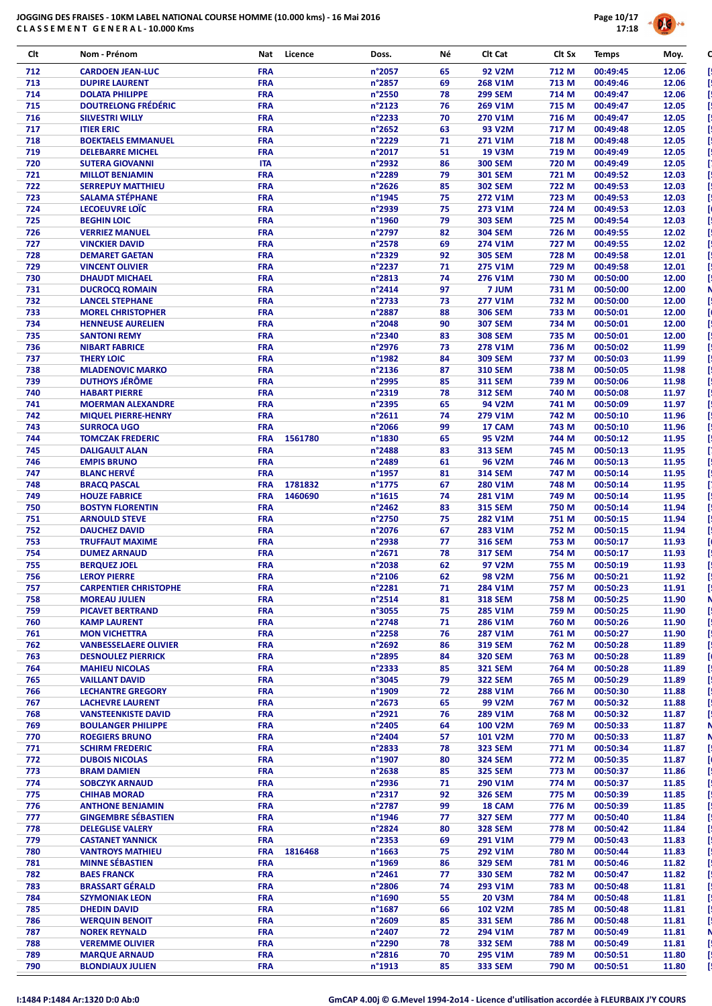

| Clt        | Nom - Prénom                                          | Nat                      | Licence | Doss.            | Νé       | Clt Cat                          | Clt Sx         | <b>Temps</b>         | Moy.           |
|------------|-------------------------------------------------------|--------------------------|---------|------------------|----------|----------------------------------|----------------|----------------------|----------------|
| 712        | <b>CARDOEN JEAN-LUC</b>                               | <b>FRA</b>               |         | n°2057           | 65       | <b>92 V2M</b>                    | 712 M          | 00:49:45             | 12.06          |
| 713        | <b>DUPIRE LAURENT</b>                                 | <b>FRA</b>               |         | n°2857           | 69       | 268 V1M                          | 713 M          | 00:49:46             | 12.06          |
| 714        | <b>DOLATA PHILIPPE</b>                                | <b>FRA</b>               |         | n°2550           | 78       | <b>299 SEM</b>                   | 714 M          | 00:49:47             | 12.06          |
| 715        | <b>DOUTRELONG FRÉDÉRIC</b>                            | <b>FRA</b>               |         | n°2123           | 76       | 269 V1M                          | 715 M          | 00:49:47             | 12.05          |
| 716        | <b>SILVESTRI WILLY</b>                                | <b>FRA</b>               |         | n°2233           | 70       | <b>270 V1M</b>                   | 716 M          | 00:49:47             | 12.05          |
| 717        | <b>ITIER ERIC</b>                                     | <b>FRA</b>               |         | n°2652           | 63       | 93 V2M                           | 717 M          | 00:49:48             | 12.05          |
| 718<br>719 | <b>BOEKTAELS EMMANUEL</b>                             | <b>FRA</b><br><b>FRA</b> |         | n°2229<br>n°2017 | 71       | 271 V1M                          | 718 M          | 00:49:48             | 12.05          |
| 720        | <b>DELEBARRE MICHEL</b><br><b>SUTERA GIOVANNI</b>     | <b>ITA</b>               |         | n°2932           | 51<br>86 | <b>19 V3M</b><br><b>300 SEM</b>  | 719 M<br>720 M | 00:49:49<br>00:49:49 | 12.05<br>12.05 |
| 721        | <b>MILLOT BENJAMIN</b>                                | <b>FRA</b>               |         | n°2289           | 79       | <b>301 SEM</b>                   | 721 M          | 00:49:52             | 12.03          |
| 722        | <b>SERREPUY MATTHIEU</b>                              | <b>FRA</b>               |         | n°2626           | 85       | <b>302 SEM</b>                   | 722 M          | 00:49:53             | 12.03          |
| 723        | <b>SALAMA STÉPHANE</b>                                | <b>FRA</b>               |         | n°1945           | 75       | 272 V1M                          | 723 M          | 00:49:53             | 12.03          |
| 724        | LECOEUVRE LOÏC                                        | <b>FRA</b>               |         | n°2939           | 75       | 273 V1M                          | 724 M          | 00:49:53             | 12.03          |
| 725        | <b>BEGHIN LOIC</b>                                    | <b>FRA</b>               |         | n°1960           | 79       | <b>303 SEM</b>                   | 725 M          | 00:49:54             | 12.03          |
| 726        | <b>VERRIEZ MANUEL</b>                                 | <b>FRA</b>               |         | n°2797           | 82       | <b>304 SEM</b>                   | 726 M          | 00:49:55             | 12.02          |
| 727<br>728 | <b>VINCKIER DAVID</b><br><b>DEMARET GAETAN</b>        | <b>FRA</b><br><b>FRA</b> |         | n°2578<br>n°2329 | 69<br>92 | 274 V1M<br><b>305 SEM</b>        | 727 M<br>728 M | 00:49:55<br>00:49:58 | 12.02<br>12.01 |
| 729        | <b>VINCENT OLIVIER</b>                                | <b>FRA</b>               |         | n°2237           | 71       | <b>275 V1M</b>                   | 729 M          | 00:49:58             | 12.01          |
| 730        | <b>DHAUDT MICHAEL</b>                                 | <b>FRA</b>               |         | n°2813           | 74       | <b>276 V1M</b>                   | 730 M          | 00:50:00             | 12.00          |
| 731        | <b>DUCROCQ ROMAIN</b>                                 | <b>FRA</b>               |         | n°2414           | 97       | 7 JUM                            | 731 M          | 00:50:00             | 12.00          |
| 732        | <b>LANCEL STEPHANE</b>                                | <b>FRA</b>               |         | n°2733           | 73       | 277 V1M                          | 732 M          | 00:50:00             | 12.00          |
| 733        | <b>MOREL CHRISTOPHER</b>                              | <b>FRA</b>               |         | n°2887           | 88       | <b>306 SEM</b>                   | 733 M          | 00:50:01             | 12.00          |
| 734        | <b>HENNEUSE AURELIEN</b>                              | <b>FRA</b>               |         | n°2048           | 90       | <b>307 SEM</b>                   | 734 M          | 00:50:01             | 12.00          |
| 735<br>736 | <b>SANTONI REMY</b><br><b>NIBART FABRICE</b>          | <b>FRA</b><br><b>FRA</b> |         | n°2340<br>n°2976 | 83<br>73 | <b>308 SEM</b><br><b>278 V1M</b> | 735 M<br>736 M | 00:50:01<br>00:50:02 | 12.00<br>11.99 |
| 737        | <b>THERY LOIC</b>                                     | <b>FRA</b>               |         | n°1982           | 84       | <b>309 SEM</b>                   | 737 M          | 00:50:03             | 11.99          |
| 738        | <b>MLADENOVIC MARKO</b>                               | <b>FRA</b>               |         | n°2136           | 87       | <b>310 SEM</b>                   | 738 M          | 00:50:05             | 11.98          |
| 739        | <b>DUTHOYS JÉRÔME</b>                                 | <b>FRA</b>               |         | n°2995           | 85       | <b>311 SEM</b>                   | 739 M          | 00:50:06             | 11.98          |
| 740        | <b>HABART PIERRE</b>                                  | <b>FRA</b>               |         | n°2319           | 78       | <b>312 SEM</b>                   | 740 M          | 00:50:08             | 11.97          |
| 741        | <b>MOERMAN ALEXANDRE</b>                              | <b>FRA</b>               |         | n°2395           | 65       | 94 V2M                           | 741 M          | 00:50:09             | 11.97          |
| 742        | <b>MIQUEL PIERRE-HENRY</b>                            | <b>FRA</b>               |         | n°2611           | 74       | 279 V1M                          | 742 M          | 00:50:10             | 11.96          |
| 743<br>744 | <b>SURROCA UGO</b><br><b>TOMCZAK FREDERIC</b>         | <b>FRA</b><br><b>FRA</b> | 1561780 | n°2066<br>n°1830 | 99<br>65 | 17 CAM<br>95 V2M                 | 743 M<br>744 M | 00:50:10<br>00:50:12 | 11.96<br>11.95 |
| 745        | <b>DALIGAULT ALAN</b>                                 | <b>FRA</b>               |         | n°2488           | 83       | <b>313 SEM</b>                   | 745 M          | 00:50:13             | 11.95          |
| 746        | <b>EMPIS BRUNO</b>                                    | <b>FRA</b>               |         | n°2489           | 61       | 96 V2M                           | 746 M          | 00:50:13             | 11.95          |
| 747        | <b>BLANC HERVÉ</b>                                    | <b>FRA</b>               |         | n°1957           | 81       | <b>314 SEM</b>                   | 747 M          | 00:50:14             | 11.95          |
| 748        | <b>BRACQ PASCAL</b>                                   | <b>FRA</b>               | 1781832 | n°1775           | 67       | <b>280 V1M</b>                   | 748 M          | 00:50:14             | 11.95          |
| 749        | <b>HOUZE FABRICE</b>                                  | <b>FRA</b>               | 1460690 | n°1615           | 74       | <b>281 V1M</b>                   | 749 M          | 00:50:14             | 11.95          |
| 750        | <b>BOSTYN FLORENTIN</b>                               | <b>FRA</b>               |         | n°2462           | 83       | <b>315 SEM</b>                   | 750 M          | 00:50:14             | 11.94          |
| 751<br>752 | <b>ARNOULD STEVE</b><br><b>DAUCHEZ DAVID</b>          | <b>FRA</b><br><b>FRA</b> |         | n°2750<br>n°2076 | 75<br>67 | 282 V1M<br>283 V1M               | 751 M<br>752 M | 00:50:15<br>00:50:15 | 11.94<br>11.94 |
| 753        | <b>TRUFFAUT MAXIME</b>                                | <b>FRA</b>               |         | n°2938           | 77       | <b>316 SEM</b>                   | 753 M          | 00:50:17             | 11.93          |
| 754        | <b>DUMEZ ARNAUD</b>                                   | <b>FRA</b>               |         | n°2671           | 78       | <b>317 SEM</b>                   | 754 M          | 00:50:17             | 11.93          |
| 755        | <b>BERQUEZ JOEL</b>                                   | <b>FRA</b>               |         | n°2038           | 62       | 97 V2M                           | 755 M          | 00:50:19             | 11.93          |
| 756        | <b>LEROY PIERRE</b>                                   | <b>FRA</b>               |         | n°2106           | 62       | 98 V2M                           | 756 M          | 00:50:21             | 11.92          |
| 757        | <b>CARPENTIER CHRISTOPHE</b>                          | <b>FRA</b>               |         | n°2281           | 71       | 284 V1M                          | 757 M          | 00:50:23             | 11.91          |
| 758        | <b>MOREAU JULIEN</b>                                  | <b>FRA</b>               |         | n°2514           | 81       | <b>318 SEM</b>                   | 758 M          | 00:50:25             | 11.90          |
| 759<br>760 | <b>PICAVET BERTRAND</b><br><b>KAMP LAURENT</b>        | <b>FRA</b><br><b>FRA</b> |         | n°3055<br>n°2748 | 75<br>71 | 285 V1M<br>286 V1M               | 759 M<br>760 M | 00:50:25<br>00:50:26 | 11.90<br>11.90 |
| 761        | <b>MON VICHETTRA</b>                                  | <b>FRA</b>               |         | n°2258           | 76       | 287 V1M                          | 761 M          | 00:50:27             | 11.90          |
| 762        | <b>VANBESSELAERE OLIVIER</b>                          | <b>FRA</b>               |         | n°2692           | 86       | <b>319 SEM</b>                   | 762 M          | 00:50:28             | 11.89          |
| 763        | <b>DESNOULEZ PIERRICK</b>                             | <b>FRA</b>               |         | n°2895           | 84       | <b>320 SEM</b>                   | 763 M          | 00:50:28             | 11.89          |
| 764        | <b>MAHIEU NICOLAS</b>                                 | <b>FRA</b>               |         | n°2333           | 85       | <b>321 SEM</b>                   | 764 M          | 00:50:28             | 11.89          |
| 765        | <b>VAILLANT DAVID</b>                                 | <b>FRA</b>               |         | n°3045           | 79       | <b>322 SEM</b>                   | 765 M          | 00:50:29             | 11.89          |
| 766        | <b>LECHANTRE GREGORY</b>                              | <b>FRA</b>               |         | n°1909           | 72       | 288 V1M                          | 766 M          | 00:50:30             | 11.88          |
| 767<br>768 | <b>LACHEVRE LAURENT</b><br><b>VANSTEENKISTE DAVID</b> | <b>FRA</b><br><b>FRA</b> |         | n°2673<br>n°2921 | 65<br>76 | 99 V2M<br>289 V1M                | 767 M<br>768 M | 00:50:32<br>00:50:32 | 11.88<br>11.87 |
| 769        | <b>BOULANGER PHILIPPE</b>                             | <b>FRA</b>               |         | n°2405           | 64       | 100 V2M                          | 769 M          | 00:50:33             | 11.87          |
| 770        | <b>ROEGIERS BRUNO</b>                                 | <b>FRA</b>               |         | n°2404           | 57       | 101 V2M                          | 770 M          | 00:50:33             | 11.87          |
| 771        | <b>SCHIRM FREDERIC</b>                                | <b>FRA</b>               |         | n°2833           | 78       | <b>323 SEM</b>                   | 771 M          | 00:50:34             | 11.87          |
| 772        | <b>DUBOIS NICOLAS</b>                                 | <b>FRA</b>               |         | n°1907           | 80       | <b>324 SEM</b>                   | 772 M          | 00:50:35             | 11.87          |
| 773        | <b>BRAM DAMIEN</b>                                    | <b>FRA</b>               |         | n°2638           | 85       | <b>325 SEM</b>                   | 773 M          | 00:50:37             | 11.86          |
| 774        | <b>SOBCZYK ARNAUD</b>                                 | <b>FRA</b>               |         | n°2936           | 71       | 290 V1M                          | 774 M          | 00:50:37             | 11.85          |
| 775<br>776 | <b>CHIHAB MORAD</b><br><b>ANTHONE BENJAMIN</b>        | <b>FRA</b><br><b>FRA</b> |         | n°2317<br>n°2787 | 92<br>99 | <b>326 SEM</b><br>18 CAM         | 775 M<br>776 M | 00:50:39<br>00:50:39 | 11.85<br>11.85 |
| 777        | <b>GINGEMBRE SÉBASTIEN</b>                            | <b>FRA</b>               |         | n°1946           | 77       | <b>327 SEM</b>                   | 777 M          | 00:50:40             | 11.84          |
| 778        | <b>DELEGLISE VALERY</b>                               | <b>FRA</b>               |         | n°2824           | 80       | <b>328 SEM</b>                   | 778 M          | 00:50:42             | 11.84          |
| 779        | <b>CASTANET YANNICK</b>                               | <b>FRA</b>               |         | n°2353           | 69       | 291 V1M                          | 779 M          | 00:50:43             | 11.83          |
| 780        | <b>VANTROYS MATHIEU</b>                               | <b>FRA</b>               | 1816468 | n°1663           | 75       | 292 V1M                          | 780 M          | 00:50:44             | 11.83          |
| 781        | <b>MINNE SÉBASTIEN</b>                                | <b>FRA</b>               |         | n°1969           | 86       | <b>329 SEM</b>                   | 781 M          | 00:50:46             | 11.82          |
| 782        | <b>BAES FRANCK</b>                                    | <b>FRA</b>               |         | n°2461           | 77       | <b>330 SEM</b>                   | 782 M          | 00:50:47             | 11.82          |
| 783<br>784 | <b>BRASSART GÉRALD</b><br><b>SZYMONIAK LEON</b>       | <b>FRA</b><br><b>FRA</b> |         | n°2806<br>n°1690 | 74<br>55 | 293 V1M<br><b>20 V3M</b>         | 783 M<br>784 M | 00:50:48<br>00:50:48 | 11.81<br>11.81 |
| 785        | <b>DHEDIN DAVID</b>                                   | <b>FRA</b>               |         | n°1687           | 66       | 102 V2M                          | 785 M          | 00:50:48             | 11.81          |
| 786        | <b>WERQUIN BENOIT</b>                                 | <b>FRA</b>               |         | n°2609           | 85       | <b>331 SEM</b>                   | 786 M          | 00:50:48             | 11.81          |
| 787        | <b>NOREK REYNALD</b>                                  | <b>FRA</b>               |         | n°2407           | 72       | 294 V1M                          | 787 M          | 00:50:49             | 11.81          |
| 788        | <b>VEREMME OLIVIER</b>                                | <b>FRA</b>               |         | n°2290           | 78       | <b>332 SEM</b>                   | 788 M          | 00:50:49             | 11.81          |
| 789        | <b>MARQUE ARNAUD</b>                                  | <b>FRA</b>               |         | n°2816           | 70       | 295 V1M                          | 789 M          | 00:50:51             | 11.80          |
| 790        | <b>BLONDIAUX JULIEN</b>                               | <b>FRA</b>               |         | n°1913           | 85       | <b>333 SEM</b>                   | 790 M          | 00:50:51             | 11.80          |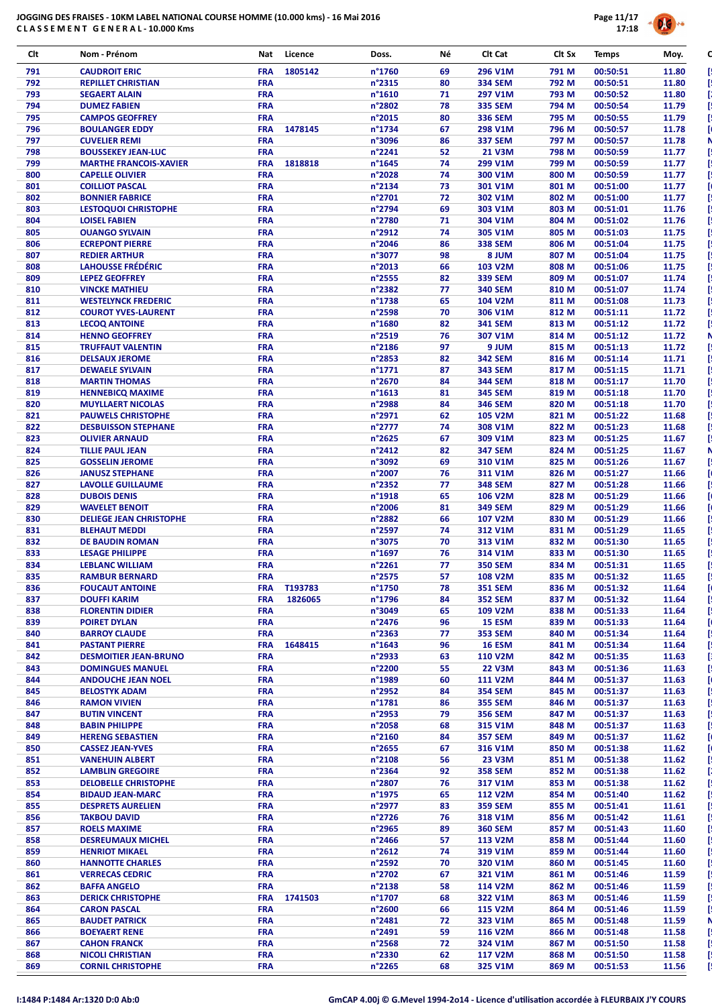

| Clt        | Nom - Prénom                                            | Licence<br>Nat                      | Doss.                      | Né       | Clt Cat                          | Clt Sx         | <b>Temps</b>         | Moy.           |
|------------|---------------------------------------------------------|-------------------------------------|----------------------------|----------|----------------------------------|----------------|----------------------|----------------|
| 791        | <b>CAUDROIT ERIC</b>                                    | <b>FRA</b><br>1805142               | n°1760                     | 69       | 296 V1M                          | 791 M          | 00:50:51             | 11.80          |
| 792        | <b>REPILLET CHRISTIAN</b>                               | <b>FRA</b>                          | n°2315                     | 80       | <b>334 SEM</b>                   | 792 M          | 00:50:51             | 11.80          |
| 793<br>794 | <b>SEGAERT ALAIN</b><br><b>DUMEZ FABIEN</b>             | <b>FRA</b><br><b>FRA</b>            | n°1610<br>n°2802           | 71<br>78 | 297 V1M<br><b>335 SEM</b>        | 793 M<br>794 M | 00:50:52<br>00:50:54 | 11.80<br>11.79 |
| 795        | <b>CAMPOS GEOFFREY</b>                                  | <b>FRA</b>                          | n°2015                     | 80       | <b>336 SEM</b>                   | 795 M          | 00:50:55             | 11.79          |
| 796        | <b>BOULANGER EDDY</b>                                   | <b>FRA</b><br>1478145               | n°1734                     | 67       | 298 V1M                          | 796 M          | 00:50:57             | 11.78          |
| 797        | <b>CUVELIER REMI</b>                                    | <b>FRA</b>                          | n°3096                     | 86       | <b>337 SEM</b>                   | 797 M          | 00:50:57             | 11.78          |
| 798        | <b>BOUSSEKEY JEAN-LUC</b>                               | <b>FRA</b>                          | n°2241                     | 52       | <b>21 V3M</b>                    | 798 M          | 00:50:59             | 11.77          |
| 799<br>800 | <b>MARTHE FRANCOIS-XAVIER</b><br><b>CAPELLE OLIVIER</b> | <b>FRA</b><br>1818818<br><b>FRA</b> | $n^{\circ}$ 1645<br>n°2028 | 74<br>74 | 299 V1M<br>300 V1M               | 799 M<br>800 M | 00:50:59<br>00:50:59 | 11.77<br>11.77 |
| 801        | <b>COILLIOT PASCAL</b>                                  | <b>FRA</b>                          | n°2134                     | 73       | 301 V1M                          | 801 M          | 00:51:00             | 11.77          |
| 802        | <b>BONNIER FABRICE</b>                                  | <b>FRA</b>                          | n°2701                     | 72       | 302 V1M                          | 802 M          | 00:51:00             | 11.77          |
| 803        | <b>LESTOQUOI CHRISTOPHE</b>                             | <b>FRA</b>                          | n°2794                     | 69       | 303 V1M                          | 803 M          | 00:51:01             | 11.76          |
| 804<br>805 | <b>LOISEL FABIEN</b><br><b>OUANGO SYLVAIN</b>           | <b>FRA</b><br><b>FRA</b>            | n°2780<br>n°2912           | 71<br>74 | 304 V1M<br>305 V1M               | 804 M<br>805 M | 00:51:02<br>00:51:03 | 11.76<br>11.75 |
| 806        | <b>ECREPONT PIERRE</b>                                  | <b>FRA</b>                          | n°2046                     | 86       | <b>338 SEM</b>                   | 806 M          | 00:51:04             | 11.75          |
| 807        | <b>REDIER ARTHUR</b>                                    | <b>FRA</b>                          | n°3077                     | 98       | 8 JUM                            | 807 M          | 00:51:04             | 11.75          |
| 808        | <b>LAHOUSSE FRÉDÉRIC</b>                                | <b>FRA</b>                          | n°2013                     | 66       | 103 V2M                          | 808 M          | 00:51:06             | 11.75          |
| 809<br>810 | <b>LEPEZ GEOFFREY</b>                                   | <b>FRA</b><br><b>FRA</b>            | n°2555<br>n°2382           | 82<br>77 | <b>339 SEM</b>                   | 809 M          | 00:51:07<br>00:51:07 | 11.74          |
| 811        | <b>VINCKE MATHIEU</b><br><b>WESTELYNCK FREDERIC</b>     | <b>FRA</b>                          | n°1738                     | 65       | <b>340 SEM</b><br>104 V2M        | 810 M<br>811 M | 00:51:08             | 11.74<br>11.73 |
| 812        | <b>COUROT YVES-LAURENT</b>                              | <b>FRA</b>                          | n°2598                     | 70       | 306 V1M                          | 812 M          | 00:51:11             | 11.72          |
| 813        | <b>LECOQ ANTOINE</b>                                    | <b>FRA</b>                          | n°1680                     | 82       | <b>341 SEM</b>                   | 813 M          | 00:51:12             | 11.72          |
| 814        | <b>HENNO GEOFFREY</b>                                   | <b>FRA</b>                          | n°2519                     | 76       | 307 V1M                          | 814 M          | 00:51:12             | 11.72          |
| 815<br>816 | <b>TRUFFAUT VALENTIN</b><br><b>DELSAUX JEROME</b>       | <b>FRA</b><br><b>FRA</b>            | n°2186<br>n°2853           | 97<br>82 | 9 JUM<br><b>342 SEM</b>          | 815 M<br>816 M | 00:51:13<br>00:51:14 | 11.72<br>11.71 |
| 817        | <b>DEWAELE SYLVAIN</b>                                  | <b>FRA</b>                          | n°1771                     | 87       | <b>343 SEM</b>                   | 817 M          | 00:51:15             | 11.71          |
| 818        | <b>MARTIN THOMAS</b>                                    | <b>FRA</b>                          | n°2670                     | 84       | <b>344 SEM</b>                   | 818 M          | 00:51:17             | 11.70          |
| 819        | <b>HENNEBICQ MAXIME</b>                                 | <b>FRA</b>                          | n°1613                     | 81       | <b>345 SEM</b>                   | 819 M          | 00:51:18             | 11.70          |
| 820<br>821 | <b>MUYLLAERT NICOLAS</b><br><b>PAUWELS CHRISTOPHE</b>   | <b>FRA</b><br><b>FRA</b>            | n°2988<br>n°2971           | 84<br>62 | <b>346 SEM</b><br><b>105 V2M</b> | 820 M<br>821 M | 00:51:18<br>00:51:22 | 11.70          |
| 822        | <b>DESBUISSON STEPHANE</b>                              | <b>FRA</b>                          | n°2777                     | 74       | 308 V1M                          | 822 M          | 00:51:23             | 11.68<br>11.68 |
| 823        | <b>OLIVIER ARNAUD</b>                                   | <b>FRA</b>                          | n°2625                     | 67       | 309 V1M                          | 823 M          | 00:51:25             | 11.67          |
| 824        | <b>TILLIE PAUL JEAN</b>                                 | <b>FRA</b>                          | n°2412                     | 82       | <b>347 SEM</b>                   | 824 M          | 00:51:25             | 11.67          |
| 825        | <b>GOSSELIN JEROME</b>                                  | <b>FRA</b>                          | n°3092                     | 69       | 310 V1M                          | 825 M          | 00:51:26             | 11.67          |
| 826<br>827 | <b>JANUSZ STEPHANE</b><br><b>LAVOLLE GUILLAUME</b>      | <b>FRA</b><br><b>FRA</b>            | n°2007<br>n°2352           | 76<br>77 | 311 V1M<br><b>348 SEM</b>        | 826 M<br>827 M | 00:51:27<br>00:51:28 | 11.66<br>11.66 |
| 828        | <b>DUBOIS DENIS</b>                                     | <b>FRA</b>                          | n°1918                     | 65       | 106 V2M                          | 828 M          | 00:51:29             | 11.66          |
| 829        | <b>WAVELET BENOIT</b>                                   | <b>FRA</b>                          | n°2006                     | 81       | <b>349 SEM</b>                   | 829 M          | 00:51:29             | 11.66          |
| 830        | <b>DELIEGE JEAN CHRISTOPHE</b>                          | <b>FRA</b>                          | n°2882                     | 66       | 107 V2M                          | 830 M          | 00:51:29             | 11.66          |
| 831<br>832 | <b>BLEHAUT MEDDI</b><br><b>DE BAUDIN ROMAN</b>          | <b>FRA</b><br><b>FRA</b>            | n°2597<br>n°3075           | 74<br>70 | 312 V1M<br>313 V1M               | 831 M<br>832 M | 00:51:29<br>00:51:30 | 11.65<br>11.65 |
| 833        | <b>LESAGE PHILIPPE</b>                                  | <b>FRA</b>                          | n°1697                     | 76       | 314 V1M                          | 833 M          | 00:51:30             | 11.65          |
| 834        | <b>LEBLANC WILLIAM</b>                                  | <b>FRA</b>                          | n°2261                     | 77       | <b>350 SEM</b>                   | 834 M          | 00:51:31             | 11.65          |
| 835        | <b>RAMBUR BERNARD</b>                                   | <b>FRA</b>                          | n°2575                     | 57       | 108 V2M                          | 835 M          | 00:51:32             | 11.65          |
| 836        | <b>FOUCAUT ANTOINE</b>                                  | T193783<br><b>FRA</b>               | n°1750                     | 78       | <b>351 SEM</b>                   | 836 M          | 00:51:32             | 11.64          |
| 837<br>838 | <b>DOUFFI KARIM</b><br><b>FLORENTIN DIDIER</b>          | 1826065<br><b>FRA</b><br><b>FRA</b> | n°1796<br>n°3049           | 84<br>65 | <b>352 SEM</b><br>109 V2M        | 837 M<br>838 M | 00:51:32<br>00:51:33 | 11.64<br>11.64 |
| 839        | <b>POIRET DYLAN</b>                                     | <b>FRA</b>                          | n°2476                     | 96       | 15 ESM                           | 839 M          | 00:51:33             | 11.64          |
| 840        | <b>BARROY CLAUDE</b>                                    | <b>FRA</b>                          | n°2363                     | 77       | <b>353 SEM</b>                   | 840 M          | 00:51:34             | 11.64          |
| 841        | <b>PASTANT PIERRE</b>                                   | 1648415<br><b>FRA</b>               | $n^{\circ}$ 1643           | 96       | <b>16 ESM</b>                    | 841 M          | 00:51:34             | 11.64          |
| 842        | <b>DESMOITIER JEAN-BRUNO</b>                            | <b>FRA</b>                          | n°2933<br>n°2200           | 63<br>55 | 110 V2M                          | 842 M          | 00:51:35             | 11.63          |
| 843<br>844 | <b>DOMINGUES MANUEL</b><br><b>ANDOUCHE JEAN NOEL</b>    | <b>FRA</b><br><b>FRA</b>            | n°1989                     | 60       | <b>22 V3M</b><br><b>111 V2M</b>  | 843 M<br>844 M | 00:51:36<br>00:51:37 | 11.63<br>11.63 |
| 845        | <b>BELOSTYK ADAM</b>                                    | <b>FRA</b>                          | n°2952                     | 84       | <b>354 SEM</b>                   | 845 M          | 00:51:37             | 11.63          |
| 846        | <b>RAMON VIVIEN</b>                                     | <b>FRA</b>                          | n°1781                     | 86       | <b>355 SEM</b>                   | 846 M          | 00:51:37             | 11.63          |
| 847        | <b>BUTIN VINCENT</b>                                    | <b>FRA</b>                          | n°2953                     | 79       | <b>356 SEM</b>                   | 847 M          | 00:51:37             | 11.63          |
| 848<br>849 | <b>BABIN PHILIPPE</b><br><b>HERENG SEBASTIEN</b>        | <b>FRA</b><br><b>FRA</b>            | n°2058<br>n°2160           | 68<br>84 | 315 V1M<br><b>357 SEM</b>        | 848 M<br>849 M | 00:51:37<br>00:51:37 | 11.63<br>11.62 |
| 850        | <b>CASSEZ JEAN-YVES</b>                                 | <b>FRA</b>                          | n°2655                     | 67       | 316 V1M                          | 850 M          | 00:51:38             | 11.62          |
| 851        | <b>VANEHUIN ALBERT</b>                                  | <b>FRA</b>                          | n°2108                     | 56       | <b>23 V3M</b>                    | 851 M          | 00:51:38             | 11.62          |
| 852        | <b>LAMBLIN GREGOIRE</b>                                 | <b>FRA</b>                          | n°2364                     | 92       | <b>358 SEM</b>                   | 852 M          | 00:51:38             | 11.62          |
| 853        | <b>DELOBELLE CHRISTOPHE</b>                             | <b>FRA</b>                          | n°2807                     | 76       | 317 V1M                          | 853 M          | 00:51:38             | 11.62          |
| 854<br>855 | <b>BIDAUD JEAN-MARC</b><br><b>DESPRETS AURELIEN</b>     | <b>FRA</b><br><b>FRA</b>            | n°1975<br>n°2977           | 65<br>83 | <b>112 V2M</b><br><b>359 SEM</b> | 854 M<br>855 M | 00:51:40<br>00:51:41 | 11.62<br>11.61 |
| 856        | <b>TAKBOU DAVID</b>                                     | <b>FRA</b>                          | n°2726                     | 76       | 318 V1M                          | 856 M          | 00:51:42             | 11.61          |
| 857        | <b>ROELS MAXIME</b>                                     | <b>FRA</b>                          | n°2965                     | 89       | <b>360 SEM</b>                   | 857 M          | 00:51:43             | 11.60          |
| 858        | <b>DESREUMAUX MICHEL</b>                                | <b>FRA</b>                          | n°2466                     | 57       | 113 V <sub>2</sub> M             | 858 M          | 00:51:44             | 11.60          |
| 859<br>860 | <b>HENRIOT MIKAEL</b><br><b>HANNOTTE CHARLES</b>        | <b>FRA</b><br><b>FRA</b>            | $n^{\circ}2612$<br>n°2592  | 74<br>70 | 319 V1M<br>320 V1M               | 859 M<br>860 M | 00:51:44<br>00:51:45 | 11.60<br>11.60 |
| 861        | <b>VERRECAS CEDRIC</b>                                  | <b>FRA</b>                          | n°2702                     | 67       | 321 V1M                          | 861 M          | 00:51:46             | 11.59          |
| 862        | <b>BAFFA ANGELO</b>                                     | <b>FRA</b>                          | n°2138                     | 58       | 114 V2M                          | 862 M          | 00:51:46             | 11.59          |
| 863        | <b>DERICK CHRISTOPHE</b>                                | 1741503<br><b>FRA</b>               | n°1707                     | 68       | 322 V1M                          | 863 M          | 00:51:46             | 11.59          |
| 864        | <b>CARON PASCAL</b>                                     | <b>FRA</b>                          | n°2600                     | 66       | <b>115 V2M</b>                   | 864 M          | 00:51:46             | 11.59          |
| 865        | <b>BAUDET PATRICK</b>                                   | <b>FRA</b>                          | n°2481                     | 72       | 323 V1M                          | 865 M          | 00:51:48             | 11.59          |
| 866<br>867 | <b>BOEYAERT RENE</b><br><b>CAHON FRANCK</b>             | <b>FRA</b><br><b>FRA</b>            | n°2491<br>n°2568           | 59<br>72 | 116 V2M<br>324 V1M               | 866 M<br>867 M | 00:51:48<br>00:51:50 | 11.58<br>11.58 |
| 868        | <b>NICOLI CHRISTIAN</b>                                 | <b>FRA</b>                          | n°2330                     | 62       | 117 V2M                          | 868 M          | 00:51:50             | 11.58          |
| 869        | <b>CORNIL CHRISTOPHE</b>                                | <b>FRA</b>                          | n°2265                     | 68       | 325 V1M                          | 869 M          | 00:51:53             | 11.56          |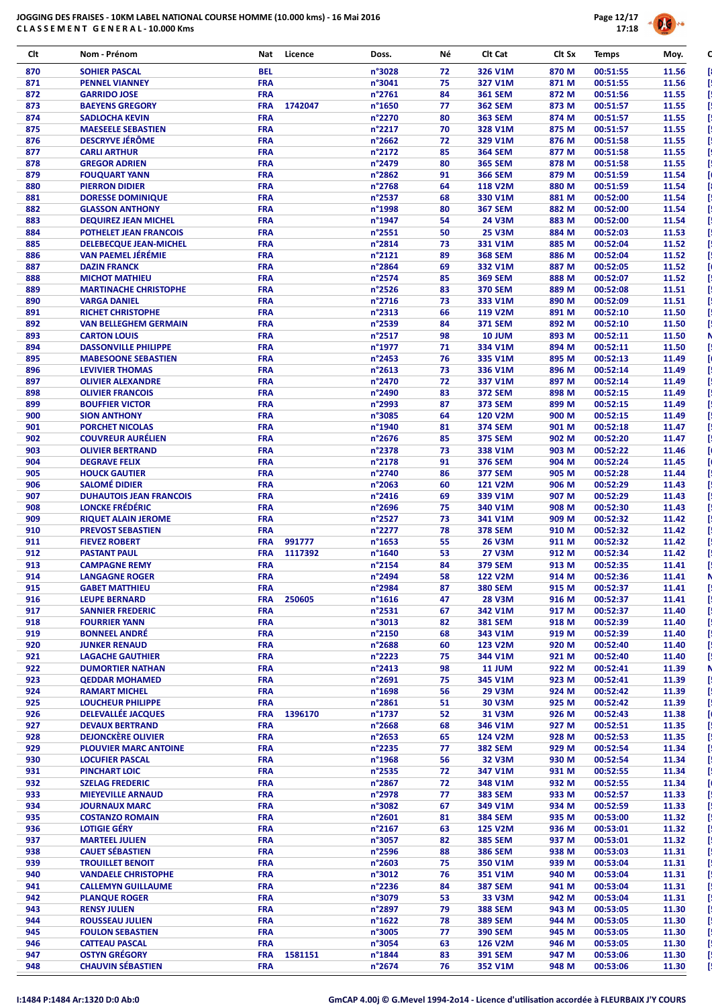

| Clt        | Nom - Prénom                                               | Nat                      | Licence | Doss.                      | Νé       | Clt Cat                          | Clt Sx         | <b>Temps</b>         | Moy.           |
|------------|------------------------------------------------------------|--------------------------|---------|----------------------------|----------|----------------------------------|----------------|----------------------|----------------|
| 870        | <b>SOHIER PASCAL</b>                                       | <b>BEL</b>               |         | n°3028                     | 72       | 326 V1M                          | 870 M          | 00:51:55             | 11.56          |
| 871        | <b>PENNEL VIANNEY</b>                                      | <b>FRA</b>               |         | n°3041                     | 75       | 327 V1M                          | 871 M          | 00:51:55             | 11.56          |
| 872        | <b>GARRIDO JOSE</b>                                        | <b>FRA</b>               |         | n°2761                     | 84       | <b>361 SEM</b>                   | 872 M          | 00:51:56             | 11.55          |
| 873<br>874 | <b>BAEYENS GREGORY</b><br><b>SADLOCHA KEVIN</b>            | <b>FRA</b><br><b>FRA</b> | 1742047 | n°1650<br>n°2270           | 77<br>80 | <b>362 SEM</b><br><b>363 SEM</b> | 873 M<br>874 M | 00:51:57<br>00:51:57 | 11.55<br>11.55 |
| 875        | <b>MAESEELE SEBASTIEN</b>                                  | <b>FRA</b>               |         | n°2217                     | 70       | 328 V1M                          | 875 M          | 00:51:57             | 11.55          |
| 876        | <b>DESCRYVE JÉRÔME</b>                                     | <b>FRA</b>               |         | n°2662                     | 72       | 329 V1M                          | 876 M          | 00:51:58             | 11.55          |
| 877        | <b>CARLI ARTHUR</b>                                        | <b>FRA</b>               |         | n°2172                     | 85       | <b>364 SEM</b>                   | 877 M          | 00:51:58             | 11.55          |
| 878        | <b>GREGOR ADRIEN</b>                                       | <b>FRA</b>               |         | n°2479                     | 80       | <b>365 SEM</b>                   | 878 M          | 00:51:58             | 11.55          |
| 879<br>880 | <b>FOUQUART YANN</b><br><b>PIERRON DIDIER</b>              | <b>FRA</b><br><b>FRA</b> |         | n°2862<br>n°2768           | 91<br>64 | <b>366 SEM</b><br><b>118 V2M</b> | 879 M<br>880 M | 00:51:59<br>00:51:59 | 11.54<br>11.54 |
| 881        | <b>DORESSE DOMINIQUE</b>                                   | <b>FRA</b>               |         | n°2537                     | 68       | 330 V1M                          | 881 M          | 00:52:00             | 11.54          |
| 882        | <b>GLASSON ANTHONY</b>                                     | <b>FRA</b>               |         | n°1998                     | 80       | <b>367 SEM</b>                   | 882 M          | 00:52:00             | 11.54          |
| 883        | <b>DEQUIREZ JEAN MICHEL</b>                                | <b>FRA</b>               |         | n°1947                     | 54       | <b>24 V3M</b>                    | 883 M          | 00:52:00             | 11.54          |
| 884        | <b>POTHELET JEAN FRANCOIS</b>                              | <b>FRA</b>               |         | n°2551                     | 50       | <b>25 V3M</b>                    | 884 M          | 00:52:03             | 11.53          |
| 885<br>886 | <b>DELEBECQUE JEAN-MICHEL</b><br><b>VAN PAEMEL JÉRÉMIE</b> | <b>FRA</b><br><b>FRA</b> |         | n°2814<br>n°2121           | 73<br>89 | 331 V1M<br><b>368 SEM</b>        | 885 M<br>886 M | 00:52:04<br>00:52:04 | 11.52<br>11.52 |
| 887        | <b>DAZIN FRANCK</b>                                        | <b>FRA</b>               |         | n°2864                     | 69       | 332 V1M                          | 887 M          | 00:52:05             | 11.52          |
| 888        | <b>MICHOT MATHIEU</b>                                      | <b>FRA</b>               |         | n°2574                     | 85       | <b>369 SEM</b>                   | 888 M          | 00:52:07             | 11.52          |
| 889        | <b>MARTINACHE CHRISTOPHE</b>                               | <b>FRA</b>               |         | n°2526                     | 83       | <b>370 SEM</b>                   | 889 M          | 00:52:08             | 11.51          |
| 890        | <b>VARGA DANIEL</b>                                        | <b>FRA</b>               |         | n°2716                     | 73       | 333 V1M                          | 890 M          | 00:52:09             | 11.51          |
| 891<br>892 | <b>RICHET CHRISTOPHE</b><br><b>VAN BELLEGHEM GERMAIN</b>   | <b>FRA</b><br><b>FRA</b> |         | n°2313<br>n°2539           | 66<br>84 | 119 V2M<br><b>371 SEM</b>        | 891 M<br>892 M | 00:52:10<br>00:52:10 | 11.50<br>11.50 |
| 893        | <b>CARTON LOUIS</b>                                        | <b>FRA</b>               |         | n°2517                     | 98       | <b>10 JUM</b>                    | 893 M          | 00:52:11             | 11.50          |
| 894        | <b>DASSONVILLE PHILIPPE</b>                                | <b>FRA</b>               |         | n°1977                     | 71       | 334 V1M                          | 894 M          | 00:52:11             | 11.50          |
| 895        | <b>MABESOONE SEBASTIEN</b>                                 | <b>FRA</b>               |         | n°2453                     | 76       | 335 V1M                          | 895 M          | 00:52:13             | 11.49          |
| 896        | <b>LEVIVIER THOMAS</b>                                     | <b>FRA</b>               |         | n°2613                     | 73       | 336 V1M                          | 896 M          | 00:52:14             | 11.49          |
| 897<br>898 | <b>OLIVIER ALEXANDRE</b><br><b>OLIVIER FRANCOIS</b>        | <b>FRA</b><br><b>FRA</b> |         | n°2470<br>n°2490           | 72<br>83 | 337 V1M<br><b>372 SEM</b>        | 897 M<br>898 M | 00:52:14<br>00:52:15 | 11.49<br>11.49 |
| 899        | <b>BOUFFIER VICTOR</b>                                     | <b>FRA</b>               |         | n°2993                     | 87       | <b>373 SEM</b>                   | 899 M          | 00:52:15             | 11.49          |
| 900        | <b>SION ANTHONY</b>                                        | <b>FRA</b>               |         | n°3085                     | 64       | 120 V2M                          | 900 M          | 00:52:15             | 11.49          |
| 901        | <b>PORCHET NICOLAS</b>                                     | <b>FRA</b>               |         | n°1940                     | 81       | <b>374 SEM</b>                   | 901 M          | 00:52:18             | 11.47          |
| 902        | <b>COUVREUR AURÉLIEN</b>                                   | <b>FRA</b>               |         | n°2676                     | 85       | <b>375 SEM</b>                   | 902 M          | 00:52:20             | 11.47          |
| 903<br>904 | <b>OLIVIER BERTRAND</b><br><b>DEGRAVE FELIX</b>            | <b>FRA</b><br><b>FRA</b> |         | n°2378<br>n°2178           | 73<br>91 | 338 V1M<br><b>376 SEM</b>        | 903 M<br>904 M | 00:52:22<br>00:52:24 | 11.46<br>11.45 |
| 905        | <b>HOUCK GAUTIER</b>                                       | <b>FRA</b>               |         | n°2740                     | 86       | <b>377 SEM</b>                   | 905 M          | 00:52:28             | 11.44          |
| 906        | <b>SALOMÉ DIDIER</b>                                       | <b>FRA</b>               |         | n°2063                     | 60       | <b>121 V2M</b>                   | 906 M          | 00:52:29             | 11.43          |
| 907        | <b>DUHAUTOIS JEAN FRANCOIS</b>                             | <b>FRA</b>               |         | n°2416                     | 69       | 339 V1M                          | 907 M          | 00:52:29             | 11.43          |
| 908        | <b>LONCKE FRÉDÉRIC</b>                                     | <b>FRA</b>               |         | n°2696                     | 75       | 340 V1M                          | 908 M          | 00:52:30             | 11.43          |
| 909<br>910 | <b>RIQUET ALAIN JEROME</b><br><b>PREVOST SEBASTIEN</b>     | <b>FRA</b><br><b>FRA</b> |         | n°2527<br>n°2277           | 73<br>78 | 341 V1M<br><b>378 SEM</b>        | 909 M<br>910 M | 00:52:32<br>00:52:32 | 11.42<br>11.42 |
| 911        | <b>FIEVEZ ROBERT</b>                                       | <b>FRA</b>               | 991777  | n°1653                     | 55       | <b>26 V3M</b>                    | 911 M          | 00:52:32             | 11.42          |
| 912        | <b>PASTANT PAUL</b>                                        | <b>FRA</b>               | 1117392 | n°1640                     | 53       | <b>27 V3M</b>                    | 912 M          | 00:52:34             | 11.42          |
| 913        | <b>CAMPAGNE REMY</b>                                       | <b>FRA</b>               |         | n°2154                     | 84       | <b>379 SEM</b>                   | 913 M          | 00:52:35             | 11.41          |
| 914        | <b>LANGAGNE ROGER</b>                                      | <b>FRA</b>               |         | n°2494                     | 58       | <b>122 V2M</b>                   | 914 M          | 00:52:36             | 11.41          |
| 915<br>916 | <b>GABET MATTHIEU</b><br><b>LEUPE BERNARD</b>              | <b>FRA</b><br><b>FRA</b> | 250605  | n°2984<br>$n^{\circ}$ 1616 | 87<br>47 | <b>380 SEM</b><br><b>28 V3M</b>  | 915 M<br>916 M | 00:52:37<br>00:52:37 | 11.41<br>11.41 |
| 917        | <b>SANNIER FREDERIC</b>                                    | <b>FRA</b>               |         | n°2531                     | 67       | 342 V1M                          | 917 M          | 00:52:37             | 11.40          |
| 918        | <b>FOURRIER YANN</b>                                       | <b>FRA</b>               |         | n°3013                     | 82       | <b>381 SEM</b>                   | 918 M          | 00:52:39             | 11.40          |
| 919        | <b>BONNEEL ANDRÉ</b>                                       | <b>FRA</b>               |         | n°2150                     | 68       | 343 V1M                          | 919 M          | 00:52:39             | 11.40          |
| 920        | <b>JUNKER RENAUD</b>                                       | <b>FRA</b><br><b>FRA</b> |         | n°2688                     | 60       | 123 V2M                          | 920 M          | 00:52:40             | 11.40          |
| 921<br>922 | <b>LAGACHE GAUTHIER</b><br><b>DUMORTIER NATHAN</b>         | <b>FRA</b>               |         | n°2223<br>n°2413           | 75<br>98 | 344 V1M<br><b>11 JUM</b>         | 921 M<br>922 M | 00:52:40<br>00:52:41 | 11.40<br>11.39 |
| 923        | <b>QEDDAR MOHAMED</b>                                      | <b>FRA</b>               |         | n°2691                     | 75       | 345 V1M                          | 923 M          | 00:52:41             | 11.39          |
| 924        | <b>RAMART MICHEL</b>                                       | <b>FRA</b>               |         | n°1698                     | 56       | <b>29 V3M</b>                    | 924 M          | 00:52:42             | 11.39          |
| 925        | <b>LOUCHEUR PHILIPPE</b>                                   | <b>FRA</b>               |         | n°2861                     | 51       | 30 V3M                           | 925 M          | 00:52:42             | 11.39          |
| 926        | <b>DELEVALLÉE JACQUES</b>                                  | <b>FRA</b>               | 1396170 | n°1737                     | 52       | 31 V3M                           | 926 M          | 00:52:43             | 11.38          |
| 927<br>928 | <b>DEVAUX BERTRAND</b><br><b>DEJONCKÈRE OLIVIER</b>        | <b>FRA</b><br><b>FRA</b> |         | n°2668<br>n°2653           | 68<br>65 | 346 V1M<br>124 V2M               | 927 M<br>928 M | 00:52:51<br>00:52:53 | 11.35<br>11.35 |
| 929        | <b>PLOUVIER MARC ANTOINE</b>                               | <b>FRA</b>               |         | $n^{\circ}$ 2235           | 77       | <b>382 SEM</b>                   | 929 M          | 00:52:54             | 11.34          |
| 930        | <b>LOCUFIER PASCAL</b>                                     | <b>FRA</b>               |         | n°1968                     | 56       | <b>32 V3M</b>                    | 930 M          | 00:52:54             | 11.34          |
| 931        | <b>PINCHART LOIC</b>                                       | <b>FRA</b>               |         | n°2535                     | 72       | 347 V1M                          | 931 M          | 00:52:55             | 11.34          |
| 932        | <b>SZELAG FREDERIC</b>                                     | <b>FRA</b>               |         | n°2867                     | 72       | 348 V1M                          | 932 M          | 00:52:55             | 11.34          |
| 933<br>934 | <b>MIEYEVILLE ARNAUD</b><br><b>JOURNAUX MARC</b>           | <b>FRA</b><br><b>FRA</b> |         | n°2978<br>n°3082           | 77<br>67 | <b>383 SEM</b><br>349 V1M        | 933 M<br>934 M | 00:52:57<br>00:52:59 | 11.33<br>11.33 |
| 935        | <b>COSTANZO ROMAIN</b>                                     | <b>FRA</b>               |         | n°2601                     | 81       | <b>384 SEM</b>                   | 935 M          | 00:53:00             | 11.32          |
| 936        | <b>LOTIGIE GÉRY</b>                                        | <b>FRA</b>               |         | n°2167                     | 63       | <b>125 V2M</b>                   | 936 M          | 00:53:01             | 11.32          |
| 937        | <b>MARTEEL JULIEN</b>                                      | <b>FRA</b>               |         | n°3057                     | 82       | <b>385 SEM</b>                   | 937 M          | 00:53:01             | 11.32          |
| 938        | <b>CAUET SÉBASTIEN</b>                                     | <b>FRA</b>               |         | n°2596                     | 88       | <b>386 SEM</b>                   | 938 M          | 00:53:03             | 11.31          |
| 939<br>940 | <b>TROUILLET BENOIT</b><br><b>VANDAELE CHRISTOPHE</b>      | <b>FRA</b><br><b>FRA</b> |         | n°2603<br>n°3012           | 75<br>76 | 350 V1M<br>351 V1M               | 939 M<br>940 M | 00:53:04<br>00:53:04 | 11.31<br>11.31 |
| 941        | <b>CALLEMYN GUILLAUME</b>                                  | <b>FRA</b>               |         | n°2236                     | 84       | <b>387 SEM</b>                   | 941 M          | 00:53:04             | 11.31          |
| 942        | <b>PLANQUE ROGER</b>                                       | <b>FRA</b>               |         | n°3079                     | 53       | 33 V3M                           | 942 M          | 00:53:04             | 11.31          |
| 943        | <b>RENSY JULIEN</b>                                        | <b>FRA</b>               |         | n°2897                     | 79       | <b>388 SEM</b>                   | 943 M          | 00:53:05             | 11.30          |
| 944        | <b>ROUSSEAU JULIEN</b>                                     | <b>FRA</b>               |         | $n^{\circ}$ 1622           | 78       | <b>389 SEM</b>                   | 944 M          | 00:53:05             | 11.30          |
| 945        | <b>FOULON SEBASTIEN</b>                                    | <b>FRA</b>               |         | n°3005                     | 77       | <b>390 SEM</b>                   | 945 M          | 00:53:05             | 11.30          |
| 946<br>947 | <b>CATTEAU PASCAL</b><br><b>OSTYN GRÉGORY</b>              | <b>FRA</b><br><b>FRA</b> | 1581151 | n°3054<br>n°1844           | 63<br>83 | 126 V2M<br><b>391 SEM</b>        | 946 M<br>947 M | 00:53:05<br>00:53:06 | 11.30<br>11.30 |
| 948        | <b>CHAUVIN SÉBASTIEN</b>                                   | <b>FRA</b>               |         | n°2674                     | 76       | 352 V1M                          | 948 M          | 00:53:06             | 11.30          |
|            |                                                            |                          |         |                            |          |                                  |                |                      |                |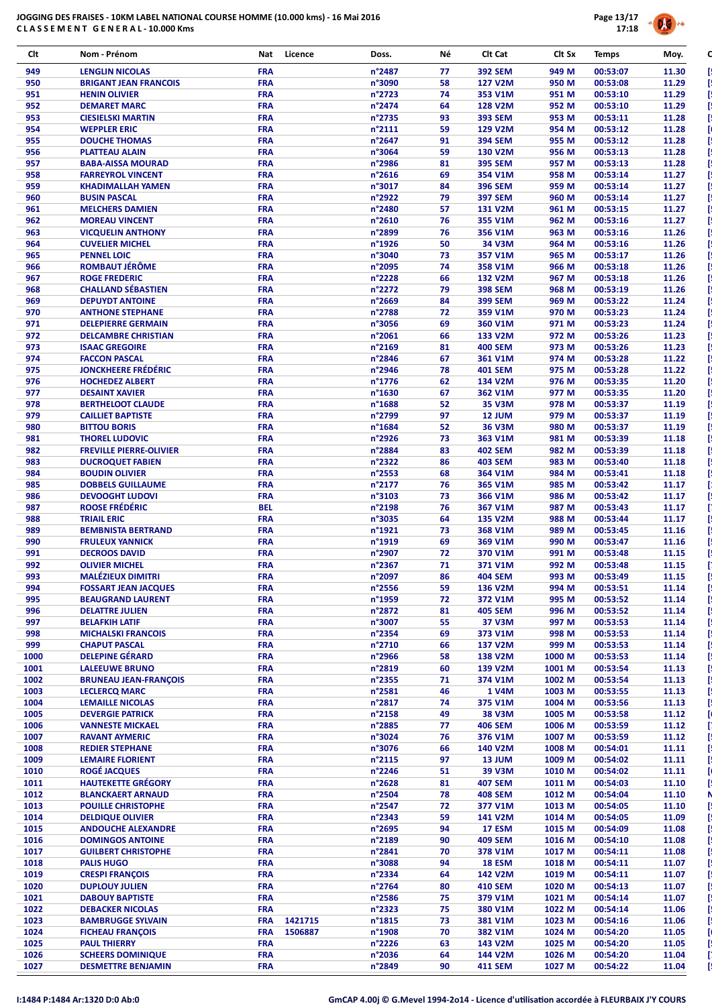

| Clt          | Nom - Prénom                                         |                          | Nat Licence | Doss.                     | Νé       | Clt Cat                   | Clt Sx           | <b>Temps</b>         | Moy.           |
|--------------|------------------------------------------------------|--------------------------|-------------|---------------------------|----------|---------------------------|------------------|----------------------|----------------|
| 949          | <b>LENGLIN NICOLAS</b>                               | <b>FRA</b>               |             | n°2487                    | 77       | <b>392 SEM</b>            | 949 M            | 00:53:07             | 11.30          |
| 950          | <b>BRIGANT JEAN FRANCOIS</b>                         | <b>FRA</b>               |             | n°3090                    | 58       | <b>127 V2M</b>            | 950 M            | 00:53:08             | 11.29          |
| 951          | <b>HENIN OLIVIER</b>                                 | <b>FRA</b>               |             | n°2723                    | 74       | 353 V1M                   | 951 M            | 00:53:10             | 11.29          |
| 952          | <b>DEMARET MARC</b>                                  | <b>FRA</b>               |             | n°2474                    | 64       | <b>128 V2M</b>            | 952 M            | 00:53:10             | 11.29          |
| 953          | <b>CIESIELSKI MARTIN</b>                             | <b>FRA</b>               |             | n°2735                    | 93       | <b>393 SEM</b>            | 953 M            | 00:53:11             | 11.28          |
| 954<br>955   | <b>WEPPLER ERIC</b><br><b>DOUCHE THOMAS</b>          | <b>FRA</b><br><b>FRA</b> |             | $n^{\circ}2111$<br>n°2647 | 59<br>91 | 129 V2M<br><b>394 SEM</b> | 954 M<br>955 M   | 00:53:12<br>00:53:12 | 11.28<br>11.28 |
| 956          | <b>PLATTEAU ALAIN</b>                                | <b>FRA</b>               |             | n°3064                    | 59       | 130 V2M                   | 956 M            | 00:53:13             | 11.28          |
| 957          | <b>BABA-AISSA MOURAD</b>                             | <b>FRA</b>               |             | n°2986                    | 81       | <b>395 SEM</b>            | 957 M            | 00:53:13             | 11.28          |
| 958          | <b>FARREYROL VINCENT</b>                             | <b>FRA</b>               |             | $n^{\circ}2616$           | 69       | 354 V1M                   | 958 M            | 00:53:14             | 11.27          |
| 959          | <b>KHADIMALLAH YAMEN</b>                             | <b>FRA</b>               |             | n°3017                    | 84       | <b>396 SEM</b>            | 959 M            | 00:53:14             | 11.27          |
| 960          | <b>BUSIN PASCAL</b>                                  | <b>FRA</b>               |             | n°2922                    | 79       | <b>397 SEM</b>            | 960 M            | 00:53:14             | 11.27          |
| 961          | <b>MELCHERS DAMIEN</b>                               | <b>FRA</b>               |             | n°2480                    | 57       | 131 V2M                   | 961 M            | 00:53:15             | 11.27          |
| 962          | <b>MOREAU VINCENT</b>                                | <b>FRA</b>               |             | n°2610                    | 76       | 355 V1M                   | 962 M            | 00:53:16             | 11.27          |
| 963          | <b>VICQUELIN ANTHONY</b>                             | <b>FRA</b>               |             | n°2899                    | 76       | 356 V1M                   | 963 M            | 00:53:16             | 11.26          |
| 964<br>965   | <b>CUVELIER MICHEL</b><br><b>PENNEL LOIC</b>         | <b>FRA</b><br><b>FRA</b> |             | n°1926<br>n°3040          | 50<br>73 | 34 V3M<br>357 V1M         | 964 M<br>965 M   | 00:53:16<br>00:53:17 | 11.26<br>11.26 |
| 966          | <b>ROMBAUT JÉRÔME</b>                                | <b>FRA</b>               |             | n°2095                    | 74       | 358 V1M                   | 966 M            | 00:53:18             | 11.26          |
| 967          | <b>ROGE FREDERIC</b>                                 | <b>FRA</b>               |             | n°2228                    | 66       | <b>132 V2M</b>            | 967 M            | 00:53:18             | 11.26          |
| 968          | <b>CHALLAND SÉBASTIEN</b>                            | <b>FRA</b>               |             | n°2272                    | 79       | <b>398 SEM</b>            | 968 M            | 00:53:19             | 11.26          |
| 969          | <b>DEPUYDT ANTOINE</b>                               | <b>FRA</b>               |             | n°2669                    | 84       | <b>399 SEM</b>            | 969 M            | 00:53:22             | 11.24          |
| 970          | <b>ANTHONE STEPHANE</b>                              | <b>FRA</b>               |             | n°2788                    | 72       | 359 V1M                   | 970 M            | 00:53:23             | 11.24          |
| 971          | <b>DELEPIERRE GERMAIN</b>                            | <b>FRA</b>               |             | n°3056                    | 69       | 360 V1M                   | 971 M            | 00:53:23             | 11.24          |
| 972          | <b>DELCAMBRE CHRISTIAN</b>                           | <b>FRA</b>               |             | n°2061                    | 66       | 133 V <sub>2</sub> M      | 972 M            | 00:53:26             | 11.23          |
| 973          | <b>ISAAC GREGOIRE</b>                                | <b>FRA</b>               |             | n°2169                    | 81       | <b>400 SEM</b>            | 973 M            | 00:53:26             | 11.23          |
| 974<br>975   | <b>FACCON PASCAL</b><br><b>JONCKHEERE FRÉDÉRIC</b>   | <b>FRA</b>               |             | n°2846<br>n°2946          | 67<br>78 | 361 V1M                   | 974 M<br>975 M   | 00:53:28             | 11.22          |
| 976          | <b>HOCHEDEZ ALBERT</b>                               | <b>FRA</b><br><b>FRA</b> |             | n°1776                    | 62       | <b>401 SEM</b><br>134 V2M | 976 M            | 00:53:28<br>00:53:35 | 11.22<br>11.20 |
| 977          | <b>DESAINT XAVIER</b>                                | <b>FRA</b>               |             | n°1630                    | 67       | 362 V1M                   | 977 M            | 00:53:35             | 11.20          |
| 978          | <b>BERTHELOOT CLAUDE</b>                             | <b>FRA</b>               |             | n°1688                    | 52       | <b>35 V3M</b>             | 978 M            | 00:53:37             | 11.19          |
| 979          | <b>CAILLIET BAPTISTE</b>                             | <b>FRA</b>               |             | n°2799                    | 97       | 12 JUM                    | 979 M            | 00:53:37             | 11.19          |
| 980          | <b>BITTOU BORIS</b>                                  | <b>FRA</b>               |             | n°1684                    | 52       | 36 V3M                    | 980 M            | 00:53:37             | 11.19          |
| 981          | <b>THOREL LUDOVIC</b>                                | <b>FRA</b>               |             | n°2926                    | 73       | 363 V1M                   | 981 M            | 00:53:39             | 11.18          |
| 982          | <b>FREVILLE PIERRE-OLIVIER</b>                       | <b>FRA</b>               |             | n°2884                    | 83       | <b>402 SEM</b>            | 982 M            | 00:53:39             | 11.18          |
| 983          | <b>DUCROQUET FABIEN</b>                              | <b>FRA</b>               |             | n°2322                    | 86       | <b>403 SEM</b>            | 983 M            | 00:53:40             | 11.18          |
| 984<br>985   | <b>BOUDIN OLIVIER</b><br><b>DOBBELS GUILLAUME</b>    | <b>FRA</b><br><b>FRA</b> |             | n°2553<br>n°2177          | 68<br>76 | 364 V1M<br>365 V1M        | 984 M<br>985 M   | 00:53:41<br>00:53:42 | 11.18<br>11.17 |
| 986          | <b>DEVOOGHT LUDOVI</b>                               | <b>FRA</b>               |             | n°3103                    | 73       | 366 V1M                   | 986 M            | 00:53:42             | 11.17          |
| 987          | <b>ROOSE FRÉDÉRIC</b>                                | <b>BEL</b>               |             | n°2198                    | 76       | 367 V1M                   | 987 M            | 00:53:43             | 11.17          |
| 988          | <b>TRIAIL ERIC</b>                                   | <b>FRA</b>               |             | n°3035                    | 64       | 135 V2M                   | 988 M            | 00:53:44             | 11.17          |
| 989          | <b>BEMBNISTA BERTRAND</b>                            | <b>FRA</b>               |             | n°1921                    | 73       | 368 V1M                   | 989 M            | 00:53:45             | 11.16          |
| 990          | <b>FRULEUX YANNICK</b>                               | <b>FRA</b>               |             | n°1919                    | 69       | 369 V1M                   | 990 M            | 00:53:47             | 11.16          |
| 991          | <b>DECROOS DAVID</b>                                 | <b>FRA</b>               |             | n°2907                    | 72       | 370 V1M                   | 991 M            | 00:53:48             | 11.15          |
| 992          | <b>OLIVIER MICHEL</b>                                | <b>FRA</b>               |             | n°2367                    | 71       | 371 V1M                   | 992 M            | 00:53:48             | 11.15          |
| 993          | <b>MALÉZIEUX DIMITRI</b>                             | <b>FRA</b>               |             | n°2097                    | 86       | <b>404 SEM</b>            | 993 M            | 00:53:49             | 11.15          |
| 994          | <b>FOSSART JEAN JACQUES</b>                          | <b>FRA</b>               |             | n°2556                    | 59       | 136 V2M                   | 994 M            | 00:53:51             | 11.14          |
| 995<br>996   | <b>BEAUGRAND LAURENT</b><br><b>DELATTRE JULIEN</b>   | <b>FRA</b><br><b>FRA</b> |             | n°1959<br>n°2872          | 72<br>81 | 372 V1M<br><b>405 SEM</b> | 995 M<br>996 M   | 00:53:52<br>00:53:52 | 11.14<br>11.14 |
| 997          | <b>BELAFKIH LATIF</b>                                | <b>FRA</b>               |             | n°3007                    | 55       | 37 V3M                    | 997 M            | 00:53:53             | 11.14          |
| 998          | <b>MICHALSKI FRANCOIS</b>                            | <b>FRA</b>               |             | n°2354                    | 69       | 373 V1M                   | 998 M            | 00:53:53             | 11.14          |
| 999          | <b>CHAPUT PASCAL</b>                                 | <b>FRA</b>               |             | n°2710                    | 66       | 137 V2M                   | 999 M            | 00:53:53             | 11.14          |
| 1000         | <b>DELEPINE GÉRARD</b>                               | <b>FRA</b>               |             | n°2966                    | 58       | <b>138 V2M</b>            | 1000 M           | 00:53:53             | 11.14          |
| 1001         | <b>LALEEUWE BRUNO</b>                                | <b>FRA</b>               |             | n°2819                    | 60       | 139 V2M                   | 1001 M           | 00:53:54             | 11.13          |
| 1002         | <b>BRUNEAU JEAN-FRANÇOIS</b>                         | <b>FRA</b>               |             | n°2355                    | 71       | 374 V1M                   | 1002 M           | 00:53:54             | 11.13          |
| 1003         | <b>LECLERCQ MARC</b>                                 | <b>FRA</b>               |             | n°2581                    | 46       | 1 V4M                     | 1003 M           | 00:53:55             | 11.13          |
| 1004<br>1005 | <b>LEMAILLE NICOLAS</b><br><b>DEVERGIE PATRICK</b>   | <b>FRA</b><br><b>FRA</b> |             | n°2817<br>n°2158          | 74<br>49 | 375 V1M<br>38 V3M         | 1004 M<br>1005 M | 00:53:56<br>00:53:58 | 11.13          |
| 1006         | <b>VANNESTE MICKAEL</b>                              | <b>FRA</b>               |             | n°2885                    | 77       | <b>406 SEM</b>            | 1006 M           | 00:53:59             | 11.12<br>11.12 |
| 1007         | <b>RAVANT AYMERIC</b>                                | <b>FRA</b>               |             | n°3024                    | 76       | 376 V1M                   | 1007 M           | 00:53:59             | 11.12          |
| 1008         | <b>REDIER STEPHANE</b>                               | <b>FRA</b>               |             | n°3076                    | 66       | 140 V2M                   | 1008 M           | 00:54:01             | 11.11          |
| 1009         | <b>LEMAIRE FLORIENT</b>                              | <b>FRA</b>               |             | n°2115                    | 97       | 13 JUM                    | 1009 M           | 00:54:02             | 11.11          |
| 1010         | <b>ROGÉ JACQUES</b>                                  | <b>FRA</b>               |             | n°2246                    | 51       | 39 V3M                    | 1010 M           | 00:54:02             | 11.11          |
| 1011         | <b>HAUTEKETTE GRÉGORY</b>                            | <b>FRA</b>               |             | n°2628                    | 81       | <b>407 SEM</b>            | 1011 M           | 00:54:03             | 11.10          |
| 1012         | <b>BLANCKAERT ARNAUD</b>                             | <b>FRA</b>               |             | n°2504                    | 78       | <b>408 SEM</b>            | 1012 M           | 00:54:04             | 11.10          |
| 1013         | <b>POUILLE CHRISTOPHE</b>                            | <b>FRA</b>               |             | n°2547                    | 72       | 377 V1M                   | 1013 M           | 00:54:05             | 11.10          |
| 1014         | <b>DELDIQUE OLIVIER</b><br><b>ANDOUCHE ALEXANDRE</b> | <b>FRA</b><br><b>FRA</b> |             | n°2343<br>n°2695          | 59<br>94 | 141 V2M<br>17 ESM         | 1014 M<br>1015 M | 00:54:05<br>00:54:09 | 11.09          |
| 1015<br>1016 | <b>DOMINGOS ANTOINE</b>                              | <b>FRA</b>               |             | n°2189                    | 90       | <b>409 SEM</b>            | 1016 M           | 00:54:10             | 11.08<br>11.08 |
| 1017         | <b>GUILBERT CHRISTOPHE</b>                           | <b>FRA</b>               |             | n°2841                    | 70       | 378 V1M                   | 1017 M           | 00:54:11             | 11.08          |
| 1018         | <b>PALIS HUGO</b>                                    | <b>FRA</b>               |             | n°3088                    | 94       | <b>18 ESM</b>             | 1018 M           | 00:54:11             | 11.07          |
| 1019         | <b>CRESPI FRANÇOIS</b>                               | <b>FRA</b>               |             | n°2334                    | 64       | 142 V2M                   | 1019 M           | 00:54:11             | 11.07          |
| 1020         | <b>DUPLOUY JULIEN</b>                                | <b>FRA</b>               |             | n°2764                    | 80       | <b>410 SEM</b>            | 1020 M           | 00:54:13             | 11.07          |
| 1021         | <b>DABOUY BAPTISTE</b>                               | <b>FRA</b>               |             | n°2586                    | 75       | 379 V1M                   | 1021 M           | 00:54:14             | 11.07          |
| 1022         | <b>DEBACKER NICOLAS</b>                              | <b>FRA</b>               |             | n°2323                    | 75       | 380 V1M                   | 1022 M           | 00:54:14             | 11.06          |
| 1023         | <b>BAMBRUGGE SYLVAIN</b>                             | <b>FRA</b>               | 1421715     | n°1815                    | 73       | 381 V1M                   | 1023 M           | 00:54:16             | 11.06          |
| 1024         | <b>FICHEAU FRANÇOIS</b>                              | <b>FRA</b>               | 1506887     | n°1908                    | 70       | 382 V1M                   | 1024 M           | 00:54:20             | 11.05          |
| 1025<br>1026 | <b>PAUL THIERRY</b><br><b>SCHEERS DOMINIQUE</b>      | <b>FRA</b><br><b>FRA</b> |             | n°2226<br>n°2036          | 63<br>64 | 143 V2M<br>144 V2M        | 1025 M<br>1026 M | 00:54:20<br>00:54:20 | 11.05<br>11.04 |
| 1027         | <b>DESMETTRE BENJAMIN</b>                            | <b>FRA</b>               |             | n°2849                    | 90       | <b>411 SEM</b>            | 1027 M           | 00:54:22             | 11.04          |
|              |                                                      |                          |             |                           |          |                           |                  |                      |                |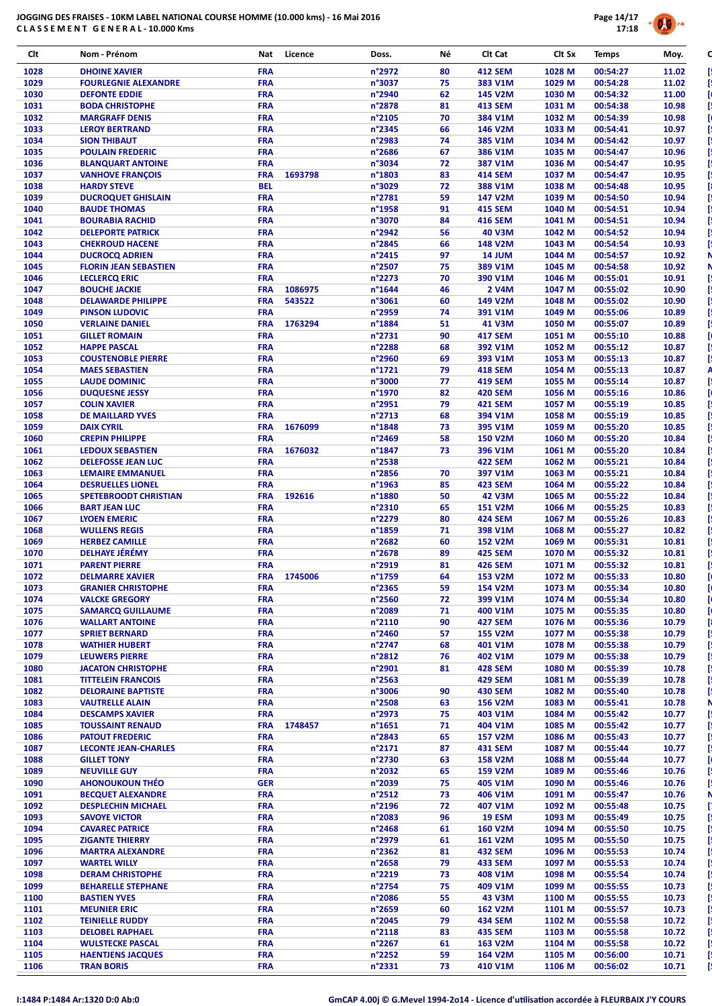

| Clt          | Nom - Prénom                                           | Nat                      | Licence | Doss.                      | Νé       | Clt Cat                          | Clt Sx           | <b>Temps</b>         | Moy.           |
|--------------|--------------------------------------------------------|--------------------------|---------|----------------------------|----------|----------------------------------|------------------|----------------------|----------------|
| 1028         | <b>DHOINE XAVIER</b>                                   | <b>FRA</b>               |         | n°2972                     | 80       | <b>412 SEM</b>                   | 1028 M           | 00:54:27             | 11.02          |
| 1029         | <b>FOURLEGNIE ALEXANDRE</b>                            | <b>FRA</b>               |         | n°3037                     | 75       | 383 V1M                          | 1029 M           | 00:54:28             | 11.02          |
| 1030         | <b>DEFONTE EDDIE</b>                                   | <b>FRA</b>               |         | n°2940                     | 62       | 145 V2M                          | 1030 M           | 00:54:32             | 11.00          |
| 1031<br>1032 | <b>BODA CHRISTOPHE</b><br><b>MARGRAFF DENIS</b>        | <b>FRA</b><br><b>FRA</b> |         | n°2878<br>n°2105           | 81<br>70 | <b>413 SEM</b><br>384 V1M        | 1031 M<br>1032 M | 00:54:38<br>00:54:39 | 10.98<br>10.98 |
| 1033         | <b>LEROY BERTRAND</b>                                  | <b>FRA</b>               |         | n°2345                     | 66       | 146 V2M                          | 1033 M           | 00:54:41             | 10.97          |
| 1034         | <b>SION THIBAUT</b>                                    | <b>FRA</b>               |         | n°2983                     | 74       | 385 V1M                          | 1034 M           | 00:54:42             | 10.97          |
| 1035         | <b>POULAIN FREDERIC</b>                                | <b>FRA</b>               |         | n°2686                     | 67       | 386 V1M                          | 1035 M           | 00:54:47             | 10.96          |
| 1036         | <b>BLANQUART ANTOINE</b>                               | <b>FRA</b>               |         | n°3034                     | 72       | 387 V1M                          | 1036 M           | 00:54:47             | 10.95          |
| 1037<br>1038 | <b>VANHOVE FRANÇOIS</b><br><b>HARDY STEVE</b>          | <b>FRA</b><br><b>BEL</b> | 1693798 | n°1803<br>n°3029           | 83<br>72 | <b>414 SEM</b><br>388 V1M        | 1037 M<br>1038 M | 00:54:47<br>00:54:48 | 10.95<br>10.95 |
| 1039         | <b>DUCROQUET GHISLAIN</b>                              | <b>FRA</b>               |         | n°2781                     | 59       | 147 V2M                          | 1039 M           | 00:54:50             | 10.94          |
| 1040         | <b>BAUDE THOMAS</b>                                    | <b>FRA</b>               |         | n°1958                     | 91       | <b>415 SEM</b>                   | 1040 M           | 00:54:51             | 10.94          |
| 1041         | <b>BOURABIA RACHID</b>                                 | <b>FRA</b>               |         | n°3070                     | 84       | <b>416 SEM</b>                   | 1041 M           | 00:54:51             | 10.94          |
| 1042         | <b>DELEPORTE PATRICK</b>                               | <b>FRA</b>               |         | n°2942                     | 56       | <b>40 V3M</b>                    | 1042 M           | 00:54:52             | 10.94          |
| 1043<br>1044 | <b>CHEKROUD HACENE</b><br><b>DUCROCQ ADRIEN</b>        | <b>FRA</b><br><b>FRA</b> |         | n°2845<br>n°2415           | 66<br>97 | 148 V2M<br><b>14 JUM</b>         | 1043 M<br>1044 M | 00:54:54<br>00:54:57 | 10.93<br>10.92 |
| 1045         | <b>FLORIN JEAN SEBASTIEN</b>                           | <b>FRA</b>               |         | n°2507                     | 75       | 389 V1M                          | 1045 M           | 00:54:58             | 10.92          |
| 1046         | <b>LECLERCQ ERIC</b>                                   | <b>FRA</b>               |         | n°2273                     | 70       | 390 V1M                          | 1046 M           | 00:55:01             | 10.91          |
| 1047         | <b>BOUCHE JACKIE</b>                                   | <b>FRA</b>               | 1086975 | n°1644                     | 46       | 2 V4M                            | 1047 M           | 00:55:02             | 10.90          |
| 1048         | <b>DELAWARDE PHILIPPE</b>                              | <b>FRA</b>               | 543522  | n°3061                     | 60       | 149 V2M                          | 1048 M           | 00:55:02             | 10.90          |
| 1049         | <b>PINSON LUDOVIC</b>                                  | <b>FRA</b>               |         | n°2959                     | 74       | 391 V1M                          | 1049 M           | 00:55:06             | 10.89          |
| 1050<br>1051 | <b>VERLAINE DANIEL</b><br><b>GILLET ROMAIN</b>         | <b>FRA</b><br><b>FRA</b> | 1763294 | n°1884<br>n°2731           | 51<br>90 | 41 V3M<br><b>417 SEM</b>         | 1050 M<br>1051 M | 00:55:07<br>00:55:10 | 10.89<br>10.88 |
| 1052         | <b>HAPPE PASCAL</b>                                    | <b>FRA</b>               |         | n°2288                     | 68       | 392 V1M                          | 1052 M           | 00:55:12             | 10.87          |
| 1053         | <b>COUSTENOBLE PIERRE</b>                              | <b>FRA</b>               |         | n°2960                     | 69       | 393 V1M                          | 1053 M           | 00:55:13             | 10.87          |
| 1054         | <b>MAES SEBASTIEN</b>                                  | <b>FRA</b>               |         | n°1721                     | 79       | <b>418 SEM</b>                   | 1054 M           | 00:55:13             | 10.87          |
| 1055         | <b>LAUDE DOMINIC</b>                                   | <b>FRA</b>               |         | n°3000                     | 77       | <b>419 SEM</b>                   | 1055 M           | 00:55:14             | 10.87          |
| 1056<br>1057 | <b>DUQUESNE JESSY</b><br><b>COLIN XAVIER</b>           | <b>FRA</b><br><b>FRA</b> |         | n°1970<br>n°2951           | 82<br>79 | <b>420 SEM</b><br><b>421 SEM</b> | 1056 M<br>1057 M | 00:55:16<br>00:55:19 | 10.86<br>10.85 |
| 1058         | <b>DE MAILLARD YVES</b>                                | <b>FRA</b>               |         | n°2713                     | 68       | 394 V1M                          | 1058 M           | 00:55:19             | 10.85          |
| 1059         | <b>DAIX CYRIL</b>                                      | <b>FRA</b>               | 1676099 | n°1848                     | 73       | 395 V1M                          | 1059 M           | 00:55:20             | 10.85          |
| 1060         | <b>CREPIN PHILIPPE</b>                                 | <b>FRA</b>               |         | n°2469                     | 58       | <b>150 V2M</b>                   | 1060 M           | 00:55:20             | 10.84          |
| 1061         | <b>LEDOUX SEBASTIEN</b>                                | <b>FRA</b>               | 1676032 | n°1847                     | 73       | 396 V1M                          | 1061 M           | 00:55:20             | 10.84          |
| 1062<br>1063 | <b>DELEFOSSE JEAN LUC</b><br><b>LEMAIRE EMMANUEL</b>   | <b>FRA</b><br><b>FRA</b> |         | n°2538<br>n°2856           | 70       | <b>422 SEM</b><br>397 V1M        | 1062 M<br>1063 M | 00:55:21<br>00:55:21 | 10.84<br>10.84 |
| 1064         | <b>DESRUELLES LIONEL</b>                               | <b>FRA</b>               |         | n°1963                     | 85       | <b>423 SEM</b>                   | 1064 M           | 00:55:22             | 10.84          |
| 1065         | <b>SPETEBROODT CHRISTIAN</b>                           | <b>FRA</b>               | 192616  | n°1880                     | 50       | 42 V3M                           | 1065 M           | 00:55:22             | 10.84          |
| 1066         | <b>BART JEAN LUC</b>                                   | <b>FRA</b>               |         | n°2310                     | 65       | <b>151 V2M</b>                   | 1066 M           | 00:55:25             | 10.83          |
| 1067         | <b>LYOEN EMERIC</b>                                    | <b>FRA</b>               |         | n°2279                     | 80       | <b>424 SEM</b>                   | 1067 M           | 00:55:26             | 10.83          |
| 1068<br>1069 | <b>WULLENS REGIS</b><br><b>HERBEZ CAMILLE</b>          | <b>FRA</b><br><b>FRA</b> |         | n°1859<br>n°2682           | 71<br>60 | 398 V1M<br><b>152 V2M</b>        | 1068 M<br>1069 M | 00:55:27<br>00:55:31 | 10.82<br>10.81 |
| 1070         | <b>DELHAYE JÉRÉMY</b>                                  | <b>FRA</b>               |         | n°2678                     | 89       | <b>425 SEM</b>                   | 1070 M           | 00:55:32             | 10.81          |
| 1071         | <b>PARENT PIERRE</b>                                   | <b>FRA</b>               |         | n°2919                     | 81       | <b>426 SEM</b>                   | 1071 M           | 00:55:32             | 10.81          |
| 1072         | <b>DELMARRE XAVIER</b>                                 | <b>FRA</b>               | 1745006 | n°1759                     | 64       | 153 V2M                          | 1072 M           | 00:55:33             | 10.80          |
| 1073         | <b>GRANIER CHRISTOPHE</b>                              | <b>FRA</b>               |         | $n^{\circ}$ 2365           | 59       | 154 V2M                          | 1073 M           | 00:55:34             | 10.80          |
| 1074         | <b>VALCKE GREGORY</b>                                  | <b>FRA</b>               |         | n°2560                     | 72       | 399 V1M                          | 1074 M           | 00:55:34             | 10.80          |
| 1075<br>1076 | <b>SAMARCQ GUILLAUME</b><br><b>WALLART ANTOINE</b>     | <b>FRA</b><br><b>FRA</b> |         | n°2089<br>n°2110           | 71<br>90 | 400 V1M<br><b>427 SEM</b>        | 1075 M<br>1076 M | 00:55:35<br>00:55:36 | 10.80<br>10.79 |
| 1077         | <b>SPRIET BERNARD</b>                                  | <b>FRA</b>               |         | n°2460                     | 57       | 155 V2M                          | 1077 M           | 00:55:38             | 10.79          |
| 1078         | <b>WATHIER HUBERT</b>                                  | <b>FRA</b>               |         | n°2747                     | 68       | 401 V1M                          | 1078 M           | 00:55:38             | 10.79          |
| 1079         | <b>LEUWERS PIERRE</b>                                  | <b>FRA</b>               |         | n°2812                     | 76       | 402 V1M                          | 1079 M           | 00:55:38             | 10.79          |
| 1080         | <b>JACATON CHRISTOPHE</b>                              | <b>FRA</b>               |         | n°2901                     | 81       | <b>428 SEM</b>                   | 1080 M           | 00:55:39             | 10.78          |
| 1081<br>1082 | <b>TITTELEIN FRANCOIS</b><br><b>DELORAINE BAPTISTE</b> | <b>FRA</b><br><b>FRA</b> |         | $n^{\circ}$ 2563<br>n°3006 | 90       | <b>429 SEM</b><br><b>430 SEM</b> | 1081 M<br>1082 M | 00:55:39<br>00:55:40 | 10.78<br>10.78 |
| 1083         | <b>VAUTRELLE ALAIN</b>                                 | <b>FRA</b>               |         | n°2508                     | 63       | 156 V2M                          | 1083 M           | 00:55:41             | 10.78          |
| 1084         | <b>DESCAMPS XAVIER</b>                                 | <b>FRA</b>               |         | n°2973                     | 75       | 403 V1M                          | 1084 M           | 00:55:42             | 10.77          |
| 1085         | <b>TOUSSAINT RENAUD</b>                                | <b>FRA</b>               | 1748457 | $n^{\circ}1651$            | 71       | 404 V1M                          | 1085 M           | 00:55:42             | 10.77          |
| 1086         | <b>PATOUT FREDERIC</b>                                 | <b>FRA</b>               |         | n°2843                     | 65       | 157 V2M                          | 1086 M           | 00:55:43             | 10.77          |
| 1087         | <b>LECONTE JEAN-CHARLES</b>                            | <b>FRA</b><br><b>FRA</b> |         | $n^{\circ}2171$<br>n°2730  | 87       | <b>431 SEM</b>                   | 1087 M           | 00:55:44             | 10.77          |
| 1088<br>1089 | <b>GILLET TONY</b><br><b>NEUVILLE GUY</b>              | <b>FRA</b>               |         | n°2032                     | 63<br>65 | <b>158 V2M</b><br>159 V2M        | 1088 M<br>1089 M | 00:55:44<br>00:55:46 | 10.77<br>10.76 |
| 1090         | <b>AHONOUKOUN THEO</b>                                 | <b>GER</b>               |         | n°2039                     | 75       | 405 V1M                          | 1090 M           | 00:55:46             | 10.76          |
| 1091         | <b>BECQUET ALEXANDRE</b>                               | <b>FRA</b>               |         | n°2512                     | 73       | 406 V1M                          | 1091 M           | 00:55:47             | 10.76          |
| 1092         | <b>DESPLECHIN MICHAEL</b>                              | <b>FRA</b>               |         | n°2196                     | 72       | 407 V1M                          | 1092 M           | 00:55:48             | 10.75          |
| 1093         | <b>SAVOYE VICTOR</b>                                   | <b>FRA</b>               |         | n°2083                     | 96       | <b>19 ESM</b>                    | 1093 M           | 00:55:49             | 10.75          |
| 1094<br>1095 | <b>CAVAREC PATRICE</b><br><b>ZIGANTE THIERRY</b>       | <b>FRA</b><br><b>FRA</b> |         | n°2468<br>n°2979           | 61<br>61 | 160 V2M<br>161 V2M               | 1094 M<br>1095 M | 00:55:50<br>00:55:50 | 10.75<br>10.75 |
| 1096         | <b>MARTRA ALEXANDRE</b>                                | <b>FRA</b>               |         | $n^{\circ}$ 2362           | 81       | <b>432 SEM</b>                   | 1096 M           | 00:55:53             | 10.74          |
| 1097         | <b>WARTEL WILLY</b>                                    | <b>FRA</b>               |         | n°2658                     | 79       | <b>433 SEM</b>                   | 1097 M           | 00:55:53             | 10.74          |
| 1098         | <b>DERAM CHRISTOPHE</b>                                | <b>FRA</b>               |         | n°2219                     | 73       | 408 V1M                          | 1098 M           | 00:55:54             | 10.74          |
| 1099         | <b>BEHARELLE STEPHANE</b>                              | <b>FRA</b>               |         | n°2754                     | 75       | 409 V1M                          | 1099 M           | 00:55:55             | 10.73          |
| 1100         | <b>BASTIEN YVES</b>                                    | <b>FRA</b>               |         | n°2086<br>n°2659           | 55       | 43 V3M                           | 1100 M           | 00:55:55             | 10.73          |
| 1101<br>1102 | <b>MEUNIER ERIC</b><br><b>TEINIELLE RUDDY</b>          | <b>FRA</b><br><b>FRA</b> |         | n°2045                     | 60<br>79 | 162 V2M<br><b>434 SEM</b>        | 1101 M<br>1102 M | 00:55:57<br>00:55:58 | 10.73<br>10.72 |
| 1103         | <b>DELOBEL RAPHAEL</b>                                 | <b>FRA</b>               |         | $n^{\circ}2118$            | 83       | <b>435 SEM</b>                   | 1103 M           | 00:55:58             | 10.72          |
| 1104         | <b>WULSTECKE PASCAL</b>                                | <b>FRA</b>               |         | n°2267                     | 61       | 163 V2M                          | 1104 M           | 00:55:58             | 10.72          |
| 1105         | <b>HAENTJENS JACQUES</b>                               | <b>FRA</b>               |         | $n^{\circ}$ 2252           | 59       | 164 V2M                          | 1105 M           | 00:56:00             | 10.71          |
| 1106         | <b>TRAN BORIS</b>                                      | <b>FRA</b>               |         | n°2331                     | 73       | 410 V1M                          | 1106 M           | 00:56:02             | 10.71          |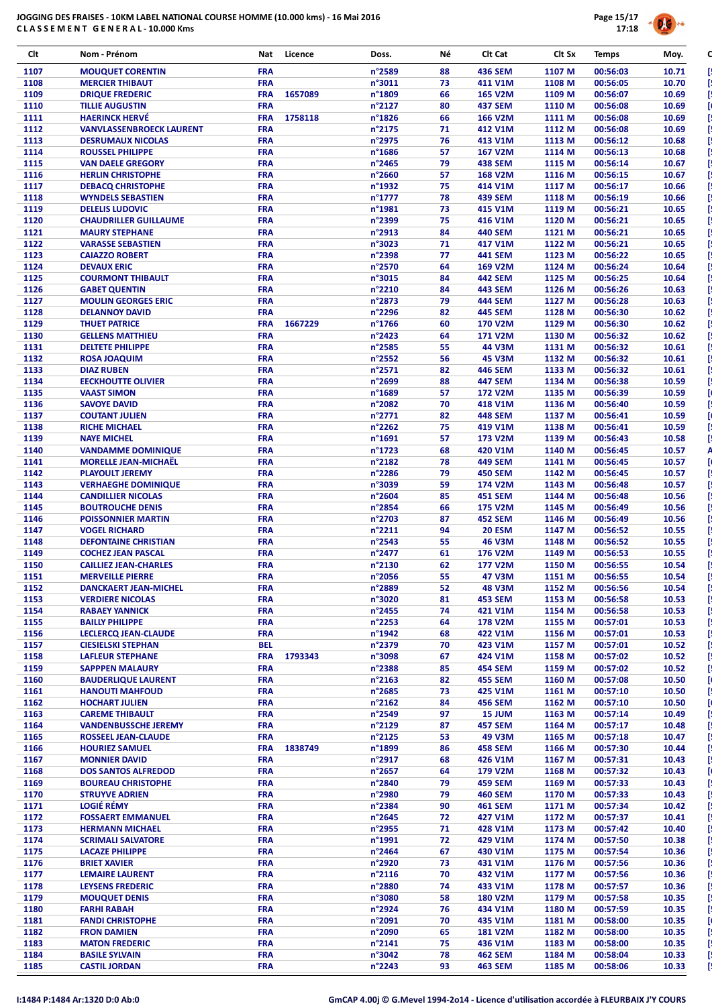

| Clt          | Nom - Prénom                                            | Licence<br>Nat           | Doss.                      | Νé       | CIt Cat                          | Clt Sx           | <b>Temps</b>         | Moy.           |
|--------------|---------------------------------------------------------|--------------------------|----------------------------|----------|----------------------------------|------------------|----------------------|----------------|
| 1107         | <b>MOUQUET CORENTIN</b>                                 | <b>FRA</b>               | n°2589                     | 88       | <b>436 SEM</b>                   | 1107 M           | 00:56:03             | 10.71          |
| 1108         | <b>MERCIER THIBAUT</b>                                  | <b>FRA</b>               | n°3011                     | 73       | 411 V1M                          | 1108 M           | 00:56:05             | 10.70          |
| 1109         | <b>DRIQUE FREDERIC</b>                                  | <b>FRA</b><br>1657089    | n°1809                     | 66       | 165 V2M                          | 1109 M           | 00:56:07             | 10.69          |
| 1110         | <b>TILLIE AUGUSTIN</b>                                  | <b>FRA</b>               | n°2127                     | 80       | <b>437 SEM</b>                   | 1110 M           | 00:56:08             | 10.69          |
| 1111         | <b>HAERINCK HERVÉ</b>                                   | <b>FRA</b><br>1758118    | n°1826                     | 66       | 166 V2M                          | 1111 M           | 00:56:08             | 10.69          |
| 1112         | <b>VANVLASSENBROECK LAURENT</b>                         | <b>FRA</b>               | n°2175                     | 71       | 412 V1M                          | 1112 M           | 00:56:08             | 10.69          |
| 1113<br>1114 | <b>DESRUMAUX NICOLAS</b><br><b>ROUSSEL PHILIPPE</b>     | <b>FRA</b><br><b>FRA</b> | n°2975<br>n°1686           | 76<br>57 | 413 V1M<br>167 V2M               | 1113 M<br>1114 M | 00:56:12<br>00:56:13 | 10.68<br>10.68 |
| 1115         | <b>VAN DAELE GREGORY</b>                                | <b>FRA</b>               | n°2465                     | 79       | <b>438 SEM</b>                   | 1115 M           | 00:56:14             | 10.67          |
| 1116         | <b>HERLIN CHRISTOPHE</b>                                | <b>FRA</b>               | n°2660                     | 57       | <b>168 V2M</b>                   | 1116 M           | 00:56:15             | 10.67          |
| 1117         | <b>DEBACQ CHRISTOPHE</b>                                | <b>FRA</b>               | n°1932                     | 75       | 414 V1M                          | 1117 M           | 00:56:17             | 10.66          |
| 1118         | <b>WYNDELS SEBASTIEN</b>                                | <b>FRA</b>               | n°1777                     | 78       | 439 SEM                          | 1118 M           | 00:56:19             | 10.66          |
| 1119         | <b>DELELIS LUDOVIC</b>                                  | <b>FRA</b>               | n°1981                     | 73       | 415 V1M                          | 1119 M           | 00:56:21             | 10.65          |
| 1120         | <b>CHAUDRILLER GUILLAUME</b>                            | <b>FRA</b>               | n°2399                     | 75       | 416 V1M                          | 1120 M           | 00:56:21             | 10.65          |
| 1121         | <b>MAURY STEPHANE</b>                                   | <b>FRA</b>               | n°2913                     | 84       | <b>440 SEM</b>                   | 1121 M           | 00:56:21             | 10.65          |
| 1122         | <b>VARASSE SEBASTIEN</b>                                | <b>FRA</b>               | n°3023                     | 71       | 417 V1M                          | 1122 M           | 00:56:21             | 10.65          |
| 1123<br>1124 | <b>CAIAZZO ROBERT</b><br><b>DEVAUX ERIC</b>             | <b>FRA</b><br><b>FRA</b> | n°2398<br>n°2570           | 77<br>64 | 441 SEM<br>169 V2M               | 1123 M<br>1124 M | 00:56:22<br>00:56:24 | 10.65<br>10.64 |
| 1125         | <b>COURMONT THIBAULT</b>                                | <b>FRA</b>               | n°3015                     | 84       | 442 SEM                          | 1125 M           | 00:56:25             | 10.64          |
| 1126         | <b>GABET QUENTIN</b>                                    | <b>FRA</b>               | n°2210                     | 84       | <b>443 SEM</b>                   | 1126 M           | 00:56:26             | 10.63          |
| 1127         | <b>MOULIN GEORGES ERIC</b>                              | <b>FRA</b>               | n°2873                     | 79       | <b>444 SEM</b>                   | 1127 M           | 00:56:28             | 10.63          |
| 1128         | <b>DELANNOY DAVID</b>                                   | <b>FRA</b>               | n°2296                     | 82       | 445 SEM                          | 1128 M           | 00:56:30             | 10.62          |
| 1129         | <b>THUET PATRICE</b>                                    | 1667229<br><b>FRA</b>    | n°1766                     | 60       | 170 V2M                          | 1129 M           | 00:56:30             | 10.62          |
| 1130         | <b>GELLENS MATTHIEU</b>                                 | <b>FRA</b>               | $n^{\circ}$ 2423           | 64       | 171 V2M                          | 1130 M           | 00:56:32             | 10.62          |
| 1131         | <b>DELTETE PHILIPPE</b>                                 | <b>FRA</b>               | n°2585                     | 55       | 44 V3M                           | 1131 M           | 00:56:32             | 10.61          |
| 1132         | <b>ROSA JOAQUIM</b><br><b>DIAZ RUBEN</b>                | <b>FRA</b><br><b>FRA</b> | n°2552<br>n°2571           | 56<br>82 | 45 V3M                           | 1132 M           | 00:56:32             | 10.61          |
| 1133<br>1134 | <b>EECKHOUTTE OLIVIER</b>                               | <b>FRA</b>               | n°2699                     | 88       | 446 SEM<br><b>447 SEM</b>        | 1133 M<br>1134 M | 00:56:32<br>00:56:38 | 10.61<br>10.59 |
| 1135         | <b>VAAST SIMON</b>                                      | <b>FRA</b>               | n°1689                     | 57       | 172 V2M                          | 1135 M           | 00:56:39             | 10.59          |
| 1136         | <b>SAVOYE DAVID</b>                                     | <b>FRA</b>               | n°2082                     | 70       | 418 V1M                          | 1136 M           | 00:56:40             | 10.59          |
| 1137         | <b>COUTANT JULIEN</b>                                   | <b>FRA</b>               | n°2771                     | 82       | <b>448 SEM</b>                   | 1137 M           | 00:56:41             | 10.59          |
| 1138         | <b>RICHE MICHAEL</b>                                    | <b>FRA</b>               | $n^{\circ}$ 2262           | 75       | 419 V1M                          | 1138 M           | 00:56:41             | 10.59          |
| 1139         | <b>NAYE MICHEL</b>                                      | <b>FRA</b>               | n°1691                     | 57       | 173 V2M                          | 1139 M           | 00:56:43             | 10.58          |
| 1140         | <b>VANDAMME DOMINIQUE</b>                               | <b>FRA</b>               | n°1723                     | 68       | 420 V1M                          | 1140 M           | 00:56:45             | 10.57          |
| 1141         | <b>MORELLE JEAN-MICHAËL</b><br><b>PLAYOULT JEREMY</b>   | <b>FRA</b><br><b>FRA</b> | n°2182<br>n°2286           | 78<br>79 | 449 SEM<br><b>450 SEM</b>        | 1141 M<br>1142 M | 00:56:45             | 10.57          |
| 1142<br>1143 | <b>VERHAEGHE DOMINIQUE</b>                              | <b>FRA</b>               | n°3039                     | 59       | 174 V2M                          | 1143 M           | 00:56:45<br>00:56:48 | 10.57<br>10.57 |
| 1144         | <b>CANDILLIER NICOLAS</b>                               | <b>FRA</b>               | n°2604                     | 85       | <b>451 SEM</b>                   | 1144 M           | 00:56:48             | 10.56          |
| 1145         | <b>BOUTROUCHE DENIS</b>                                 | <b>FRA</b>               | n°2854                     | 66       | 175 V2M                          | 1145 M           | 00:56:49             | 10.56          |
| 1146         | <b>POISSONNIER MARTIN</b>                               | <b>FRA</b>               | n°2703                     | 87       | 452 SEM                          | 1146 M           | 00:56:49             | 10.56          |
| 1147         | <b>VOGEL RICHARD</b>                                    | <b>FRA</b>               | n°2211                     | 94       | <b>20 ESM</b>                    | 1147 M           | 00:56:52             | 10.55          |
| 1148         | <b>DEFONTAINE CHRISTIAN</b>                             | <b>FRA</b>               | $n^{\circ}$ 2543           | 55       | 46 V3M                           | 1148 M           | 00:56:52             | 10.55          |
| 1149         | <b>COCHEZ JEAN PASCAL</b>                               | <b>FRA</b>               | n°2477                     | 61       | 176 V2M                          | 1149 M           | 00:56:53             | 10.55          |
| 1150         | <b>CAILLIEZ JEAN-CHARLES</b>                            | <b>FRA</b>               | n°2130                     | 62       | 177 V2M                          | 1150 M           | 00:56:55             | 10.54          |
| 1151<br>1152 | <b>MERVEILLE PIERRE</b><br><b>DANCKAERT JEAN-MICHEL</b> | <b>FRA</b><br><b>FRA</b> | n°2056<br>n°2889           | 55<br>52 | 47 V3M<br><b>48 V3M</b>          | 1151 M<br>1152 M | 00:56:55<br>00:56:56 | 10.54<br>10.54 |
| 1153         | <b>VERDIERE NICOLAS</b>                                 | <b>FRA</b>               | n°3020                     | 81       | 453 SEM                          | 1153 M           | 00:56:58             | 10.53          |
| 1154         | <b>RABAEY YANNICK</b>                                   | <b>FRA</b>               | n°2455                     | 74       | 421 V1M                          | 1154 M           | 00:56:58             | 10.53          |
| 1155         | <b>BAILLY PHILIPPE</b>                                  | <b>FRA</b>               | $n^{\circ}$ 2253           | 64       | 178 V2M                          | 1155 M           | 00:57:01             | 10.53          |
| 1156         | <b>LECLERCQ JEAN-CLAUDE</b>                             | <b>FRA</b>               | n°1942                     | 68       | 422 V1M                          | 1156 M           | 00:57:01             | 10.53          |
| 1157         | <b>CIESIELSKI STEPHAN</b>                               | <b>BEL</b>               | n°2379                     | 70       | 423 V1M                          | 1157 M           | 00:57:01             | 10.52          |
| 1158         | <b>LAFLEUR STEPHANE</b>                                 | <b>FRA</b><br>1793343    | n°3098                     | 67       | 424 V1M                          | 1158 M           | 00:57:02             | 10.52          |
| 1159         | <b>SAPPPEN MALAURY</b>                                  | <b>FRA</b>               | n°2388                     | 85       | <b>454 SEM</b>                   | 1159 M           | 00:57:02             | 10.52          |
| 1160         | <b>BAUDERLIQUE LAURENT</b><br><b>HANOUTI MAHFOUD</b>    | <b>FRA</b><br><b>FRA</b> | $n^{\circ}$ 2163<br>n°2685 | 82       | <b>455 SEM</b>                   | 1160 M           | 00:57:08             | 10.50          |
| 1161<br>1162 | <b>HOCHART JULIEN</b>                                   | <b>FRA</b>               | $n^{\circ}2162$            | 73<br>84 | 425 V1M<br><b>456 SEM</b>        | 1161 M<br>1162 M | 00:57:10<br>00:57:10 | 10.50<br>10.50 |
| 1163         | <b>CAREME THIBAULT</b>                                  | <b>FRA</b>               | n°2549                     | 97       | <b>15 JUM</b>                    | 1163 M           | 00:57:14             | 10.49          |
| 1164         | <b>VANDENBUSSCHE JEREMY</b>                             | <b>FRA</b>               | n°2129                     | 87       | <b>457 SEM</b>                   | 1164 M           | 00:57:17             | 10.48          |
| 1165         | ROSSEEL JEAN-CLAUDE                                     | <b>FRA</b>               | $n^{\circ}2125$            | 53       | 49 V3M                           | 1165 M           | 00:57:18             | 10.47          |
| 1166         | <b>HOURIEZ SAMUEL</b>                                   | <b>FRA</b><br>1838749    | n°1899                     | 86       | <b>458 SEM</b>                   | 1166 M           | 00:57:30             | 10.44          |
| 1167         | <b>MONNIER DAVID</b>                                    | <b>FRA</b>               | n°2917                     | 68       | 426 V1M                          | 1167 M           | 00:57:31             | 10.43          |
| 1168         | <b>DOS SANTOS ALFREDOD</b>                              | <b>FRA</b>               | $n^{\circ}2657$            | 64       | 179 V2M                          | 1168 M           | 00:57:32             | 10.43          |
| 1169         | <b>BOUREAU CHRISTOPHE</b>                               | <b>FRA</b>               | n°2840                     | 79       | <b>459 SEM</b>                   | 1169 M           | 00:57:33             | 10.43          |
| 1170<br>1171 | <b>STRUYVE ADRIEN</b><br><b>LOGIÉ RÉMY</b>              | <b>FRA</b><br><b>FRA</b> | n°2980<br>n°2384           | 79<br>90 | <b>460 SEM</b><br><b>461 SEM</b> | 1170 M<br>1171 M | 00:57:33<br>00:57:34 | 10.43<br>10.42 |
| 1172         | <b>FOSSAERT EMMANUEL</b>                                | <b>FRA</b>               | $n^{\circ}$ 2645           | 72       | 427 V1M                          | 1172 M           | 00:57:37             | 10.41          |
| 1173         | <b>HERMANN MICHAEL</b>                                  | <b>FRA</b>               | n°2955                     | 71       | 428 V1M                          | 1173 M           | 00:57:42             | 10.40          |
| 1174         | <b>SCRIMALI SALVATORE</b>                               | <b>FRA</b>               | n°1991                     | 72       | 429 V1M                          | 1174 M           | 00:57:50             | 10.38          |
| 1175         | <b>LACAZE PHILIPPE</b>                                  | <b>FRA</b>               | n°2464                     | 67       | 430 V1M                          | 1175 M           | 00:57:54             | 10.36          |
| 1176         | <b>BRIET XAVIER</b>                                     | <b>FRA</b>               | n°2920                     | 73       | 431 V1M                          | 1176 M           | 00:57:56             | 10.36          |
| 1177         | <b>LEMAIRE LAURENT</b>                                  | <b>FRA</b>               | $n^{\circ}2116$            | 70       | 432 V1M                          | 1177 M           | 00:57:56             | 10.36          |
| 1178         | <b>LEYSENS FREDERIC</b>                                 | <b>FRA</b>               | n°2880                     | 74       | 433 V1M                          | 1178 M           | 00:57:57             | 10.36          |
| 1179<br>1180 | <b>MOUQUET DENIS</b><br><b>FARHI RABAH</b>              | <b>FRA</b><br><b>FRA</b> | n°3080<br>n°2924           | 58<br>76 | <b>180 V2M</b><br>434 V1M        | 1179 M<br>1180 M | 00:57:58<br>00:57:59 | 10.35<br>10.35 |
| 1181         | <b>FANDI CHRISTOPHE</b>                                 | <b>FRA</b>               | n°2091                     | 70       | 435 V1M                          | 1181 M           | 00:58:00             | 10.35          |
| 1182         | <b>FRON DAMIEN</b>                                      | <b>FRA</b>               | n°2090                     | 65       | <b>181 V2M</b>                   | 1182 M           | 00:58:00             | 10.35          |
| 1183         | <b>MATON FREDERIC</b>                                   | <b>FRA</b>               | $n^{\circ}$ 2141           | 75       | 436 V1M                          | 1183 M           | 00:58:00             | 10.35          |
| 1184         | <b>BASILE SYLVAIN</b>                                   | <b>FRA</b>               | n°3042                     | 78       | <b>462 SEM</b>                   | 1184 M           | 00:58:04             | 10.33          |
| 1185         | <b>CASTIL JORDAN</b>                                    | <b>FRA</b>               | $n^{\circ}$ 2243           | 93       | 463 SEM                          | 1185 M           | 00:58:06             | 10.33          |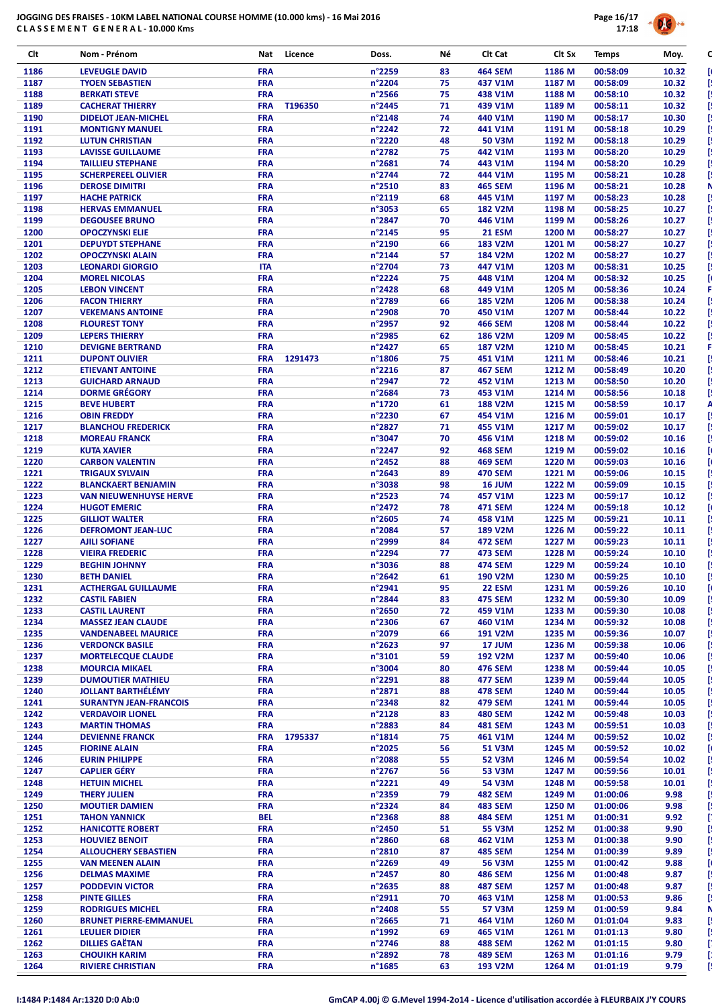

| Clt          | Nom - Prénom                                        | Nat<br>Licence           | Doss.                      | Né       | Clt Cat                   | Clt Sx           | <b>Temps</b>         | Moy.           |
|--------------|-----------------------------------------------------|--------------------------|----------------------------|----------|---------------------------|------------------|----------------------|----------------|
| 1186         | <b>LEVEUGLE DAVID</b>                               | <b>FRA</b>               | n°2259                     | 83       | <b>464 SEM</b>            | 1186 M           | 00:58:09             | 10.32          |
| 1187         | <b>TYOEN SEBASTIEN</b>                              | <b>FRA</b>               | n°2204                     | 75       | 437 V1M                   | 1187 M           | 00:58:09             | 10.32          |
| 1188         | <b>BERKATI STEVE</b>                                | <b>FRA</b>               | n°2566                     | 75       | 438 V1M                   | 1188 M           | 00:58:10             | 10.32          |
| 1189         | <b>CACHERAT THIERRY</b>                             | <b>FRA</b><br>T196350    | n°2445                     | 71       | 439 V1M                   | 1189 M           | 00:58:11             | 10.32          |
| 1190         | <b>DIDELOT JEAN-MICHEL</b>                          | <b>FRA</b>               | n°2148                     | 74       | 440 V1M                   | 1190 M           | 00:58:17             | 10.30          |
| 1191         | <b>MONTIGNY MANUEL</b>                              | <b>FRA</b>               | n°2242                     | 72       | 441 V1M                   | 1191 M           | 00:58:18             | 10.29          |
| 1192         | <b>LUTUN CHRISTIAN</b>                              | <b>FRA</b>               | n°2220                     | 48       | 50 V3M                    | 1192 M           | 00:58:18             | 10.29          |
| 1193         | <b>LAVISSE GUILLAUME</b>                            | <b>FRA</b>               | n°2782                     | 75       | 442 V1M                   | 1193 M           | 00:58:20             | 10.29          |
| 1194         | <b>TAILLIEU STEPHANE</b>                            | <b>FRA</b>               | n°2681                     | 74       | 443 V1M                   | 1194 M           | 00:58:20             | 10.29          |
| 1195         | <b>SCHERPEREEL OLIVIER</b>                          | <b>FRA</b>               | n°2744                     | 72       | 444 V1M                   | 1195 M           | 00:58:21             | 10.28          |
| 1196         | <b>DEROSE DIMITRI</b>                               | <b>FRA</b>               | n°2510                     | 83       | <b>465 SEM</b>            | 1196 M           | 00:58:21             | 10.28          |
| 1197         | <b>HACHE PATRICK</b>                                | <b>FRA</b>               | n°2119                     | 68       | 445 V1M                   | 1197 M           | 00:58:23             | 10.28          |
| 1198         | <b>HERVAS EMMANUEL</b>                              | <b>FRA</b>               | n°3053                     | 65       | <b>182 V2M</b>            | 1198 M           | 00:58:25             | 10.27          |
| 1199         | <b>DEGOUSEE BRUNO</b>                               | <b>FRA</b>               | n°2847                     | 70       | 446 V1M                   | 1199 M           | 00:58:26             | 10.27          |
| 1200         | <b>OPOCZYNSKI ELIE</b>                              | <b>FRA</b>               | n°2145                     | 95       | <b>21 ESM</b>             | 1200 M           | 00:58:27             | 10.27          |
| 1201         | <b>DEPUYDT STEPHANE</b>                             | <b>FRA</b>               | n°2190                     | 66       | 183 V2M                   | 1201 M           | 00:58:27             | 10.27          |
| 1202         | <b>OPOCZYNSKI ALAIN</b>                             | <b>FRA</b>               | n°2144                     | 57       | 184 V2M                   | 1202 M           | 00:58:27             | 10.27          |
| 1203         | <b>LEONARDI GIORGIO</b>                             | <b>ITA</b>               | n°2704                     | 73       | 447 V1M                   | 1203 M           | 00:58:31             | 10.25          |
| 1204         | <b>MOREL NICOLAS</b>                                | <b>FRA</b>               | n°2224                     | 75       | 448 V1M                   | 1204 M           | 00:58:32             | 10.25          |
| 1205         | <b>LEBON VINCENT</b>                                | <b>FRA</b>               | n°2428                     | 68       | 449 V1M                   | 1205 M           | 00:58:36             | 10.24          |
| 1206         | <b>FACON THIERRY</b>                                | <b>FRA</b>               | n°2789                     | 66       | <b>185 V2M</b>            | 1206 M           | 00:58:38             | 10.24          |
| 1207         | <b>VEKEMANS ANTOINE</b>                             | <b>FRA</b>               | n°2908                     | 70       | 450 V1M                   | 1207 M           | 00:58:44             | 10.22          |
| 1208         | <b>FLOUREST TONY</b>                                | <b>FRA</b>               | n°2957                     | 92       | <b>466 SEM</b>            | 1208 M           | 00:58:44             | 10.22          |
| 1209         | <b>LEPERS THIERRY</b>                               | <b>FRA</b>               | n°2985                     | 62       | <b>186 V2M</b>            | 1209 M           | 00:58:45             | 10.22          |
| 1210         | <b>DEVIGNE BERTRAND</b>                             | <b>FRA</b>               | n°2427                     | 65       | <b>187 V2M</b>            | 1210 M           | 00:58:45             | 10.21          |
| 1211         | <b>DUPONT OLIVIER</b>                               | <b>FRA</b><br>1291473    | $n^{\circ}$ 1806           | 75       | 451 V1M                   | 1211 M           | 00:58:46             | 10.21          |
| 1212<br>1213 | <b>ETIEVANT ANTOINE</b><br><b>GUICHARD ARNAUD</b>   | <b>FRA</b><br><b>FRA</b> | $n^{\circ}$ 2216<br>n°2947 | 87<br>72 | <b>467 SEM</b><br>452 V1M | 1212 M<br>1213 M | 00:58:49<br>00:58:50 | 10.20<br>10.20 |
| 1214         | <b>DORME GRÉGORY</b>                                | <b>FRA</b>               | n°2684                     | 73       | 453 V1M                   | 1214 M           | 00:58:56             | 10.18          |
| 1215         | <b>BEVE HUBERT</b>                                  | <b>FRA</b>               | n°1720                     | 61       | <b>188 V2M</b>            | 1215 M           | 00:58:59             | 10.17          |
| 1216         | <b>OBIN FREDDY</b>                                  | <b>FRA</b>               | n°2230                     | 67       | 454 V1M                   | 1216 M           | 00:59:01             | 10.17          |
| 1217         | <b>BLANCHOU FREDERICK</b>                           | <b>FRA</b>               | n°2827                     | 71       | 455 V1M                   | 1217 M           | 00:59:02             | 10.17          |
| 1218         | <b>MOREAU FRANCK</b>                                | <b>FRA</b>               | n°3047                     | 70       | 456 V1M                   | 1218 M           | 00:59:02             | 10.16          |
| 1219         | <b>KUTA XAVIER</b>                                  | <b>FRA</b>               | n°2247                     | 92       | <b>468 SEM</b>            | 1219 M           | 00:59:02             | 10.16          |
| 1220         | <b>CARBON VALENTIN</b>                              | <b>FRA</b>               | n°2452                     | 88       | <b>469 SEM</b>            | 1220 M           | 00:59:03             | 10.16          |
| 1221         | <b>TRIGAUX SYLVAIN</b>                              | <b>FRA</b>               | $n^{\circ}$ 2643           | 89       | <b>470 SEM</b>            | 1221 M           | 00:59:06             | 10.15          |
| 1222         | <b>BLANCKAERT BENJAMIN</b>                          | <b>FRA</b>               | n°3038                     | 98       | <b>16 JUM</b>             | 1222 M           | 00:59:09             | 10.15          |
| 1223         | <b>VAN NIEUWENHUYSE HERVE</b>                       | <b>FRA</b>               | n°2523                     | 74       | 457 V1M                   | 1223 M           | 00:59:17             | 10.12          |
| 1224         | <b>HUGOT EMERIC</b>                                 | <b>FRA</b>               | n°2472                     | 78       | <b>471 SEM</b>            | 1224 M           | 00:59:18             | 10.12          |
| 1225         | <b>GILLIOT WALTER</b>                               | <b>FRA</b>               | n°2605                     | 74       | 458 V1M                   | 1225 M           | 00:59:21             | 10.11          |
| 1226         | <b>DEFROMONT JEAN-LUC</b>                           | <b>FRA</b>               | n°2084                     | 57       | 189 V2M                   | 1226 M           | 00:59:22             | 10.11          |
| 1227         | <b>AJILI SOFIANE</b>                                | <b>FRA</b>               | n°2999                     | 84       | <b>472 SEM</b>            | 1227 M           | 00:59:23             | 10.11          |
| 1228         | <b>VIEIRA FREDERIC</b>                              | <b>FRA</b>               | n°2294                     | 77       | <b>473 SEM</b>            | 1228 M           | 00:59:24             | 10.10          |
| 1229         | <b>BEGHIN JOHNNY</b>                                | <b>FRA</b>               | n°3036                     | 88       | <b>474 SEM</b>            | 1229 M           | 00:59:24             | 10.10          |
| 1230         | <b>BETH DANIEL</b>                                  | <b>FRA</b>               | n°2642                     | 61       | 190 V2M                   | 1230 M           | 00:59:25             | 10.10          |
| 1231         | <b>ACTHERGAL GUILLAUME</b>                          | <b>FRA</b>               | n°2941                     | 95       | 22 ESM                    | 1231 M           | 00:59:26             | 10.10          |
| 1232         | <b>CASTIL FABIEN</b>                                | <b>FRA</b>               | n°2844                     | 83       | <b>475 SEM</b>            | 1232 M           | 00:59:30             | 10.09          |
| 1233         | <b>CASTIL LAURENT</b>                               | <b>FRA</b>               | n°2650                     | 72       | 459 V1M                   | 1233 M           | 00:59:30             | 10.08          |
| 1234         | <b>MASSEZ JEAN CLAUDE</b>                           | <b>FRA</b>               | $n^{\circ}$ 2306           | 67       | 460 V1M                   | 1234 M           | 00:59:32             | 10.08          |
| 1235         | <b>VANDENABEEL MAURICE</b>                          | <b>FRA</b>               | n°2079                     | 66       | 191 V2M                   | 1235 M           | 00:59:36             | 10.07          |
| 1236<br>1237 | <b>VERDONCK BASILE</b><br><b>MORTELECQUE CLAUDE</b> | <b>FRA</b><br><b>FRA</b> | $n^{\circ}2623$<br>n°3101  | 97<br>59 | <b>17 JUM</b><br>192 V2M  | 1236 M<br>1237 M | 00:59:38<br>00:59:40 | 10.06          |
| 1238         | <b>MOURCIA MIKAEL</b>                               | <b>FRA</b>               | n°3004                     | 80       | <b>476 SEM</b>            | 1238 M           | 00:59:44             | 10.06<br>10.05 |
| 1239         | <b>DUMOUTIER MATHIEU</b>                            | <b>FRA</b>               | n°2291                     | 88       | <b>477 SEM</b>            | 1239 M           | 00:59:44             | 10.05          |
| 1240         | <b>JOLLANT BARTHÉLÉMY</b>                           | <b>FRA</b>               | n°2871                     | 88       | <b>478 SEM</b>            | 1240 M           | 00:59:44             | 10.05          |
| 1241         | <b>SURANTYN JEAN-FRANCOIS</b>                       | <b>FRA</b>               | n°2348                     | 82       | <b>479 SEM</b>            | 1241 M           | 00:59:44             | 10.05          |
| 1242         | <b>VERDAVOIR LIONEL</b>                             | <b>FRA</b>               | n°2128                     | 83       | <b>480 SEM</b>            | 1242 M           | 00:59:48             | 10.03          |
| 1243         | <b>MARTIN THOMAS</b>                                | <b>FRA</b>               | n°2883                     | 84       | <b>481 SEM</b>            | 1243 M           | 00:59:51             | 10.03          |
| 1244         | <b>DEVIENNE FRANCK</b>                              | <b>FRA</b><br>1795337    | n°1814                     | 75       | 461 V1M                   | 1244 M           | 00:59:52             | 10.02          |
| 1245         | <b>FIORINE ALAIN</b>                                | <b>FRA</b>               | n°2025                     | 56       | 51 V3M                    | 1245 M           | 00:59:52             | 10.02          |
| 1246         | <b>EURIN PHILIPPE</b>                               | <b>FRA</b>               | n°2088                     | 55       | 52 V3M                    | 1246 M           | 00:59:54             | 10.02          |
| 1247         | <b>CAPLIER GÉRY</b>                                 | <b>FRA</b>               | n°2767                     | 56       | 53 V3M                    | 1247 M           | 00:59:56             | 10.01          |
| 1248         | <b>HETUIN MICHEL</b>                                | <b>FRA</b>               | n°2221                     | 49       | 54 V3M                    | 1248 M           | 00:59:58             | 10.01          |
| 1249         | <b>THERY JULIEN</b>                                 | <b>FRA</b>               | n°2359                     | 79       | <b>482 SEM</b>            | 1249 M           | 01:00:06             | 9.98           |
| 1250         | <b>MOUTIER DAMIEN</b>                               | <b>FRA</b>               | n°2324                     | 84       | <b>483 SEM</b>            | 1250 M           | 01:00:06             | 9.98           |
| 1251         | <b>TAHON YANNICK</b>                                | <b>BEL</b>               | $n^{\circ}$ 2368           | 88       | <b>484 SEM</b>            | 1251 M           | 01:00:31             | 9.92           |
| 1252         | <b>HANICOTTE ROBERT</b>                             | <b>FRA</b>               | n°2450                     | 51       | 55 V3M                    | 1252 M           | 01:00:38             | 9.90           |
| 1253         | <b>HOUVIEZ BENOIT</b>                               | <b>FRA</b>               | n°2860                     | 68       | 462 V1M                   | 1253 M           | 01:00:38             | 9.90           |
| 1254         | <b>ALLOUCHERY SEBASTIEN</b>                         | <b>FRA</b>               | n°2810                     | 87       | <b>485 SEM</b>            | 1254 M           | 01:00:39             | 9.89           |
| 1255         | <b>VAN MEENEN ALAIN</b>                             | <b>FRA</b>               | n°2269                     | 49       | 56 V3M                    | 1255 M           | 01:00:42             | 9.88           |
| 1256         | <b>DELMAS MAXIME</b>                                | <b>FRA</b>               | n°2457                     | 80       | <b>486 SEM</b>            | 1256 M           | 01:00:48             | 9.87           |
| 1257         | <b>PODDEVIN VICTOR</b>                              | <b>FRA</b>               | $n^{\circ}$ 2635           | 88       | <b>487 SEM</b>            | 1257 M           | 01:00:48             | 9.87           |
| 1258         | <b>PINTE GILLES</b>                                 | <b>FRA</b>               | n°2911                     | 70       | 463 V1M                   | 1258 M           | 01:00:53             | 9.86           |
| 1259         | <b>RODRIGUES MICHEL</b>                             | <b>FRA</b>               | n°2408                     | 55       | 57 V3M                    | 1259 M           | 01:00:59             | 9.84           |
| 1260         | <b>BRUNET PIERRE-EMMANUEL</b>                       | <b>FRA</b>               | n°2665                     | 71       | 464 V1M                   | 1260 M           | 01:01:04             | 9.83           |
| 1261         | <b>LEULIER DIDIER</b>                               | <b>FRA</b>               | n°1992                     | 69       | 465 V1M                   | 1261 M           | 01:01:13             | 9.80           |
| 1262         | <b>DILLIES GAËTAN</b>                               | <b>FRA</b>               | n°2746                     | 88       | <b>488 SEM</b>            | 1262 M           | 01:01:15             | 9.80           |
| 1263         | <b>CHOUIKH KARIM</b>                                | <b>FRA</b>               | n°2892                     | 78       | <b>489 SEM</b>            | 1263 M           | 01:01:16             | 9.79           |
| 1264         | <b>RIVIERE CHRISTIAN</b>                            | <b>FRA</b>               | $n^{\circ}$ 1685           | 63       | 193 V2M                   | 1264 M           | 01:01:19             | 9.79           |